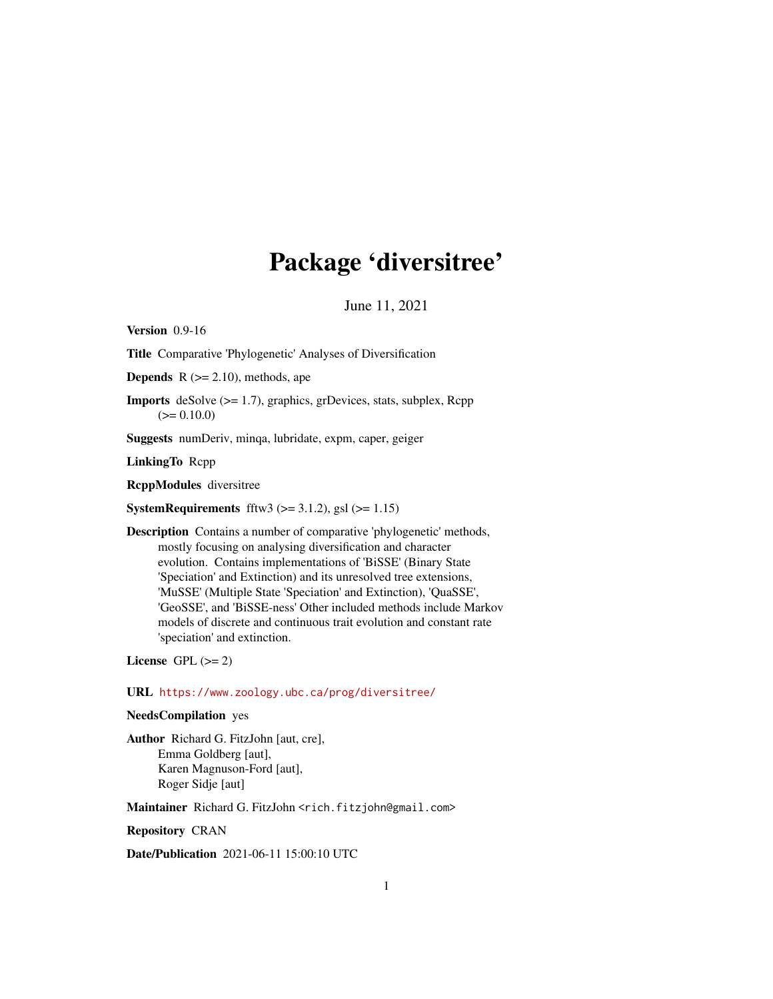# Package 'diversitree'

June 11, 2021

<span id="page-0-0"></span>Version 0.9-16

Title Comparative 'Phylogenetic' Analyses of Diversification

**Depends**  $R$  ( $>= 2.10$ ), methods, ape

Imports deSolve (>= 1.7), graphics, grDevices, stats, subplex, Rcpp  $(>= 0.10.0)$ 

Suggests numDeriv, minqa, lubridate, expm, caper, geiger

LinkingTo Rcpp

RcppModules diversitree

**SystemRequirements** fftw3  $(>= 3.1.2)$ , gsl  $(>= 1.15)$ 

Description Contains a number of comparative 'phylogenetic' methods, mostly focusing on analysing diversification and character evolution. Contains implementations of 'BiSSE' (Binary State 'Speciation' and Extinction) and its unresolved tree extensions, 'MuSSE' (Multiple State 'Speciation' and Extinction), 'QuaSSE', 'GeoSSE', and 'BiSSE-ness' Other included methods include Markov models of discrete and continuous trait evolution and constant rate 'speciation' and extinction.

License GPL  $(>= 2)$ 

URL <https://www.zoology.ubc.ca/prog/diversitree/>

## NeedsCompilation yes

Author Richard G. FitzJohn [aut, cre], Emma Goldberg [aut], Karen Magnuson-Ford [aut], Roger Sidje [aut]

Maintainer Richard G. FitzJohn <rich.fitzjohn@gmail.com>

Repository CRAN

Date/Publication 2021-06-11 15:00:10 UTC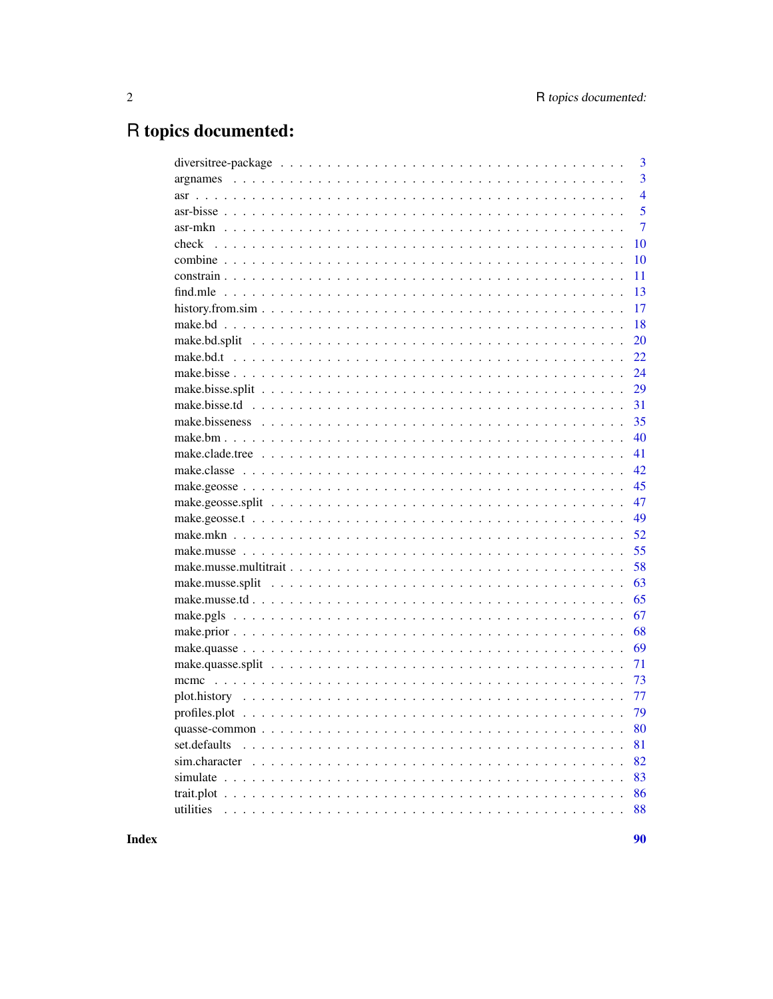# R topics documented:

|              | 3              |
|--------------|----------------|
|              | 3              |
|              | $\overline{4}$ |
|              | 5              |
|              | $\overline{7}$ |
|              | 10             |
|              | 10             |
|              | 11             |
|              | 13             |
|              | 17             |
|              | 18             |
|              | 20             |
|              | 22             |
|              | 24             |
|              | 29             |
|              | 31             |
|              | 35             |
|              | 40             |
|              | 41             |
|              | 42             |
|              | 45             |
|              | 47             |
|              | 49             |
|              | 52             |
|              | 55             |
|              | 58             |
|              | 63             |
|              | 65             |
|              | 67             |
|              | 68             |
|              | 69             |
|              | 71             |
|              | 73             |
|              | 77             |
|              | 79             |
|              | 80             |
| set.defaults | 81             |
|              | 82             |
|              | 83             |
|              | 86             |
| utilities    | 88             |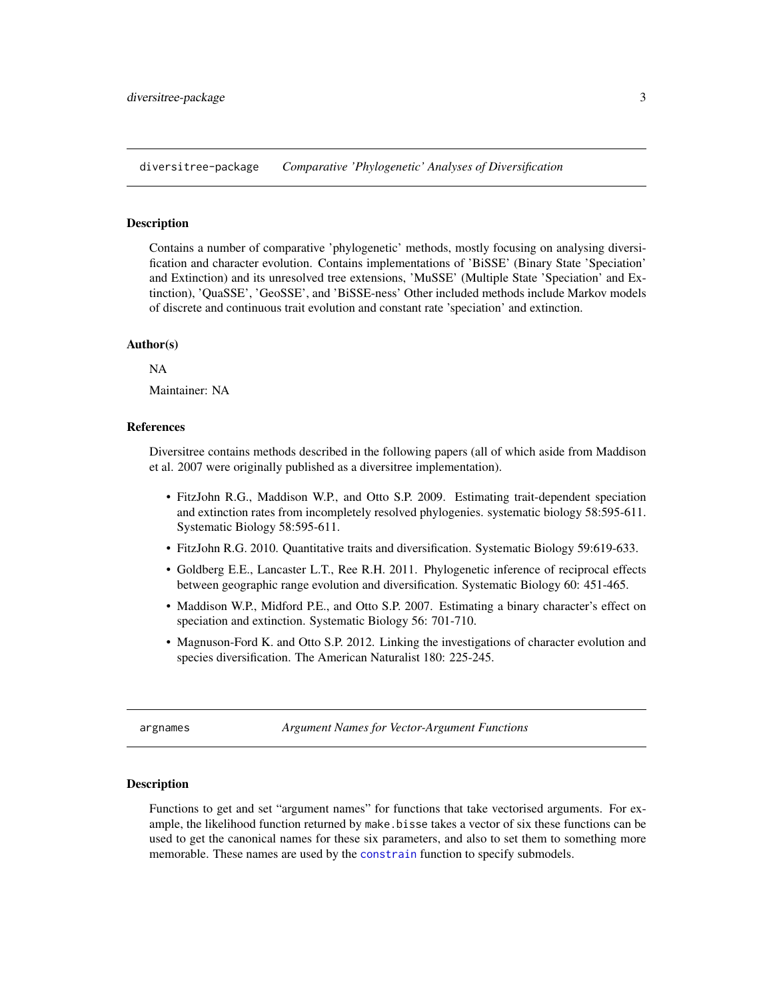<span id="page-2-0"></span>diversitree-package *Comparative 'Phylogenetic' Analyses of Diversification*

## Description

Contains a number of comparative 'phylogenetic' methods, mostly focusing on analysing diversification and character evolution. Contains implementations of 'BiSSE' (Binary State 'Speciation' and Extinction) and its unresolved tree extensions, 'MuSSE' (Multiple State 'Speciation' and Extinction), 'QuaSSE', 'GeoSSE', and 'BiSSE-ness' Other included methods include Markov models of discrete and continuous trait evolution and constant rate 'speciation' and extinction.

## Author(s)

NA

Maintainer: NA

## References

Diversitree contains methods described in the following papers (all of which aside from Maddison et al. 2007 were originally published as a diversitree implementation).

- FitzJohn R.G., Maddison W.P., and Otto S.P. 2009. Estimating trait-dependent speciation and extinction rates from incompletely resolved phylogenies. systematic biology 58:595-611. Systematic Biology 58:595-611.
- FitzJohn R.G. 2010. Quantitative traits and diversification. Systematic Biology 59:619-633.
- Goldberg E.E., Lancaster L.T., Ree R.H. 2011. Phylogenetic inference of reciprocal effects between geographic range evolution and diversification. Systematic Biology 60: 451-465.
- Maddison W.P., Midford P.E., and Otto S.P. 2007. Estimating a binary character's effect on speciation and extinction. Systematic Biology 56: 701-710.
- Magnuson-Ford K. and Otto S.P. 2012. Linking the investigations of character evolution and species diversification. The American Naturalist 180: 225-245.

<span id="page-2-1"></span>argnames *Argument Names for Vector-Argument Functions*

## Description

Functions to get and set "argument names" for functions that take vectorised arguments. For example, the likelihood function returned by make.bisse takes a vector of six these functions can be used to get the canonical names for these six parameters, and also to set them to something more memorable. These names are used by the [constrain](#page-10-1) function to specify submodels.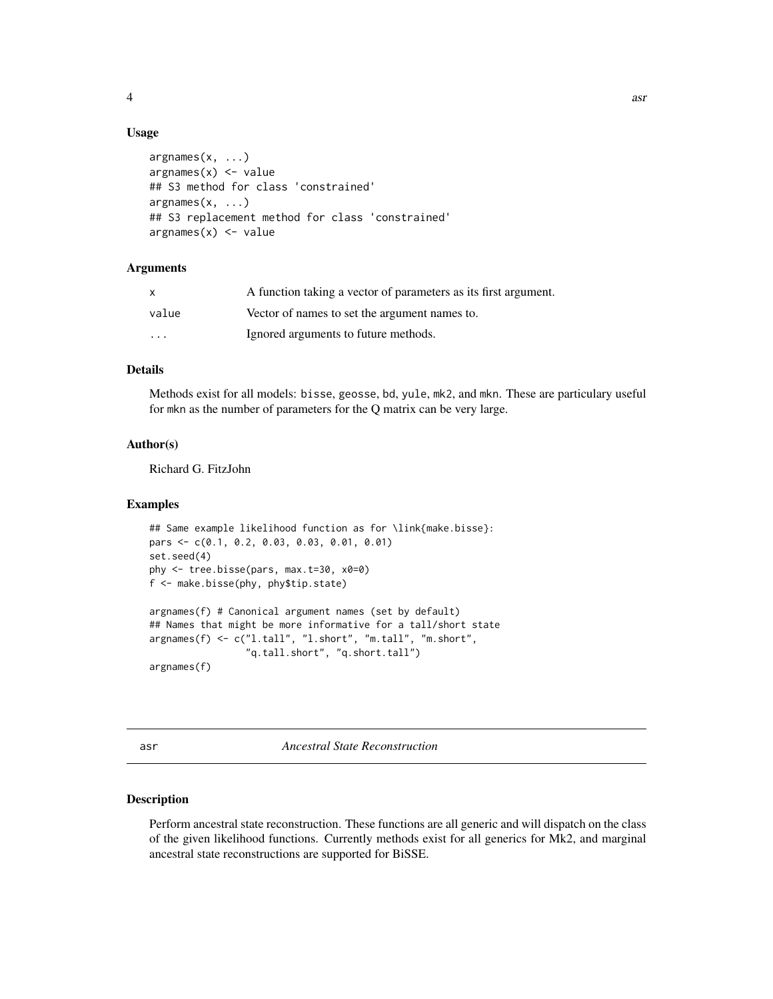<span id="page-3-0"></span>

## Usage

```
argnames(x, ...)
argnames(x) <- value
## S3 method for class 'constrained'
argnames(x, \ldots)## S3 replacement method for class 'constrained'
argnames(x) <- value
```
# Arguments

| X     | A function taking a vector of parameters as its first argument. |
|-------|-----------------------------------------------------------------|
| value | Vector of names to set the argument names to.                   |
| .     | Ignored arguments to future methods.                            |

# Details

Methods exist for all models: bisse, geosse, bd, yule, mk2, and mkn. These are particulary useful for mkn as the number of parameters for the Q matrix can be very large.

# Author(s)

Richard G. FitzJohn

## Examples

```
## Same example likelihood function as for \link{make.bisse}:
pars <- c(0.1, 0.2, 0.03, 0.03, 0.01, 0.01)
set.seed(4)
phy <- tree.bisse(pars, max.t=30, x0=0)
f <- make.bisse(phy, phy$tip.state)
argnames(f) # Canonical argument names (set by default)
## Names that might be more informative for a tall/short state
argnames(f) <- c("l.tall", "l.short", "m.tall", "m.short",
                 "q.tall.short", "q.short.tall")
argnames(f)
```
<span id="page-3-1"></span>asr *Ancestral State Reconstruction*

## Description

Perform ancestral state reconstruction. These functions are all generic and will dispatch on the class of the given likelihood functions. Currently methods exist for all generics for Mk2, and marginal ancestral state reconstructions are supported for BiSSE.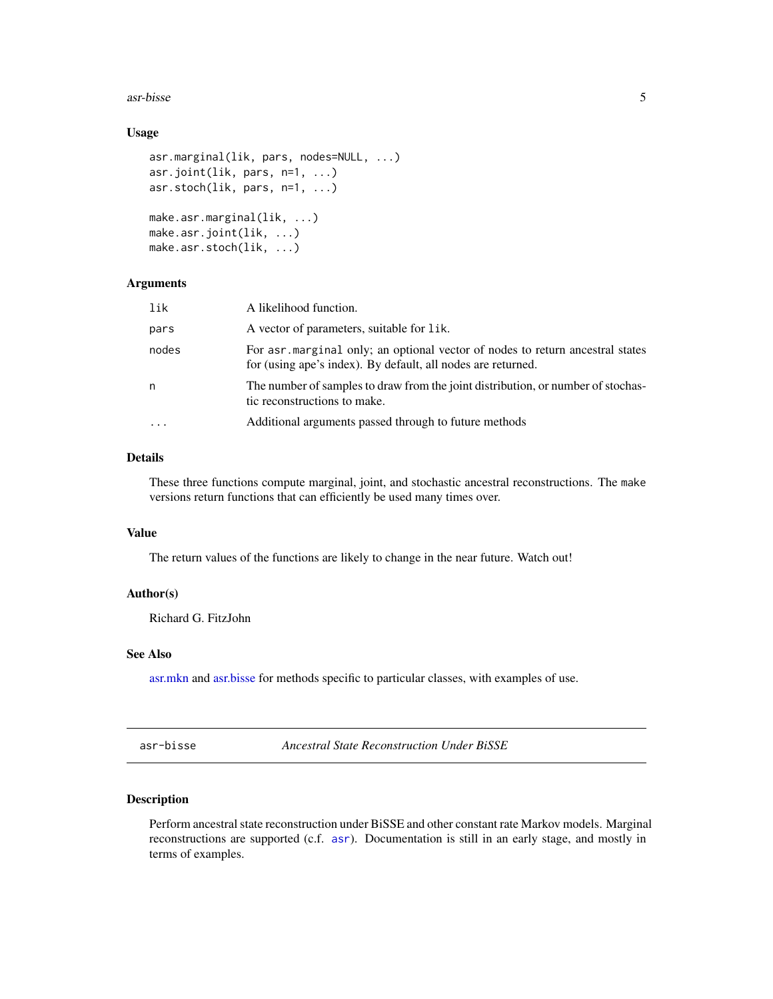<span id="page-4-0"></span> $\frac{1}{2}$  asr-bisse  $\frac{5}{2}$ 

# Usage

```
asr.marginal(lik, pars, nodes=NULL, ...)
asr.joint(lik, pars, n=1, ...)
asr.stoch(lik, pars, n=1, ...)
make.asr.marginal(lik, ...)
make.asr.joint(lik, ...)
make.asr.stoch(lik, ...)
```
# Arguments

| lik       | A likelihood function.                                                                                                                        |
|-----------|-----------------------------------------------------------------------------------------------------------------------------------------------|
| pars      | A vector of parameters, suitable for lik.                                                                                                     |
| nodes     | For asr marginal only; an optional vector of nodes to return ancestral states<br>for (using ape's index). By default, all nodes are returned. |
| n         | The number of samples to draw from the joint distribution, or number of stochas-<br>tic reconstructions to make.                              |
| $\ddotsc$ | Additional arguments passed through to future methods                                                                                         |

# Details

These three functions compute marginal, joint, and stochastic ancestral reconstructions. The make versions return functions that can efficiently be used many times over.

# Value

The return values of the functions are likely to change in the near future. Watch out!

# Author(s)

Richard G. FitzJohn

# See Also

[asr.mkn](#page-6-1) and [asr.bisse](#page-4-1) for methods specific to particular classes, with examples of use.

asr-bisse *Ancestral State Reconstruction Under BiSSE*

## <span id="page-4-1"></span>Description

Perform ancestral state reconstruction under BiSSE and other constant rate Markov models. Marginal reconstructions are supported (c.f. [asr](#page-3-1)). Documentation is still in an early stage, and mostly in terms of examples.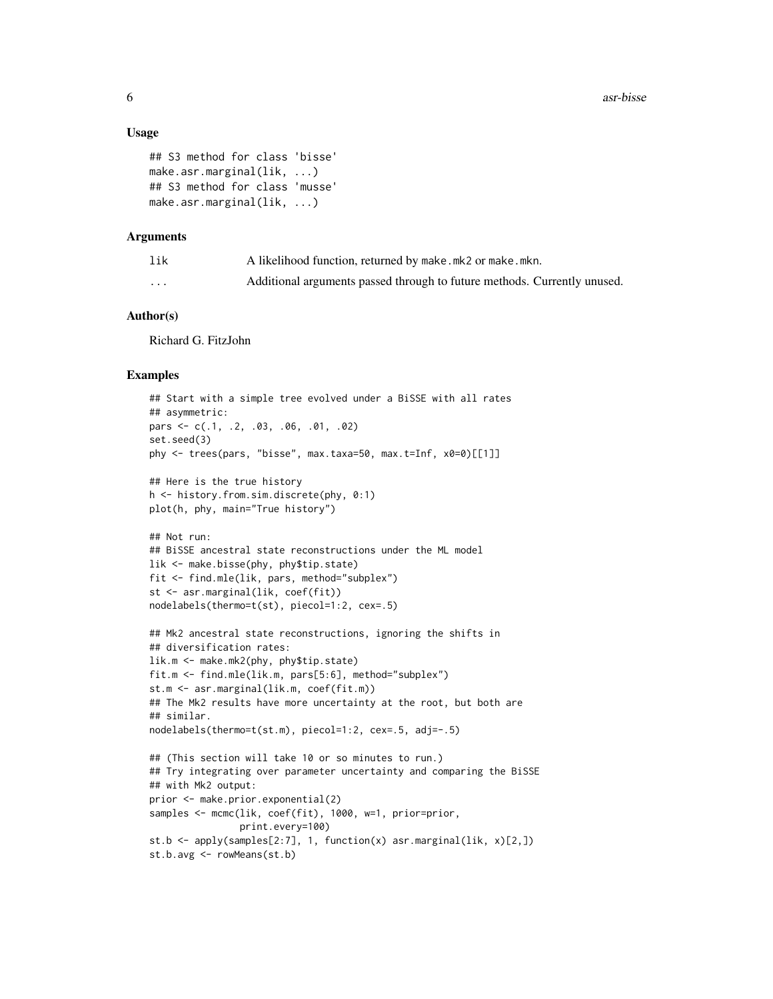## Usage

```
## S3 method for class 'bisse'
make.asr.marginal(lik, ...)
## S3 method for class 'musse'
make.asr.marginal(lik, ...)
```
#### Arguments

| lik      | A likelihood function, returned by make.mk2 or make.mkn.                 |
|----------|--------------------------------------------------------------------------|
| $\cdots$ | Additional arguments passed through to future methods. Currently unused. |

# Author(s)

Richard G. FitzJohn

#### Examples

```
## Start with a simple tree evolved under a BiSSE with all rates
## asymmetric:
pars <- c(.1, .2, .03, .06, .01, .02)
set.seed(3)
phy <- trees(pars, "bisse", max.taxa=50, max.t=Inf, x0=0)[[1]]
## Here is the true history
h <- history.from.sim.discrete(phy, 0:1)
plot(h, phy, main="True history")
## Not run:
## BiSSE ancestral state reconstructions under the ML model
lik <- make.bisse(phy, phy$tip.state)
fit <- find.mle(lik, pars, method="subplex")
st <- asr.marginal(lik, coef(fit))
nodelabels(thermo=t(st), piecol=1:2, cex=.5)
## Mk2 ancestral state reconstructions, ignoring the shifts in
## diversification rates:
lik.m <- make.mk2(phy, phy$tip.state)
fit.m <- find.mle(lik.m, pars[5:6], method="subplex")
st.m <- asr.marginal(lik.m, coef(fit.m))
## The Mk2 results have more uncertainty at the root, but both are
## similar.
nodelabels(thermo=t(st.m), piecol=1:2, cex=.5, adj=-.5)
## (This section will take 10 or so minutes to run.)
## Try integrating over parameter uncertainty and comparing the BiSSE
## with Mk2 output:
prior <- make.prior.exponential(2)
samples <- mcmc(lik, coef(fit), 1000, w=1, prior=prior,
                print.every=100)
st.b \leq apply(samples[2:7], 1, function(x) asr.marginal(lik, x)[2,])
st.b.avg <- rowMeans(st.b)
```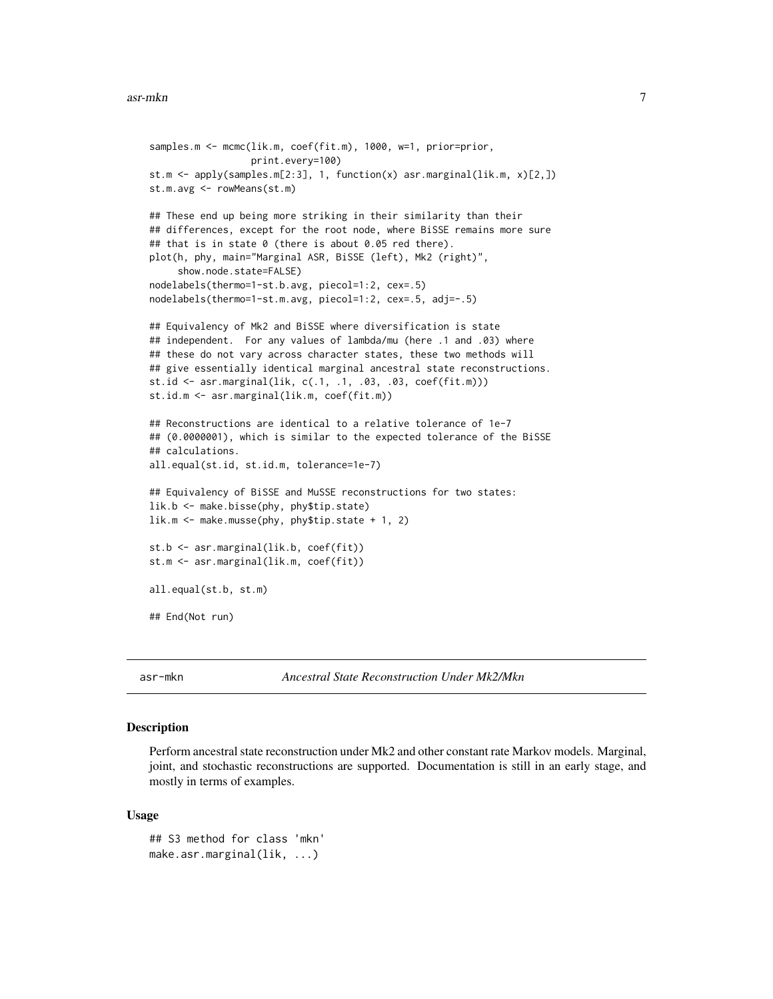```
samples.m <- mcmc(lik.m, coef(fit.m), 1000, w=1, prior=prior,
                  print.every=100)
st.m <- apply(samples.m[2:3], 1, function(x) asr.marginal(lik.m, x)[2,])
st.m.avg <- rowMeans(st.m)
## These end up being more striking in their similarity than their
## differences, except for the root node, where BiSSE remains more sure
## that is in state 0 (there is about 0.05 red there).
plot(h, phy, main="Marginal ASR, BiSSE (left), Mk2 (right)",
     show.node.state=FALSE)
nodelabels(thermo=1-st.b.avg, piecol=1:2, cex=.5)
nodelabels(thermo=1-st.m.avg, piecol=1:2, cex=.5, adj=-.5)
## Equivalency of Mk2 and BiSSE where diversification is state
## independent. For any values of lambda/mu (here .1 and .03) where
## these do not vary across character states, these two methods will
## give essentially identical marginal ancestral state reconstructions.
st.id <- asr.marginal(lik, c(.1, .1, .03, .03, coef(fit.m)))
st.id.m <- asr.marginal(lik.m, coef(fit.m))
## Reconstructions are identical to a relative tolerance of 1e-7
## (0.0000001), which is similar to the expected tolerance of the BiSSE
## calculations.
all.equal(st.id, st.id.m, tolerance=1e-7)
## Equivalency of BiSSE and MuSSE reconstructions for two states:
lik.b <- make.bisse(phy, phy$tip.state)
lik.m <- make.musse(phy, phy$tip.state + 1, 2)
st.b <- asr.marginal(lik.b, coef(fit))
st.m <- asr.marginal(lik.m, coef(fit))
all.equal(st.b, st.m)
## End(Not run)
```
asr-mkn *Ancestral State Reconstruction Under Mk2/Mkn*

# <span id="page-6-1"></span>Description

Perform ancestral state reconstruction under Mk2 and other constant rate Markov models. Marginal, joint, and stochastic reconstructions are supported. Documentation is still in an early stage, and mostly in terms of examples.

#### Usage

```
## S3 method for class 'mkn'
make.asr.marginal(lik, ...)
```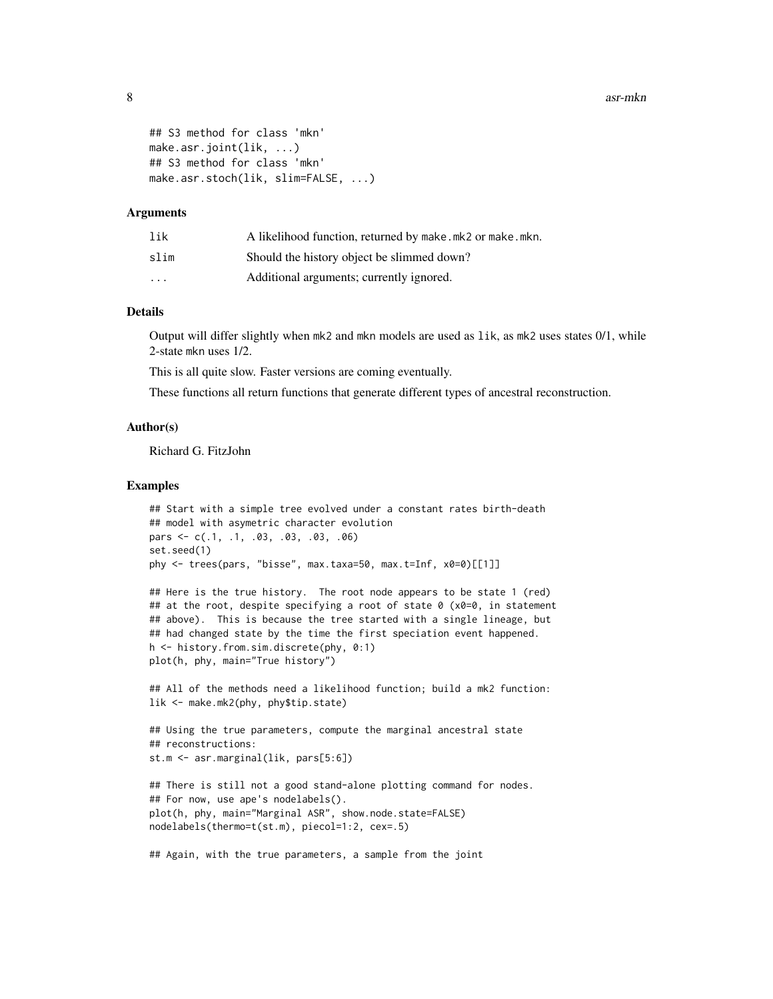```
## S3 method for class 'mkn'
make.asr.joint(lik, ...)
## S3 method for class 'mkn'
make.asr.stoch(lik, slim=FALSE, ...)
```
#### Arguments

| lik      | A likelihood function, returned by make.mk2 or make.mkn. |
|----------|----------------------------------------------------------|
| slim     | Should the history object be slimmed down?               |
| $\cdots$ | Additional arguments; currently ignored.                 |

## Details

Output will differ slightly when mk2 and mkn models are used as lik, as mk2 uses states 0/1, while 2-state mkn uses 1/2.

This is all quite slow. Faster versions are coming eventually.

These functions all return functions that generate different types of ancestral reconstruction.

## Author(s)

Richard G. FitzJohn

## Examples

```
## Start with a simple tree evolved under a constant rates birth-death
## model with asymetric character evolution
pars <- c(.1, .1, .03, .03, .03, .06)
set.seed(1)
phy <- trees(pars, "bisse", max.taxa=50, max.t=Inf, x0=0)[[1]]
```

```
## Here is the true history. The root node appears to be state 1 (red)
## at the root, despite specifying a root of state 0 (x0=0, in statement
## above). This is because the tree started with a single lineage, but
## had changed state by the time the first speciation event happened.
h <- history.from.sim.discrete(phy, 0:1)
plot(h, phy, main="True history")
```
## All of the methods need a likelihood function; build a mk2 function: lik <- make.mk2(phy, phy\$tip.state)

```
## Using the true parameters, compute the marginal ancestral state
## reconstructions:
st.m <- asr.marginal(lik, pars[5:6])
```

```
## There is still not a good stand-alone plotting command for nodes.
## For now, use ape's nodelabels().
plot(h, phy, main="Marginal ASR", show.node.state=FALSE)
nodelabels(thermo=t(st.m), piecol=1:2, cex=.5)
```

```
## Again, with the true parameters, a sample from the joint
```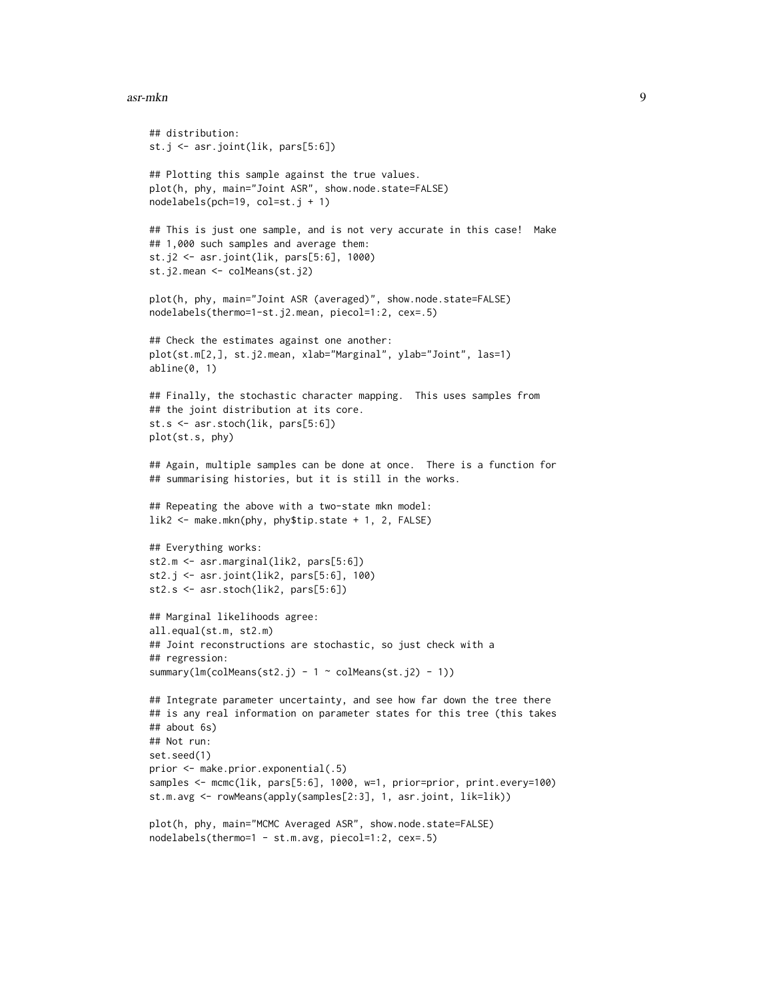#### asr-mkn 9

```
## distribution:
st.j <- asr.joint(lik, pars[5:6])
## Plotting this sample against the true values.
plot(h, phy, main="Joint ASR", show.node.state=FALSE)
nodelabels(pch=19, col=st.j + 1)
## This is just one sample, and is not very accurate in this case! Make
## 1,000 such samples and average them:
st.j2 <- asr.joint(lik, pars[5:6], 1000)
st.j2.mean <- colMeans(st.j2)
plot(h, phy, main="Joint ASR (averaged)", show.node.state=FALSE)
nodelabels(thermo=1-st.j2.mean, piecol=1:2, cex=.5)
## Check the estimates against one another:
plot(st.m[2,], st.j2.mean, xlab="Marginal", ylab="Joint", las=1)
abline(0, 1)
## Finally, the stochastic character mapping. This uses samples from
## the joint distribution at its core.
st.s <- asr.stoch(lik, pars[5:6])
plot(st.s, phy)
## Again, multiple samples can be done at once. There is a function for
## summarising histories, but it is still in the works.
## Repeating the above with a two-state mkn model:
lik2 <- make.mkn(phy, phy$tip.state + 1, 2, FALSE)
## Everything works:
st2.m <- asr.marginal(lik2, pars[5:6])
st2.j <- asr.joint(lik2, pars[5:6], 100)
st2.s <- asr.stoch(lik2, pars[5:6])
## Marginal likelihoods agree:
all.equal(st.m, st2.m)
## Joint reconstructions are stochastic, so just check with a
## regression:
summary(lm(colMeans(st2.j) - 1 \sim colMeans(st.j2) - 1))
## Integrate parameter uncertainty, and see how far down the tree there
## is any real information on parameter states for this tree (this takes
## about 6s)
## Not run:
set.seed(1)
prior <- make.prior.exponential(.5)
samples <- mcmc(lik, pars[5:6], 1000, w=1, prior=prior, print.every=100)
st.m.avg <- rowMeans(apply(samples[2:3], 1, asr.joint, lik=lik))
plot(h, phy, main="MCMC Averaged ASR", show.node.state=FALSE)
```
nodelabels(thermo=1 - st.m.avg, piecol=1:2, cex=.5)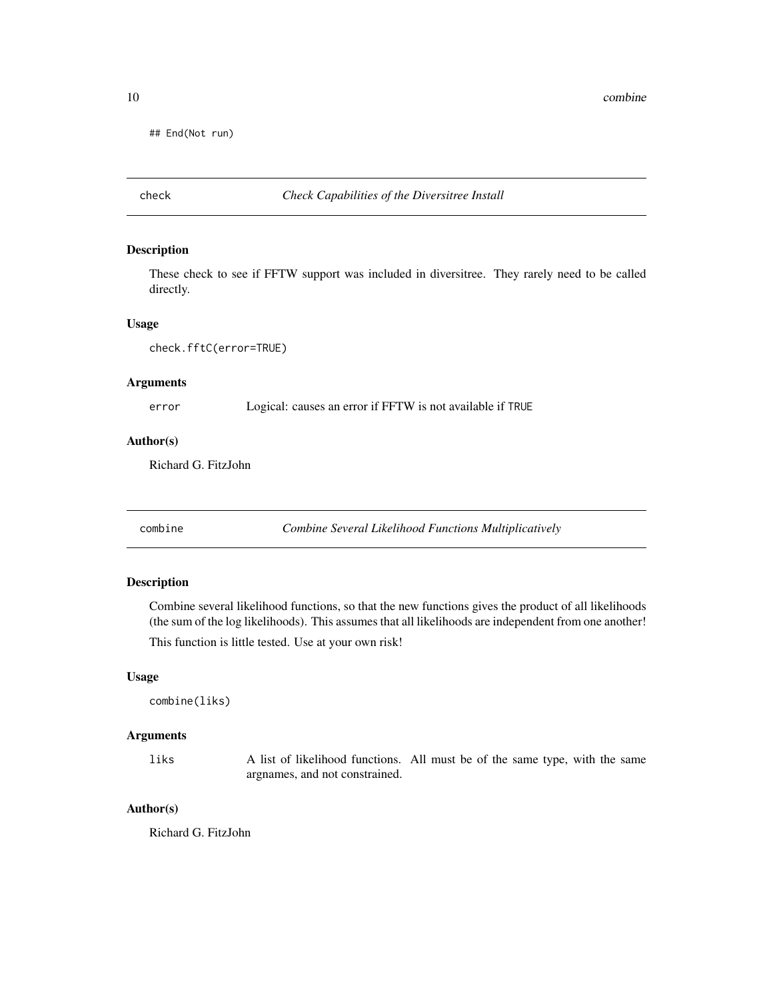<span id="page-9-0"></span>## End(Not run)

# check *Check Capabilities of the Diversitree Install*

## Description

These check to see if FFTW support was included in diversitree. They rarely need to be called directly.

## Usage

```
check.fftC(error=TRUE)
```
# Arguments

error Logical: causes an error if FFTW is not available if TRUE

# Author(s)

Richard G. FitzJohn

combine *Combine Several Likelihood Functions Multiplicatively*

# Description

Combine several likelihood functions, so that the new functions gives the product of all likelihoods (the sum of the log likelihoods). This assumes that all likelihoods are independent from one another!

This function is little tested. Use at your own risk!

## Usage

combine(liks)

# Arguments

liks A list of likelihood functions. All must be of the same type, with the same argnames, and not constrained.

## Author(s)

Richard G. FitzJohn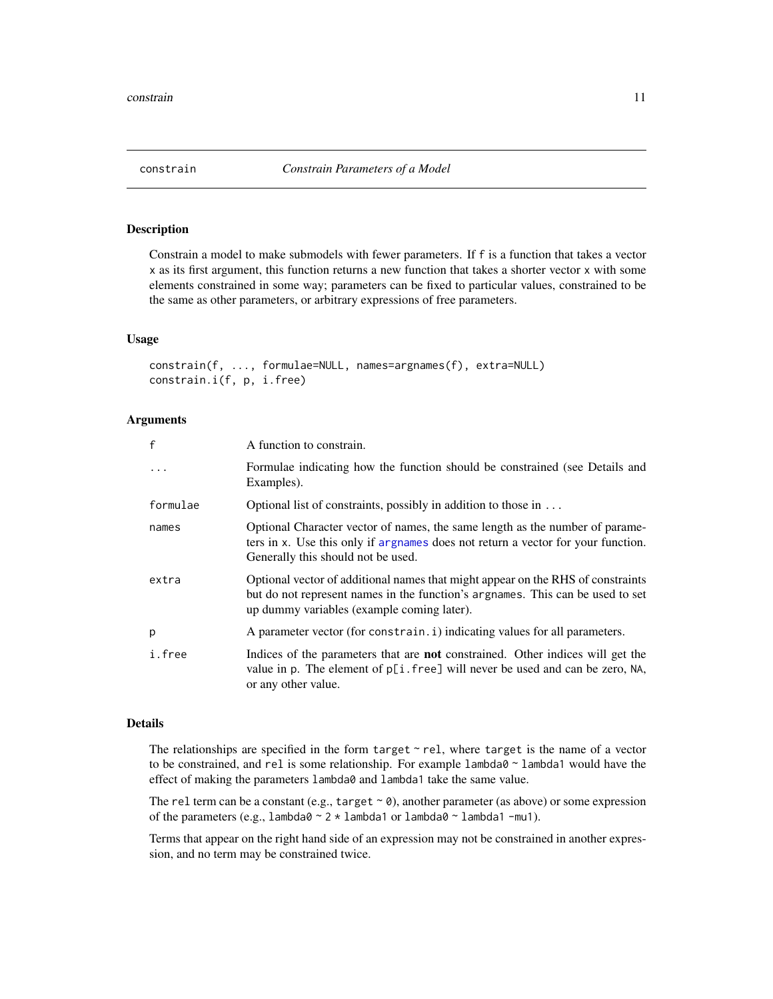<span id="page-10-1"></span><span id="page-10-0"></span>

# Description

Constrain a model to make submodels with fewer parameters. If f is a function that takes a vector x as its first argument, this function returns a new function that takes a shorter vector x with some elements constrained in some way; parameters can be fixed to particular values, constrained to be the same as other parameters, or arbitrary expressions of free parameters.

## Usage

```
constrain(f, ..., formulae=NULL, names=argnames(f), extra=NULL)
constrain.i(f, p, i.free)
```
## Arguments

| $\mathsf{f}$ | A function to constrain.                                                                                                                                                                                        |
|--------------|-----------------------------------------------------------------------------------------------------------------------------------------------------------------------------------------------------------------|
| $\cdot$      | Formulae indicating how the function should be constrained (see Details and<br>Examples).                                                                                                                       |
| formulae     | Optional list of constraints, possibly in addition to those in $\dots$                                                                                                                                          |
| names        | Optional Character vector of names, the same length as the number of parame-<br>ters in x. Use this only if argnames does not return a vector for your function.<br>Generally this should not be used.          |
| extra        | Optional vector of additional names that might appear on the RHS of constraints<br>but do not represent names in the function's argnames. This can be used to set<br>up dummy variables (example coming later). |
| p            | A parameter vector (for constrain. i) indicating values for all parameters.                                                                                                                                     |
| i.free       | Indices of the parameters that are <b>not</b> constrained. Other indices will get the<br>value in p. The element of p[i.free] will never be used and can be zero, NA,<br>or any other value.                    |

## Details

The relationships are specified in the form target  $\sim$  rel, where target is the name of a vector to be constrained, and rel is some relationship. For example  $l$ ambda $0 \sim$ lambda1 would have the effect of making the parameters lambda0 and lambda1 take the same value.

The rel term can be a constant (e.g., target  $\sim \emptyset$ ), another parameter (as above) or some expression of the parameters (e.g.,  $l$ ambda $0 \sim 2 \times l$ ambda1 or  $l$ ambda $0 \sim l$ ambda1 -mu1).

Terms that appear on the right hand side of an expression may not be constrained in another expression, and no term may be constrained twice.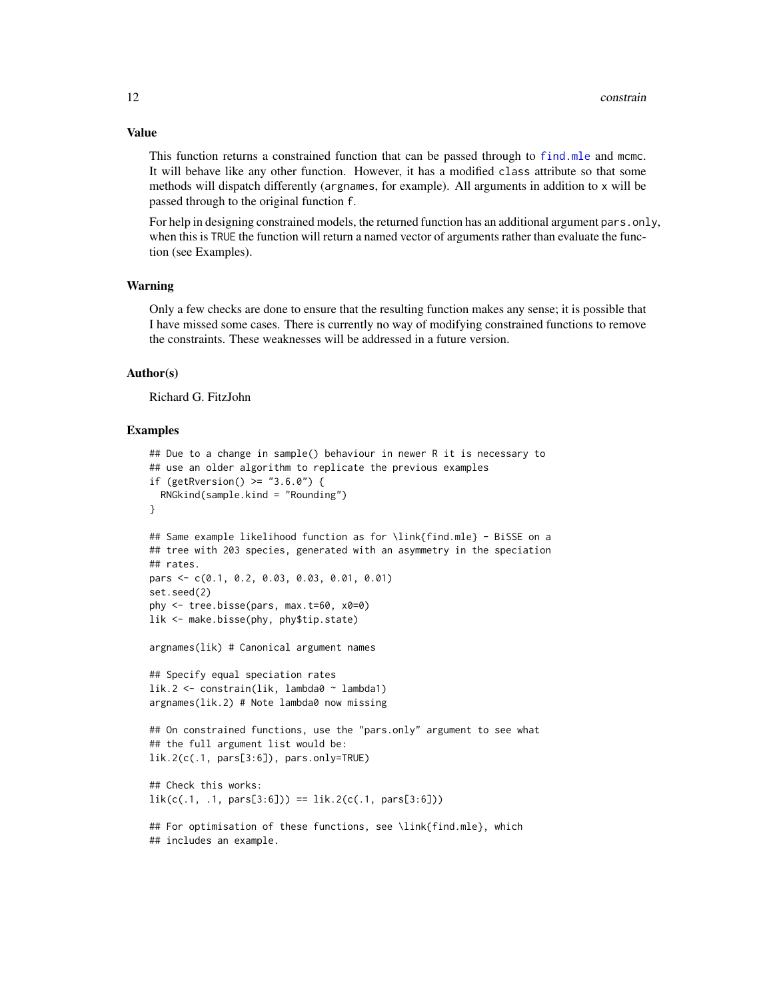# Value

This function returns a constrained function that can be passed through to [find.mle](#page-12-1) and mcmc. It will behave like any other function. However, it has a modified class attribute so that some methods will dispatch differently (argnames, for example). All arguments in addition to x will be passed through to the original function f.

For help in designing constrained models, the returned function has an additional argument pars.only, when this is TRUE the function will return a named vector of arguments rather than evaluate the function (see Examples).

## Warning

Only a few checks are done to ensure that the resulting function makes any sense; it is possible that I have missed some cases. There is currently no way of modifying constrained functions to remove the constraints. These weaknesses will be addressed in a future version.

## Author(s)

Richard G. FitzJohn

#### Examples

```
## Due to a change in sample() behaviour in newer R it is necessary to
## use an older algorithm to replicate the previous examples
if (getRversion() > = "3.6.0") {
  RNGkind(sample.kind = "Rounding")
}
## Same example likelihood function as for \link{find.mle} - BiSSE on a
## tree with 203 species, generated with an asymmetry in the speciation
## rates.
pars <- c(0.1, 0.2, 0.03, 0.03, 0.01, 0.01)
set.seed(2)
phy <- tree.bisse(pars, max.t=60, x0=0)
lik <- make.bisse(phy, phy$tip.state)
argnames(lik) # Canonical argument names
## Specify equal speciation rates
lik.2 <- constrain(lik, lambda0 ~ lambda1)
argnames(lik.2) # Note lambda0 now missing
## On constrained functions, use the "pars.only" argument to see what
## the full argument list would be:
lik.2(c(.1, pars[3:6]), pars.only=TRUE)
## Check this works:
lik(c(.1, .1, parse[3:6])) == lik.2(c(.1, parse[3:6]))## For optimisation of these functions, see \link{find.mle}, which
## includes an example.
```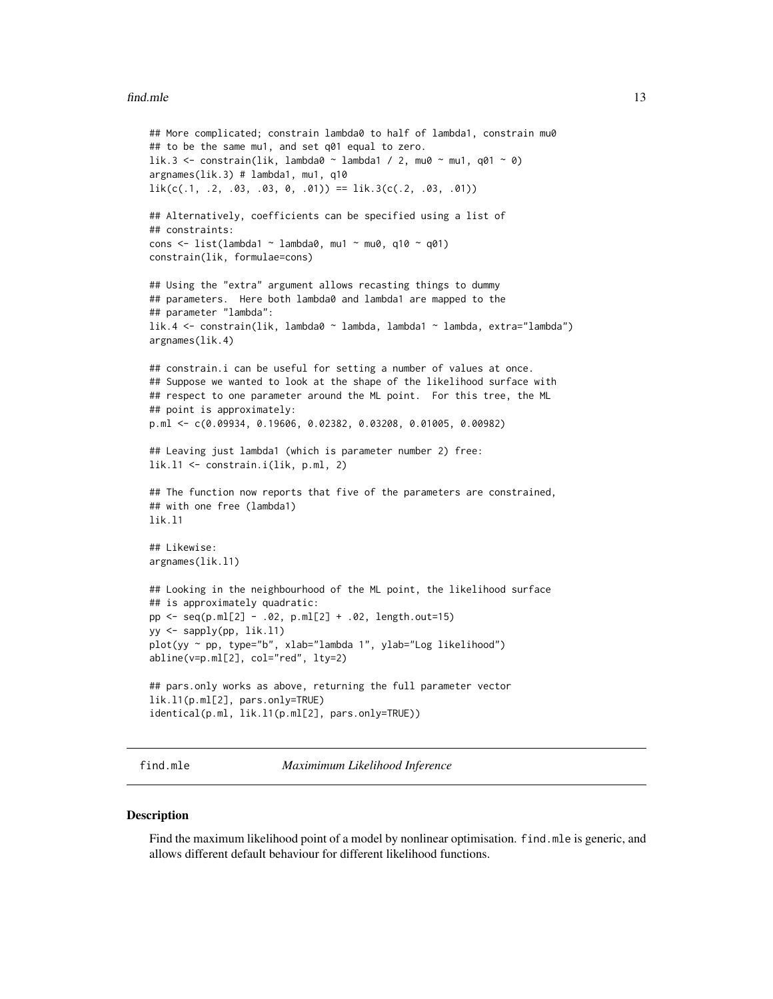#### <span id="page-12-0"></span>find.mle that the same state of the state of the state of the state of the state of the state of the state of the state of the state of the state of the state of the state of the state of the state of the state of the stat

```
## More complicated; constrain lambda0 to half of lambda1, constrain mu0
## to be the same mu1, and set q01 equal to zero.
lik.3 <- constrain(lik, lambda0 ~ lambda1 / 2, mu0 ~ mu1, q01 ~ 0)
argnames(lik.3) # lambda1, mu1, q10
lik(c(.1, .2, .03, .03, 0, .01)) == lik.3(c(.2, .03, .01))## Alternatively, coefficients can be specified using a list of
## constraints:
cons \le list(lambda1 \sim lambda0, mu1 \sim mu0, q10 \sim q01)
constrain(lik, formulae=cons)
## Using the "extra" argument allows recasting things to dummy
## parameters. Here both lambda0 and lambda1 are mapped to the
## parameter "lambda":
lik.4 <- constrain(lik, lambda0 ~ lambda, lambda1 ~ lambda, extra="lambda")
argnames(lik.4)
## constrain.i can be useful for setting a number of values at once.
## Suppose we wanted to look at the shape of the likelihood surface with
## respect to one parameter around the ML point. For this tree, the ML
## point is approximately:
p.ml <- c(0.09934, 0.19606, 0.02382, 0.03208, 0.01005, 0.00982)
## Leaving just lambda1 (which is parameter number 2) free:
lik.l1 <- constrain.i(lik, p.ml, 2)
## The function now reports that five of the parameters are constrained,
## with one free (lambda1)
lik.l1
## Likewise:
argnames(lik.l1)
## Looking in the neighbourhood of the ML point, the likelihood surface
## is approximately quadratic:
pp <- seq(p.ml[2] - .02, p.ml[2] + .02, length.out=15)
yy <- sapply(pp, lik.l1)
plot(yy ~ pp, type="b", xlab="lambda 1", ylab="Log likelihood")
abline(v=p.ml[2], col="red", lty=2)
## pars.only works as above, returning the full parameter vector
lik.l1(p.ml[2], pars.only=TRUE)
identical(p.ml, lik.l1(p.ml[2], pars.only=TRUE))
```
find.mle *Maximimum Likelihood Inference*

#### **Description**

Find the maximum likelihood point of a model by nonlinear optimisation. find.mle is generic, and allows different default behaviour for different likelihood functions.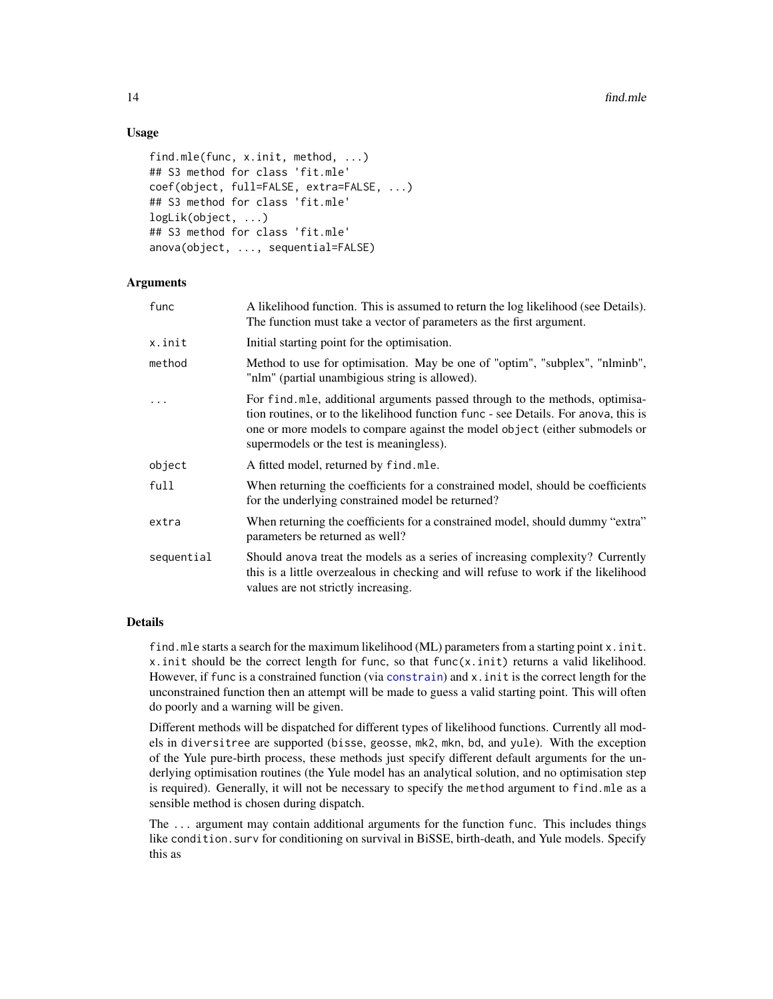# Usage

```
find.mle(func, x.init, method, ...)
## S3 method for class 'fit.mle'
coef(object, full=FALSE, extra=FALSE, ...)
## S3 method for class 'fit.mle'
logLik(object, ...)
## S3 method for class 'fit.mle'
anova(object, ..., sequential=FALSE)
```
# Arguments

| func       | A likelihood function. This is assumed to return the log likelihood (see Details).<br>The function must take a vector of parameters as the first argument.                                                                                                                                    |
|------------|-----------------------------------------------------------------------------------------------------------------------------------------------------------------------------------------------------------------------------------------------------------------------------------------------|
| x.init     | Initial starting point for the optimisation.                                                                                                                                                                                                                                                  |
| method     | Method to use for optimisation. May be one of "optim", "subplex", "nlminb",<br>"nlm" (partial unambigious string is allowed).                                                                                                                                                                 |
| $\ddots$ . | For find mle, additional arguments passed through to the methods, optimisa-<br>tion routines, or to the likelihood function func - see Details. For anova, this is<br>one or more models to compare against the model object (either submodels or<br>supermodels or the test is meaningless). |
| object     | A fitted model, returned by find.mle.                                                                                                                                                                                                                                                         |
| full       | When returning the coefficients for a constrained model, should be coefficients<br>for the underlying constrained model be returned?                                                                                                                                                          |
| extra      | When returning the coefficients for a constrained model, should dummy "extra"<br>parameters be returned as well?                                                                                                                                                                              |
| sequential | Should anova treat the models as a series of increasing complexity? Currently<br>this is a little overzealous in checking and will refuse to work if the likelihood<br>values are not strictly increasing.                                                                                    |
|            |                                                                                                                                                                                                                                                                                               |

## Details

find.mle starts a search for the maximum likelihood (ML) parameters from a starting point x. init. x. init should be the correct length for func, so that func $(x, init)$  returns a valid likelihood. However, if func is a constrained function (via [constrain](#page-10-1)) and x.init is the correct length for the unconstrained function then an attempt will be made to guess a valid starting point. This will often do poorly and a warning will be given.

Different methods will be dispatched for different types of likelihood functions. Currently all models in diversitree are supported (bisse, geosse, mk2, mkn, bd, and yule). With the exception of the Yule pure-birth process, these methods just specify different default arguments for the underlying optimisation routines (the Yule model has an analytical solution, and no optimisation step is required). Generally, it will not be necessary to specify the method argument to find.mle as a sensible method is chosen during dispatch.

The ... argument may contain additional arguments for the function func. This includes things like condition.surv for conditioning on survival in BiSSE, birth-death, and Yule models. Specify this as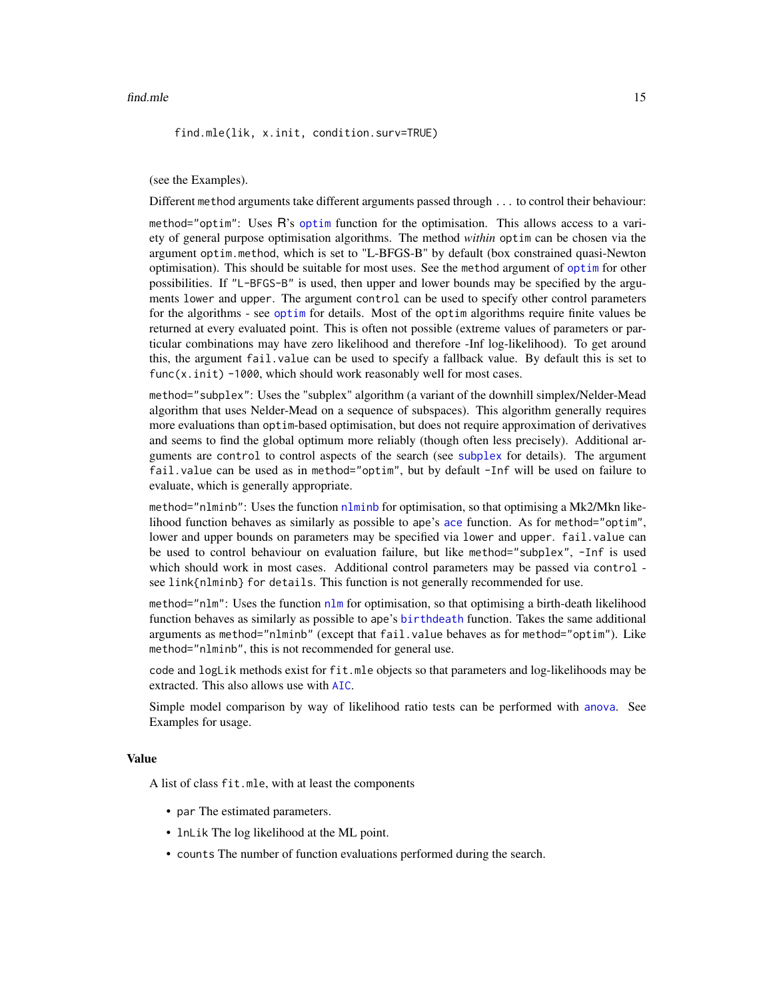find.mle(lik, x.init, condition.surv=TRUE)

(see the Examples).

Different method arguments take different arguments passed through ... to control their behaviour:

method="optim": Uses R's [optim](#page-0-0) function for the optimisation. This allows access to a variety of general purpose optimisation algorithms. The method *within* optim can be chosen via the argument optim.method, which is set to "L-BFGS-B" by default (box constrained quasi-Newton optimisation). This should be suitable for most uses. See the method argument of [optim](#page-0-0) for other possibilities. If "L-BFGS-B" is used, then upper and lower bounds may be specified by the arguments lower and upper. The argument control can be used to specify other control parameters for the algorithms - see [optim](#page-0-0) for details. Most of the optim algorithms require finite values be returned at every evaluated point. This is often not possible (extreme values of parameters or particular combinations may have zero likelihood and therefore -Inf log-likelihood). To get around this, the argument fail.value can be used to specify a fallback value. By default this is set to func(x.init) -1000, which should work reasonably well for most cases.

method="subplex": Uses the "subplex" algorithm (a variant of the downhill simplex/Nelder-Mead algorithm that uses Nelder-Mead on a sequence of subspaces). This algorithm generally requires more evaluations than optim-based optimisation, but does not require approximation of derivatives and seems to find the global optimum more reliably (though often less precisely). Additional arguments are control to control aspects of the search (see [subplex](#page-0-0) for details). The argument fail.value can be used as in method="optim", but by default -Inf will be used on failure to evaluate, which is generally appropriate.

method="[nlminb](#page-0-0)": Uses the function nlminb for optimisation, so that optimising a Mk2/Mkn likelihood function behaves as similarly as possible to ape's [ace](#page-0-0) function. As for method="optim", lower and upper bounds on parameters may be specified via lower and upper. fail.value can be used to control behaviour on evaluation failure, but like method="subplex", -Inf is used which should work in most cases. Additional control parameters may be passed via control see link{nlminb} for details. This function is not generally recommended for use.

method="nlm": Uses the function [nlm](#page-0-0) for optimisation, so that optimising a birth-death likelihood function behaves as similarly as possible to ape's [birthdeath](#page-0-0) function. Takes the same additional arguments as method="nlminb" (except that fail.value behaves as for method="optim"). Like method="nlminb", this is not recommended for general use.

code and logLik methods exist for fit.mle objects so that parameters and log-likelihoods may be extracted. This also allows use with [AIC](#page-0-0).

Simple model comparison by way of likelihood ratio tests can be performed with [anova](#page-0-0). See Examples for usage.

## Value

A list of class fit.mle, with at least the components

- par The estimated parameters.
- lnLik The log likelihood at the ML point.
- counts The number of function evaluations performed during the search.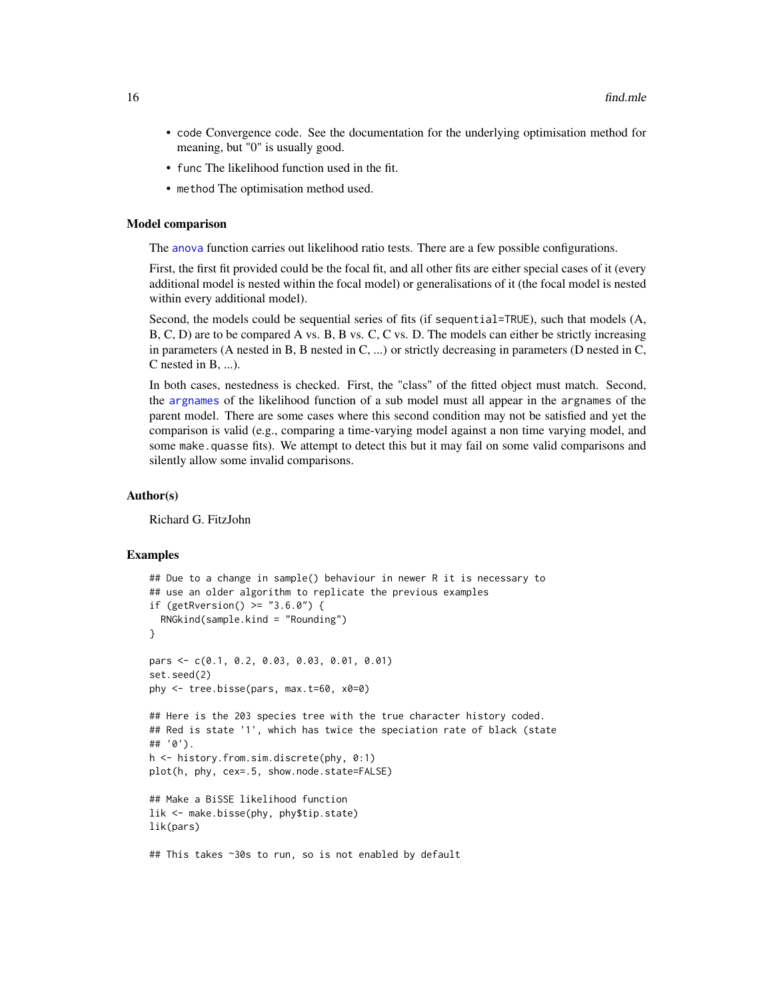- code Convergence code. See the documentation for the underlying optimisation method for meaning, but "0" is usually good.
- func The likelihood function used in the fit.
- method The optimisation method used.

#### Model comparison

The [anova](#page-0-0) function carries out likelihood ratio tests. There are a few possible configurations.

First, the first fit provided could be the focal fit, and all other fits are either special cases of it (every additional model is nested within the focal model) or generalisations of it (the focal model is nested within every additional model).

Second, the models could be sequential series of fits (if sequential=TRUE), such that models (A, B, C, D) are to be compared A vs. B, B vs. C, C vs. D. The models can either be strictly increasing in parameters (A nested in B, B nested in  $C$ , ...) or strictly decreasing in parameters (D nested in  $C$ , C nested in B, ...).

In both cases, nestedness is checked. First, the "class" of the fitted object must match. Second, the [argnames](#page-2-1) of the likelihood function of a sub model must all appear in the argnames of the parent model. There are some cases where this second condition may not be satisfied and yet the comparison is valid (e.g., comparing a time-varying model against a non time varying model, and some make, quasse fits). We attempt to detect this but it may fail on some valid comparisons and silently allow some invalid comparisons.

#### Author(s)

Richard G. FitzJohn

#### Examples

```
## Due to a change in sample() behaviour in newer R it is necessary to
## use an older algorithm to replicate the previous examples
if (getRversion() > = "3.6.0") {
  RNGkind(sample.kind = "Rounding")
}
pars <- c(0.1, 0.2, 0.03, 0.03, 0.01, 0.01)
set.seed(2)
phy <- tree.bisse(pars, max.t=60, x0=0)
## Here is the 203 species tree with the true character history coded.
## Red is state '1', which has twice the speciation rate of black (state
## '0').
h <- history.from.sim.discrete(phy, 0:1)
plot(h, phy, cex=.5, show.node.state=FALSE)
## Make a BiSSE likelihood function
lik <- make.bisse(phy, phy$tip.state)
lik(pars)
## This takes ~30s to run, so is not enabled by default
```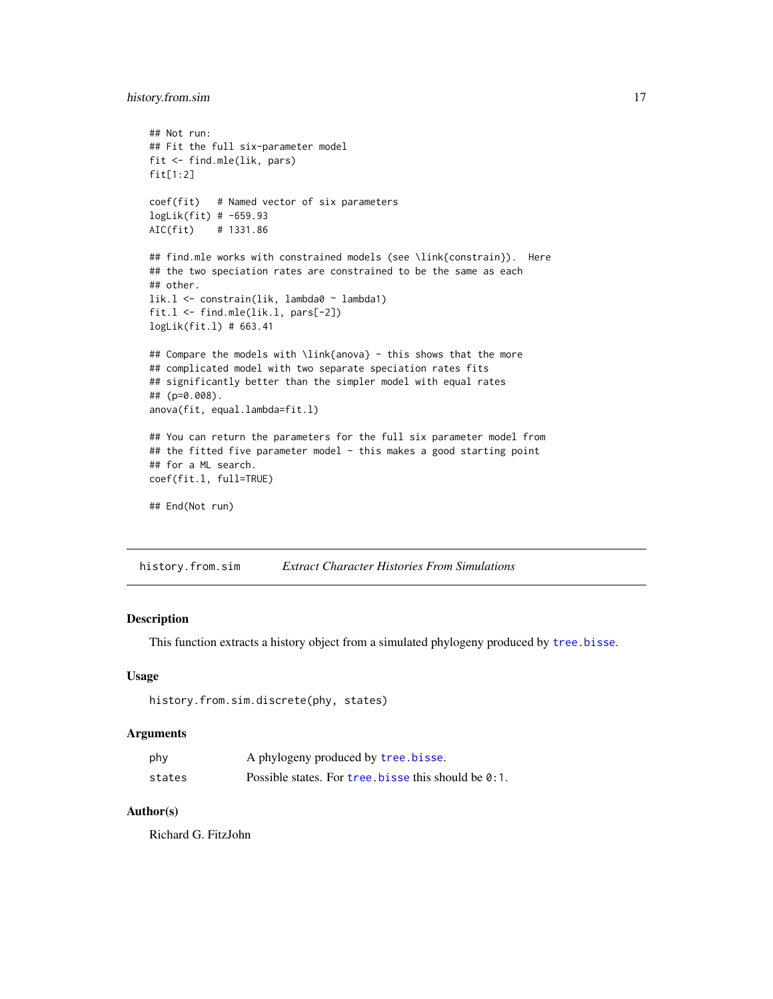# <span id="page-16-0"></span>history.from.sim 17

```
## Not run:
## Fit the full six-parameter model
fit <- find.mle(lik, pars)
fit[1:2]coef(fit) # Named vector of six parameters
logLik(fit) # -659.93
AIC(fit) # 1331.86
## find.mle works with constrained models (see \link{constrain}). Here
## the two speciation rates are constrained to be the same as each
## other.
lik.l <- constrain(lik, lambda0 ~ lambda1)
fit.l <- find.mle(lik.l, pars[-2])
logLik(fit.l) # 663.41
## Compare the models with \link{anova} - this shows that the more
## complicated model with two separate speciation rates fits
## significantly better than the simpler model with equal rates
## (p=0.008).
anova(fit, equal.lambda=fit.l)
## You can return the parameters for the full six parameter model from
## the fitted five parameter model - this makes a good starting point
## for a ML search.
coef(fit.l, full=TRUE)
## End(Not run)
```
history.from.sim *Extract Character Histories From Simulations*

#### Description

This function extracts a history object from a simulated phylogeny produced by [tree.bisse](#page-82-1).

#### Usage

```
history.from.sim.discrete(phy, states)
```
## Arguments

| phy    | A phylogeny produced by tree.bisse.                  |
|--------|------------------------------------------------------|
| states | Possible states. For tree, bisse this should be 0:1. |

## Author(s)

Richard G. FitzJohn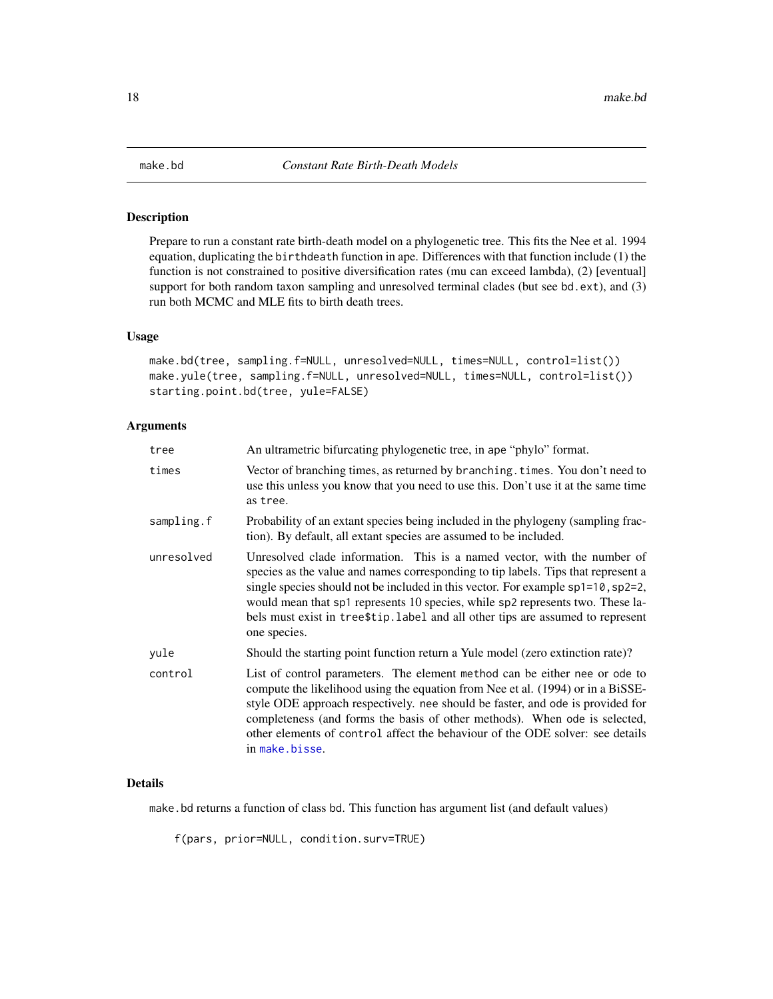<span id="page-17-1"></span><span id="page-17-0"></span>

## Description

Prepare to run a constant rate birth-death model on a phylogenetic tree. This fits the Nee et al. 1994 equation, duplicating the birthdeath function in ape. Differences with that function include (1) the function is not constrained to positive diversification rates (mu can exceed lambda), (2) [eventual] support for both random taxon sampling and unresolved terminal clades (but see bd.ext), and (3) run both MCMC and MLE fits to birth death trees.

#### Usage

```
make.bd(tree, sampling.f=NULL, unresolved=NULL, times=NULL, control=list())
make.yule(tree, sampling.f=NULL, unresolved=NULL, times=NULL, control=list())
starting.point.bd(tree, yule=FALSE)
```
#### Arguments

| tree       | An ultrametric bifurcating phylogenetic tree, in ape "phylo" format.                                                                                                                                                                                                                                                                                                                                                                  |
|------------|---------------------------------------------------------------------------------------------------------------------------------------------------------------------------------------------------------------------------------------------------------------------------------------------------------------------------------------------------------------------------------------------------------------------------------------|
| times      | Vector of branching times, as returned by branching. times. You don't need to<br>use this unless you know that you need to use this. Don't use it at the same time<br>as tree.                                                                                                                                                                                                                                                        |
| sampling.f | Probability of an extant species being included in the phylogeny (sampling frac-<br>tion). By default, all extant species are assumed to be included.                                                                                                                                                                                                                                                                                 |
| unresolved | Unresolved clade information. This is a named vector, with the number of<br>species as the value and names corresponding to tip labels. Tips that represent a<br>single species should not be included in this vector. For example sp1=10, sp2=2,<br>would mean that sp1 represents 10 species, while sp2 represents two. These la-<br>bels must exist in tree\$tip.label and all other tips are assumed to represent<br>one species. |
| yule       | Should the starting point function return a Yule model (zero extinction rate)?                                                                                                                                                                                                                                                                                                                                                        |
| control    | List of control parameters. The element method can be either nee or ode to<br>compute the likelihood using the equation from Nee et al. (1994) or in a BiSSE-<br>style ODE approach respectively. nee should be faster, and ode is provided for<br>completeness (and forms the basis of other methods). When ode is selected,<br>other elements of control affect the behaviour of the ODE solver: see details<br>in make.bisse.      |

# Details

make.bd returns a function of class bd. This function has argument list (and default values)

f(pars, prior=NULL, condition.surv=TRUE)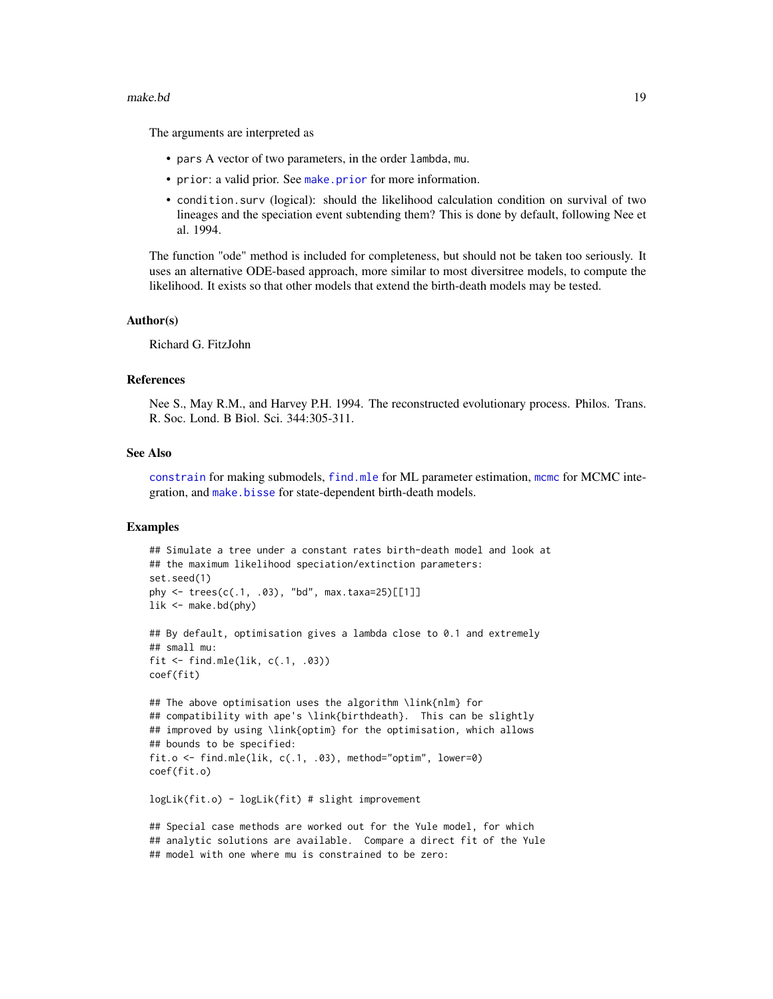#### make.bd **19**

The arguments are interpreted as

- pars A vector of two parameters, in the order lambda, mu.
- prior: a valid prior. See [make.prior](#page-67-1) for more information.
- condition.surv (logical): should the likelihood calculation condition on survival of two lineages and the speciation event subtending them? This is done by default, following Nee et al. 1994.

The function "ode" method is included for completeness, but should not be taken too seriously. It uses an alternative ODE-based approach, more similar to most diversitree models, to compute the likelihood. It exists so that other models that extend the birth-death models may be tested.

#### Author(s)

Richard G. FitzJohn

#### References

Nee S., May R.M., and Harvey P.H. 1994. The reconstructed evolutionary process. Philos. Trans. R. Soc. Lond. B Biol. Sci. 344:305-311.

## See Also

[constrain](#page-10-1) for making submodels, [find.mle](#page-12-1) for ML parameter estimation, [mcmc](#page-72-1) for MCMC integration, and [make.bisse](#page-23-1) for state-dependent birth-death models.

## Examples

```
## Simulate a tree under a constant rates birth-death model and look at
## the maximum likelihood speciation/extinction parameters:
set.seed(1)
phy <- trees(c(.1, .03), "bd", max.taxa=25)[[1]]
lik \leq make.bd(phy)
## By default, optimisation gives a lambda close to 0.1 and extremely
## small mu:
fit <- find.mle(lik, c(.1, .03))
coef(fit)
## The above optimisation uses the algorithm \link{nlm} for
## compatibility with ape's \link{birthdeath}. This can be slightly
## improved by using \link{optim} for the optimisation, which allows
## bounds to be specified:
fit.o <- find.mle(lik, c(.1, .03), method="optim", lower=0)
coef(fit.o)
logLik(fit.o) - logLik(fit) # slight improvement
```
## Special case methods are worked out for the Yule model, for which ## analytic solutions are available. Compare a direct fit of the Yule ## model with one where mu is constrained to be zero: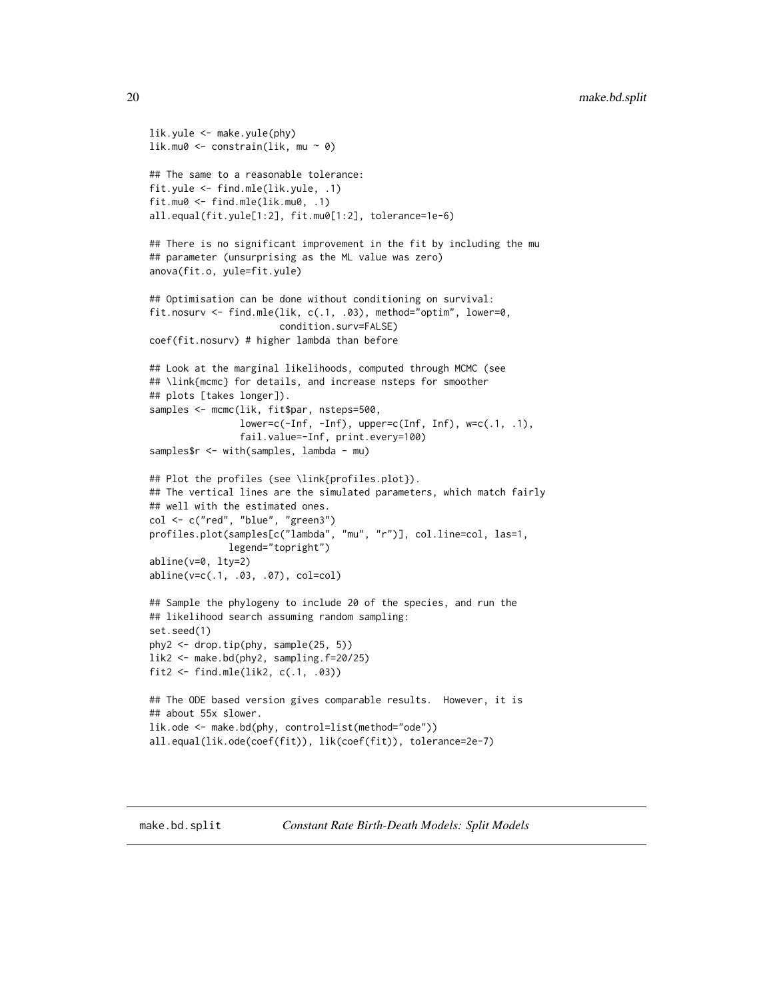```
lik.yule <- make.yule(phy)
lik.mu0 \leq constrain(lik, mu \sim 0)
## The same to a reasonable tolerance:
fit.yule <- find.mle(lik.yule, .1)
fit.mu0 <- find.mle(lik.mu0, .1)
all.equal(fit.yule[1:2], fit.mu0[1:2], tolerance=1e-6)
## There is no significant improvement in the fit by including the mu
## parameter (unsurprising as the ML value was zero)
anova(fit.o, yule=fit.yule)
## Optimisation can be done without conditioning on survival:
fit.nosurv <- find.mle(lik, c(.1, .03), method="optim", lower=0,
                       condition.surv=FALSE)
coef(fit.nosurv) # higher lambda than before
## Look at the marginal likelihoods, computed through MCMC (see
## \link{mcmc} for details, and increase nsteps for smoother
## plots [takes longer]).
samples <- mcmc(lik, fit$par, nsteps=500,
                lower=c(-Inf, -Inf), upper=c(Inf, Inf), w=c(.1, .1),fail.value=-Inf, print.every=100)
samples$r <- with(samples, lambda - mu)
## Plot the profiles (see \link{profiles.plot}).
## The vertical lines are the simulated parameters, which match fairly
## well with the estimated ones.
col <- c("red", "blue", "green3")
profiles.plot(samples[c("lambda", "mu", "r")], col.line=col, las=1,
              legend="topright")
abline(v=0, lty=2)
abline(v=c(.1, .03, .07), col=col)
## Sample the phylogeny to include 20 of the species, and run the
## likelihood search assuming random sampling:
set.seed(1)
phy2 <- drop.tip(phy, sample(25, 5))
lik2 <- make.bd(phy2, sampling.f=20/25)
fit2 <- find.mle(lik2, c(.1, .03))## The ODE based version gives comparable results. However, it is
## about 55x slower.
lik.ode <- make.bd(phy, control=list(method="ode"))
all.equal(lik.ode(coef(fit)), lik(coef(fit)), tolerance=2e-7)
```
<span id="page-19-0"></span>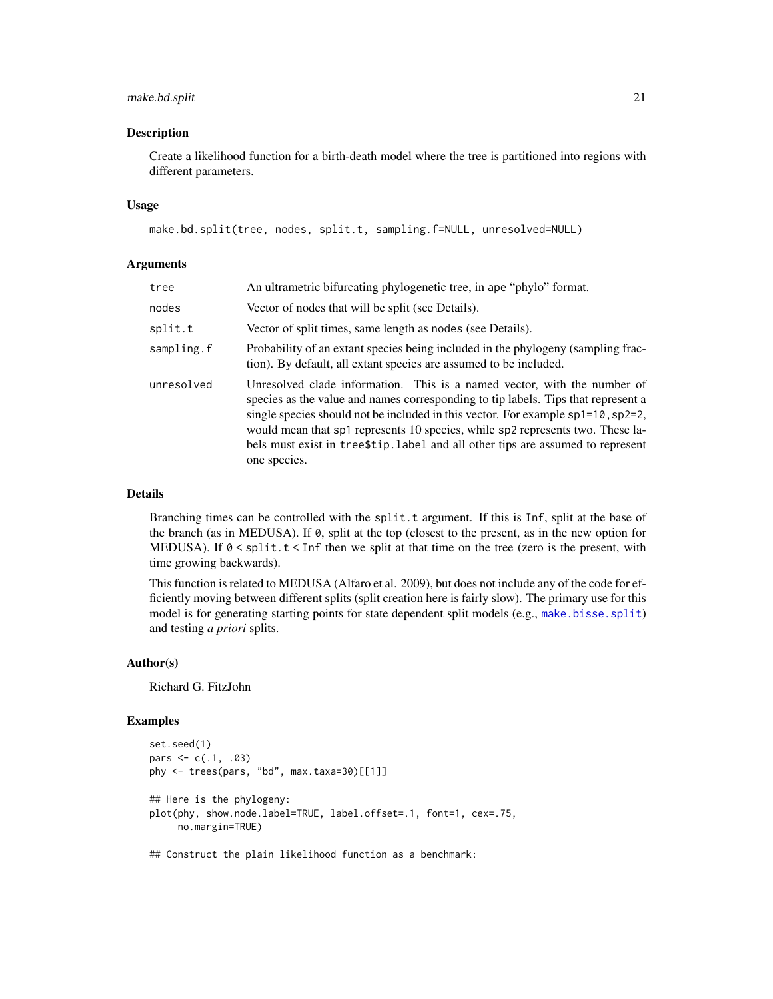# make.bd.split 21

#### Description

Create a likelihood function for a birth-death model where the tree is partitioned into regions with different parameters.

#### Usage

```
make.bd.split(tree, nodes, split.t, sampling.f=NULL, unresolved=NULL)
```
## Arguments

| tree       | An ultrametric bifurcating phylogenetic tree, in ape "phylo" format.                                                                                                                                                                                                                                                                                                                                                                         |
|------------|----------------------------------------------------------------------------------------------------------------------------------------------------------------------------------------------------------------------------------------------------------------------------------------------------------------------------------------------------------------------------------------------------------------------------------------------|
| nodes      | Vector of nodes that will be split (see Details).                                                                                                                                                                                                                                                                                                                                                                                            |
| split.t    | Vector of split times, same length as nodes (see Details).                                                                                                                                                                                                                                                                                                                                                                                   |
| sampling.f | Probability of an extant species being included in the phylogeny (sampling frac-<br>tion). By default, all extant species are assumed to be included.                                                                                                                                                                                                                                                                                        |
| unresolved | Unresolved clade information. This is a named vector, with the number of<br>species as the value and names corresponding to tip labels. Tips that represent a<br>single species should not be included in this vector. For example $sp1=10$ , $sp2=2$ ,<br>would mean that sp1 represents 10 species, while sp2 represents two. These la-<br>bels must exist in tree\$tip. label and all other tips are assumed to represent<br>one species. |

## Details

Branching times can be controlled with the split.t argument. If this is Inf, split at the base of the branch (as in MEDUSA). If 0, split at the top (closest to the present, as in the new option for MEDUSA). If 0 < split.t < Inf then we split at that time on the tree (zero is the present, with time growing backwards).

This function is related to MEDUSA (Alfaro et al. 2009), but does not include any of the code for efficiently moving between different splits (split creation here is fairly slow). The primary use for this model is for generating starting points for state dependent split models (e.g., [make.bisse.split](#page-28-1)) and testing *a priori* splits.

## Author(s)

Richard G. FitzJohn

## Examples

```
set.seed(1)
pars <-c(.1, .03)phy <- trees(pars, "bd", max.taxa=30)[[1]]
## Here is the phylogeny:
plot(phy, show.node.label=TRUE, label.offset=.1, font=1, cex=.75,
     no.margin=TRUE)
```
## Construct the plain likelihood function as a benchmark: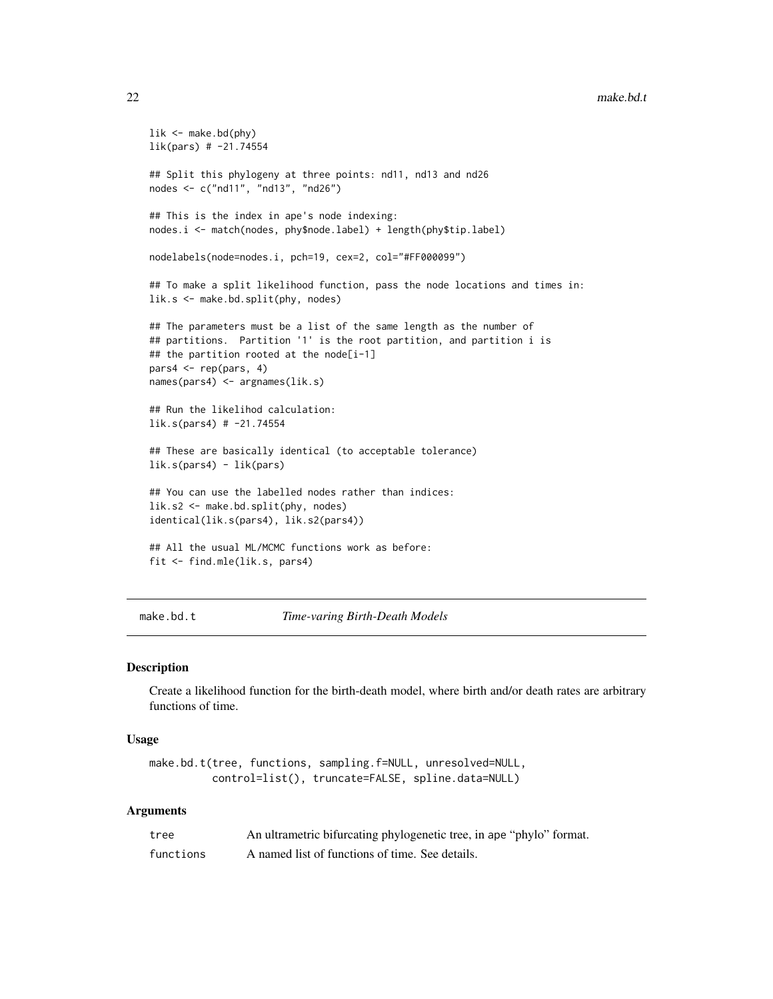```
lik <- make.bd(phy)
lik(pars) # -21.74554
## Split this phylogeny at three points: nd11, nd13 and nd26
nodes <- c("nd11", "nd13", "nd26")
## This is the index in ape's node indexing:
nodes.i <- match(nodes, phy$node.label) + length(phy$tip.label)
nodelabels(node=nodes.i, pch=19, cex=2, col="#FF000099")
## To make a split likelihood function, pass the node locations and times in:
lik.s <- make.bd.split(phy, nodes)
## The parameters must be a list of the same length as the number of
## partitions. Partition '1' is the root partition, and partition i is
## the partition rooted at the node[i-1]
pars4 <- rep(pars, 4)
names(pars4) <- argnames(lik.s)
## Run the likelihod calculation:
lik.s(pars4) # -21.74554
## These are basically identical (to acceptable tolerance)
lik.s(pars4) - lik(pars)
## You can use the labelled nodes rather than indices:
lik.s2 <- make.bd.split(phy, nodes)
identical(lik.s(pars4), lik.s2(pars4))
## All the usual ML/MCMC functions work as before:
fit <- find.mle(lik.s, pars4)
```
make.bd.t *Time-varing Birth-Death Models*

#### Description

Create a likelihood function for the birth-death model, where birth and/or death rates are arbitrary functions of time.

#### Usage

```
make.bd.t(tree, functions, sampling.f=NULL, unresolved=NULL,
          control=list(), truncate=FALSE, spline.data=NULL)
```
## Arguments

| tree      | An ultrametric bifurcating phylogenetic tree, in ape "phylo" format. |
|-----------|----------------------------------------------------------------------|
| functions | A named list of functions of time. See details.                      |

<span id="page-21-0"></span>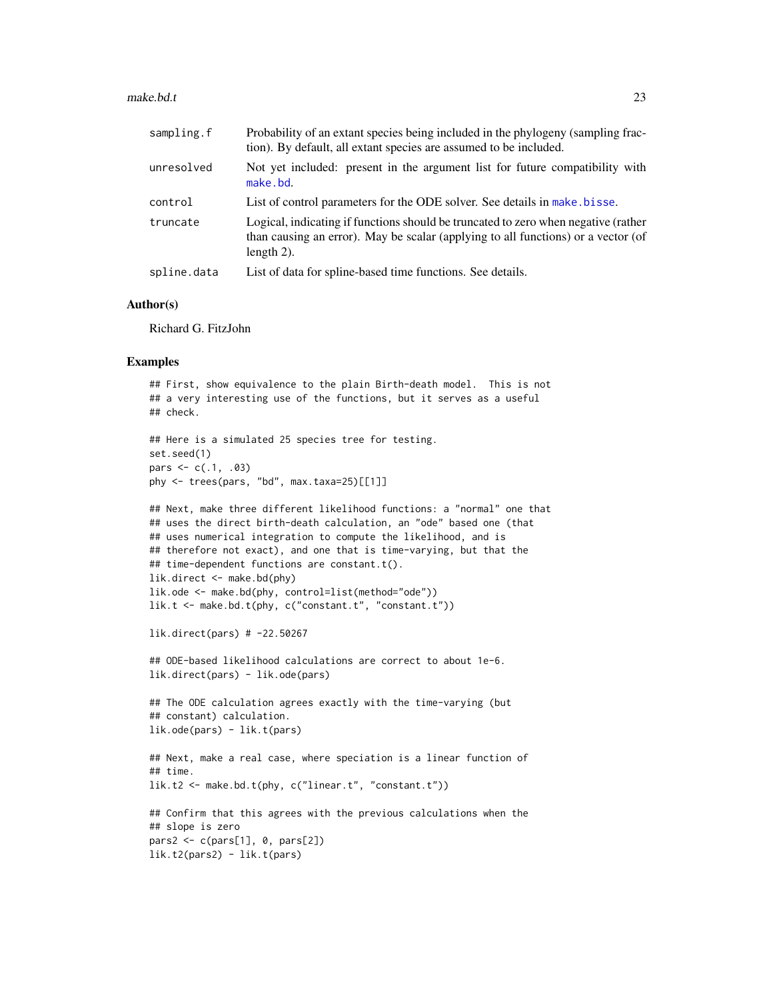#### $make. bd.t$  23

| sampling.f  | Probability of an extant species being included in the phylogeny (sampling frac-<br>tion). By default, all extant species are assumed to be included.                                    |
|-------------|------------------------------------------------------------------------------------------------------------------------------------------------------------------------------------------|
| unresolved  | Not yet included: present in the argument list for future compatibility with<br>make.bd.                                                                                                 |
| control     | List of control parameters for the ODE solver. See details in make bisse.                                                                                                                |
| truncate    | Logical, indicating if functions should be truncated to zero when negative (rather<br>than causing an error). May be scalar (applying to all functions) or a vector (of<br>length $2$ ). |
| spline.data | List of data for spline-based time functions. See details.                                                                                                                               |

## Author(s)

Richard G. FitzJohn

## Examples

```
## First, show equivalence to the plain Birth-death model. This is not
## a very interesting use of the functions, but it serves as a useful
## check.
## Here is a simulated 25 species tree for testing.
set.seed(1)
pars <-c(.1, .03)phy <- trees(pars, "bd", max.taxa=25)[[1]]
## Next, make three different likelihood functions: a "normal" one that
## uses the direct birth-death calculation, an "ode" based one (that
## uses numerical integration to compute the likelihood, and is
## therefore not exact), and one that is time-varying, but that the
## time-dependent functions are constant.t().
lik.direct <- make.bd(phy)
lik.ode <- make.bd(phy, control=list(method="ode"))
lik.t <- make.bd.t(phy, c("constant.t", "constant.t"))
lik.direct(pars) # -22.50267
## ODE-based likelihood calculations are correct to about 1e-6.
lik.direct(pars) - lik.ode(pars)
## The ODE calculation agrees exactly with the time-varying (but
## constant) calculation.
lik.ode(pars) - lik.t(pars)
## Next, make a real case, where speciation is a linear function of
## time.
```
lik.t2 <- make.bd.t(phy, c("linear.t", "constant.t"))

```
## Confirm that this agrees with the previous calculations when the
## slope is zero
pars2 \leq c (pars[1], \theta, pars[2])
lik.t2(pars2) - lik.t(pars)
```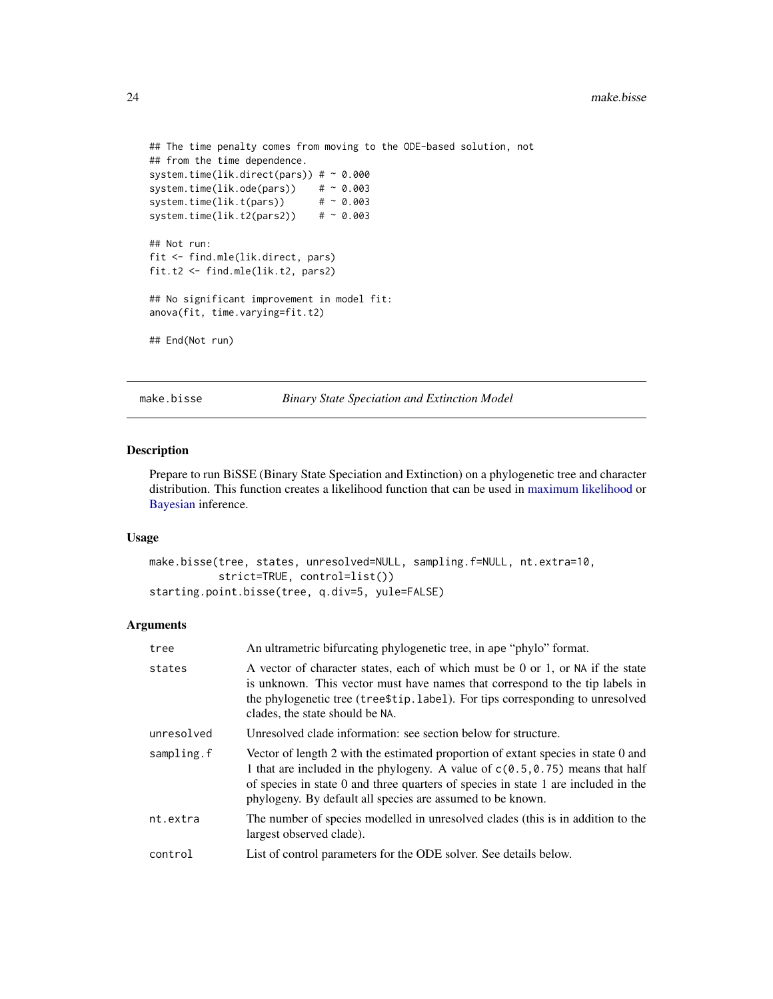```
## The time penalty comes from moving to the ODE-based solution, not
## from the time dependence.
system.time(lik.direct(pars)) # ~\sim 0.000
system.time(lik.ode(pars)) \# \sim 0.003<br>system.time(lik.t(pars)) \# \sim 0.003system.time(lik.t(pars))
system.time(lik.t2(pars2)) \# \sim 0.003## Not run:
fit <- find.mle(lik.direct, pars)
fit.t2 <- find.mle(lik.t2, pars2)
## No significant improvement in model fit:
anova(fit, time.varying=fit.t2)
## End(Not run)
```
<span id="page-23-1"></span>make.bisse *Binary State Speciation and Extinction Model*

# Description

Prepare to run BiSSE (Binary State Speciation and Extinction) on a phylogenetic tree and character distribution. This function creates a likelihood function that can be used in [maximum likelihood](#page-12-1) or [Bayesian](#page-72-1) inference.

#### Usage

```
make.bisse(tree, states, unresolved=NULL, sampling.f=NULL, nt.extra=10,
           strict=TRUE, control=list())
starting.point.bisse(tree, q.div=5, yule=FALSE)
```
# Arguments

| tree       | An ultrametric bifurcating phylogenetic tree, in ape "phylo" format.                                                                                                                                                                                                                                                     |
|------------|--------------------------------------------------------------------------------------------------------------------------------------------------------------------------------------------------------------------------------------------------------------------------------------------------------------------------|
| states     | A vector of character states, each of which must be 0 or 1, or NA if the state<br>is unknown. This vector must have names that correspond to the tip labels in<br>the phylogenetic tree (tree \$tip. label). For tips corresponding to unresolved<br>clades, the state should be NA.                                     |
| unresolved | Unresolved clade information: see section below for structure.                                                                                                                                                                                                                                                           |
| sampling.f | Vector of length 2 with the estimated proportion of extant species in state 0 and<br>1 that are included in the phylogeny. A value of $c(0.5, 0.75)$ means that half<br>of species in state 0 and three quarters of species in state 1 are included in the<br>phylogeny. By default all species are assumed to be known. |
| nt.extra   | The number of species modelled in unresolved clades (this is in addition to the<br>largest observed clade).                                                                                                                                                                                                              |
| control    | List of control parameters for the ODE solver. See details below.                                                                                                                                                                                                                                                        |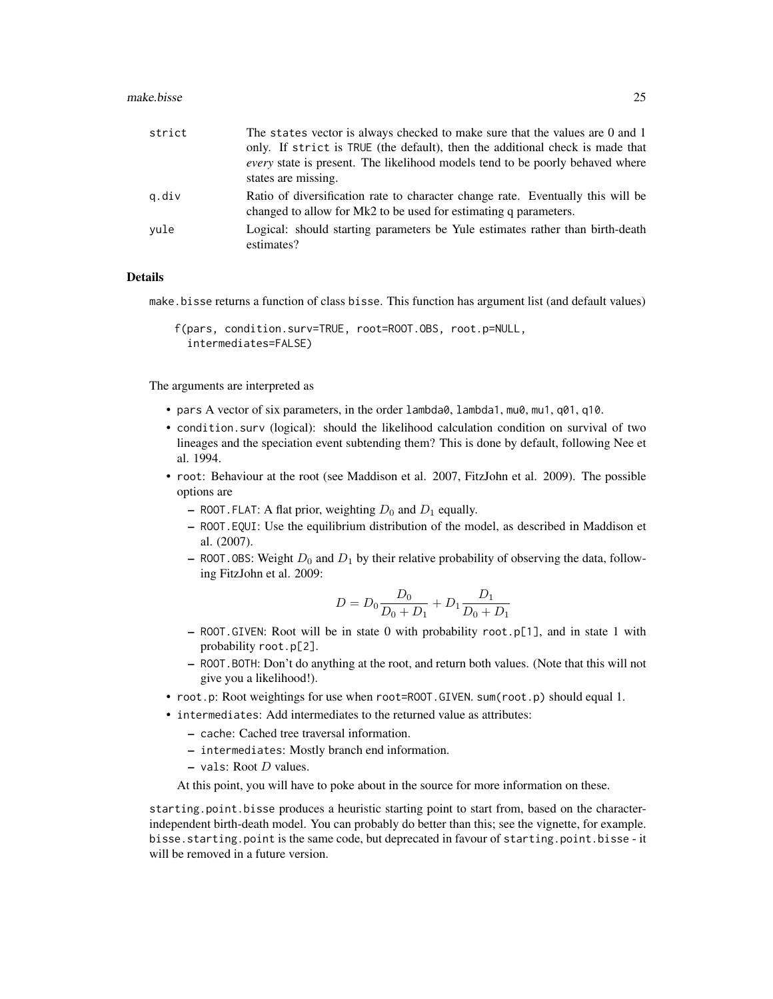#### make.bisse 25

| strict | The states vector is always checked to make sure that the values are 0 and 1<br>only. If strict is TRUE (the default), then the additional check is made that<br><i>every</i> state is present. The likelihood models tend to be poorly behaved where<br>states are missing. |
|--------|------------------------------------------------------------------------------------------------------------------------------------------------------------------------------------------------------------------------------------------------------------------------------|
| q.div  | Ratio of diversification rate to character change rate. Eventually this will be<br>changed to allow for Mk2 to be used for estimating q parameters.                                                                                                                          |
| vule   | Logical: should starting parameters be Yule estimates rather than birth-death<br>estimates?                                                                                                                                                                                  |

## Details

make.bisse returns a function of class bisse. This function has argument list (and default values)

```
f(pars, condition.surv=TRUE, root=ROOT.OBS, root.p=NULL,
 intermediates=FALSE)
```
The arguments are interpreted as

- pars A vector of six parameters, in the order lambda0, lambda1, mu0, mu1, q01, q10.
- condition.surv (logical): should the likelihood calculation condition on survival of two lineages and the speciation event subtending them? This is done by default, following Nee et al. 1994.
- root: Behaviour at the root (see Maddison et al. 2007, FitzJohn et al. 2009). The possible options are
	- ROOT. FLAT: A flat prior, weighting  $D_0$  and  $D_1$  equally.
	- ROOT.EQUI: Use the equilibrium distribution of the model, as described in Maddison et al. (2007).
	- ROOT. OBS: Weight  $D_0$  and  $D_1$  by their relative probability of observing the data, following FitzJohn et al. 2009:

$$
D = D_0 \frac{D_0}{D_0 + D_1} + D_1 \frac{D_1}{D_0 + D_1}
$$

- ROOT.GIVEN: Root will be in state 0 with probability root.p[1], and in state 1 with probability root.p[2].
- ROOT.BOTH: Don't do anything at the root, and return both values. (Note that this will not give you a likelihood!).
- root.p: Root weightings for use when root=ROOT.GIVEN. sum(root.p) should equal 1.
- intermediates: Add intermediates to the returned value as attributes:
	- cache: Cached tree traversal information.
	- intermediates: Mostly branch end information.
	- $-$  vals: Root D values.

At this point, you will have to poke about in the source for more information on these.

starting.point.bisse produces a heuristic starting point to start from, based on the characterindependent birth-death model. You can probably do better than this; see the vignette, for example. bisse.starting.point is the same code, but deprecated in favour of starting.point.bisse - it will be removed in a future version.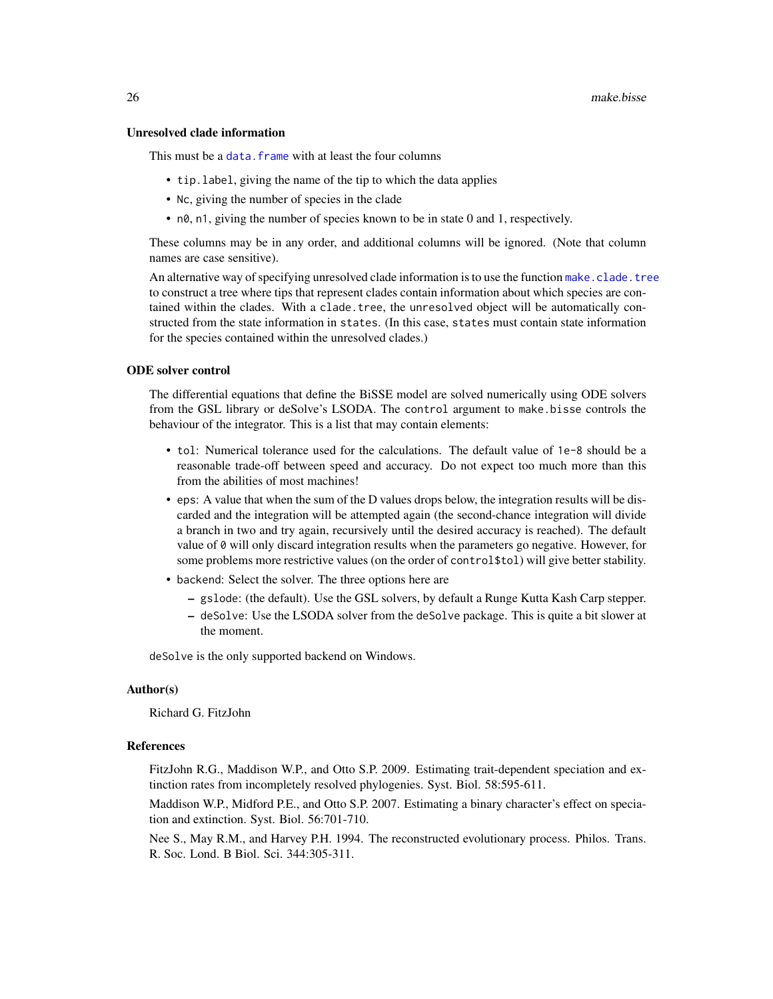#### Unresolved clade information

This must be a data. frame with at least the four columns

- tip.label, giving the name of the tip to which the data applies
- Nc, giving the number of species in the clade
- n0, n1, giving the number of species known to be in state 0 and 1, respectively.

These columns may be in any order, and additional columns will be ignored. (Note that column names are case sensitive).

An alternative way of specifying unresolved clade information is to use the function [make.clade.tree](#page-40-1) to construct a tree where tips that represent clades contain information about which species are contained within the clades. With a clade.tree, the unresolved object will be automatically constructed from the state information in states. (In this case, states must contain state information for the species contained within the unresolved clades.)

## ODE solver control

The differential equations that define the BiSSE model are solved numerically using ODE solvers from the GSL library or deSolve's LSODA. The control argument to make.bisse controls the behaviour of the integrator. This is a list that may contain elements:

- tol: Numerical tolerance used for the calculations. The default value of 1e-8 should be a reasonable trade-off between speed and accuracy. Do not expect too much more than this from the abilities of most machines!
- eps: A value that when the sum of the D values drops below, the integration results will be discarded and the integration will be attempted again (the second-chance integration will divide a branch in two and try again, recursively until the desired accuracy is reached). The default value of 0 will only discard integration results when the parameters go negative. However, for some problems more restrictive values (on the order of control\$tol) will give better stability.
- backend: Select the solver. The three options here are
	- gslode: (the default). Use the GSL solvers, by default a Runge Kutta Kash Carp stepper.
	- deSolve: Use the LSODA solver from the deSolve package. This is quite a bit slower at the moment.

deSolve is the only supported backend on Windows.

#### Author(s)

Richard G. FitzJohn

#### References

FitzJohn R.G., Maddison W.P., and Otto S.P. 2009. Estimating trait-dependent speciation and extinction rates from incompletely resolved phylogenies. Syst. Biol. 58:595-611.

Maddison W.P., Midford P.E., and Otto S.P. 2007. Estimating a binary character's effect on speciation and extinction. Syst. Biol. 56:701-710.

Nee S., May R.M., and Harvey P.H. 1994. The reconstructed evolutionary process. Philos. Trans. R. Soc. Lond. B Biol. Sci. 344:305-311.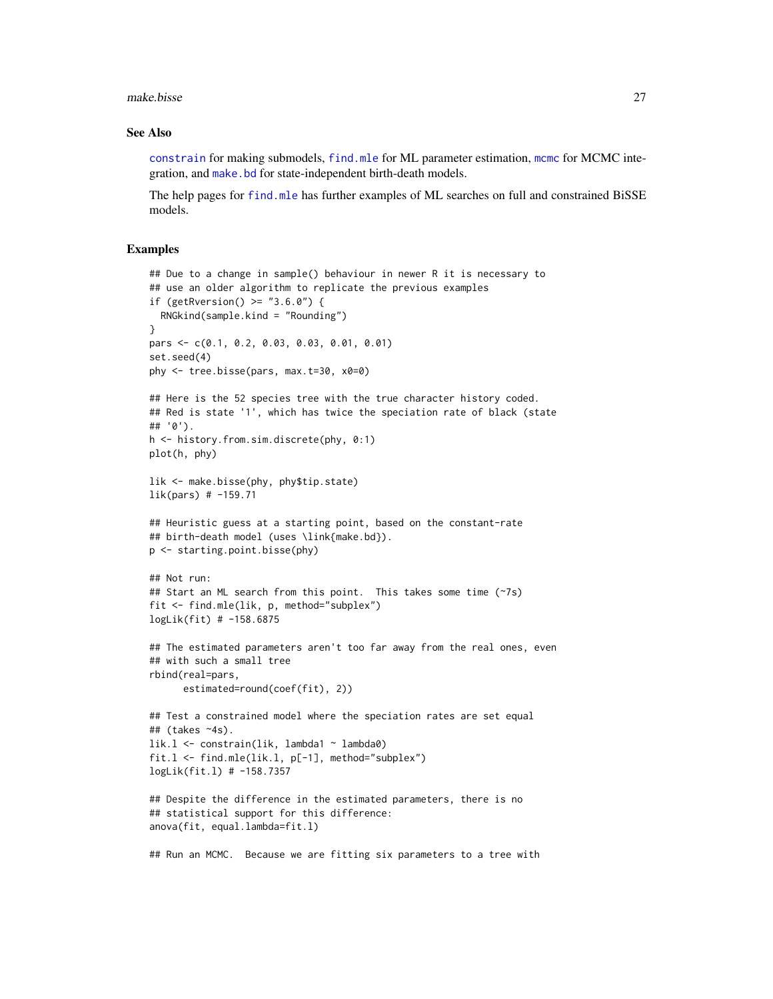make.bisse 27

#### See Also

[constrain](#page-10-1) for making submodels, [find.mle](#page-12-1) for ML parameter estimation, [mcmc](#page-72-1) for MCMC integration, and [make.bd](#page-17-1) for state-independent birth-death models.

The help pages for [find.mle](#page-12-1) has further examples of ML searches on full and constrained BiSSE models.

## Examples

```
## Due to a change in sample() behaviour in newer R it is necessary to
## use an older algorithm to replicate the previous examples
if (getRversion() >= "3.6.0") {
  RNGkind(sample.kind = "Rounding")
}
pars <- c(0.1, 0.2, 0.03, 0.03, 0.01, 0.01)
set.seed(4)
phy <- tree.bisse(pars, max.t=30, x0=0)
## Here is the 52 species tree with the true character history coded.
## Red is state '1', which has twice the speciation rate of black (state
## '0').
h <- history.from.sim.discrete(phy, 0:1)
plot(h, phy)
lik <- make.bisse(phy, phy$tip.state)
lik(pars) # -159.71## Heuristic guess at a starting point, based on the constant-rate
## birth-death model (uses \link{make.bd}).
p <- starting.point.bisse(phy)
## Not run:
## Start an ML search from this point. This takes some time (~7s)
fit <- find.mle(lik, p, method="subplex")
logLik(fit) # -158.6875
## The estimated parameters aren't too far away from the real ones, even
## with such a small tree
rbind(real=pars,
      estimated=round(coef(fit), 2))
## Test a constrained model where the speciation rates are set equal
## (takes ~4s).
lik.l <- constrain(lik, lambda1 ~ lambda0)
fit.l <- find.mle(lik.l, p[-1], method="subplex")
logLik(fit.l) # -158.7357
## Despite the difference in the estimated parameters, there is no
## statistical support for this difference:
anova(fit, equal.lambda=fit.l)
## Run an MCMC. Because we are fitting six parameters to a tree with
```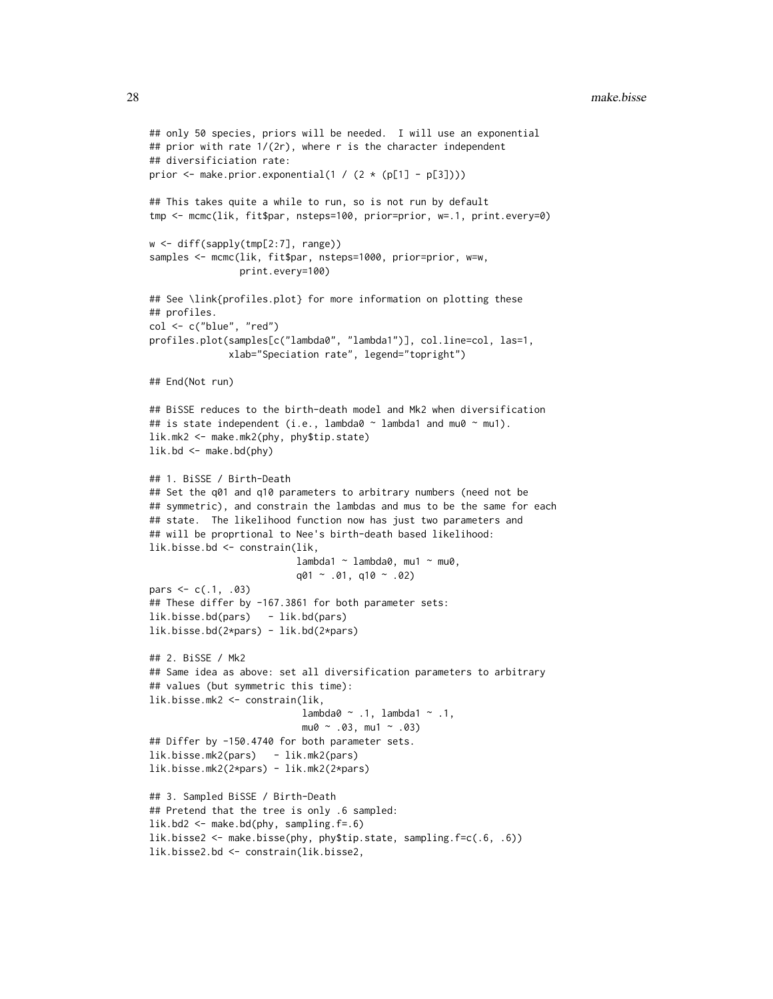```
## only 50 species, priors will be needed. I will use an exponential
## prior with rate 1/(2r), where r is the character independent
## diversificiation rate:
prior \leq make.prior.exponential(1 / (2 \star (p[1] - p[3])))
## This takes quite a while to run, so is not run by default
tmp <- mcmc(lik, fit$par, nsteps=100, prior=prior, w=.1, print.every=0)
w <- diff(sapply(tmp[2:7], range))
samples <- mcmc(lik, fit$par, nsteps=1000, prior=prior, w=w,
                print.every=100)
## See \link{profiles.plot} for more information on plotting these
## profiles.
col <- c("blue", "red")
profiles.plot(samples[c("lambda0", "lambda1")], col.line=col, las=1,
              xlab="Speciation rate", legend="topright")
## End(Not run)
## BiSSE reduces to the birth-death model and Mk2 when diversification
## is state independent (i.e., lambda0 \sim lambda1 and mu0 \sim mu1).
lik.mk2 <- make.mk2(phy, phy$tip.state)
lik.bd \leftarrow make.bd(phy)## 1. BiSSE / Birth-Death
## Set the q01 and q10 parameters to arbitrary numbers (need not be
## symmetric), and constrain the lambdas and mus to be the same for each
## state. The likelihood function now has just two parameters and
## will be proprtional to Nee's birth-death based likelihood:
lik.bisse.bd <- constrain(lik,
                          lambda1 ~ ~ lambda0, mu1 ~ ~ mu0,q01 \sim .01, q10 \sim .02)
pars \leq c(.1, .03)## These differ by -167.3861 for both parameter sets:
lik.bisse.bd(pars) - lik.bd(pars)
lik.bisse.bd(2*pars) - lik.bd(2*pars)
## 2. BiSSE / Mk2
## Same idea as above: set all diversification parameters to arbitrary
## values (but symmetric this time):
lik.bisse.mk2 <- constrain(lik,
                           lambda0 ~ ~ .1, lambda1 ~ ~ .1,mu0 \sim .03, mu1 \sim .03)
## Differ by -150.4740 for both parameter sets.
lik.bisse.mk2(pars) - lik.mk2(pars)
lik.bisse.mk2(2*pars) - lik.mk2(2*pars)
## 3. Sampled BiSSE / Birth-Death
## Pretend that the tree is only .6 sampled:
lik.bd2 <- make.bd(phy, sampling.f=.6)
lik.bisse2 <- make.bisse(phy, phy$tip.state, sampling.f=c(.6, .6))
lik.bisse2.bd <- constrain(lik.bisse2,
```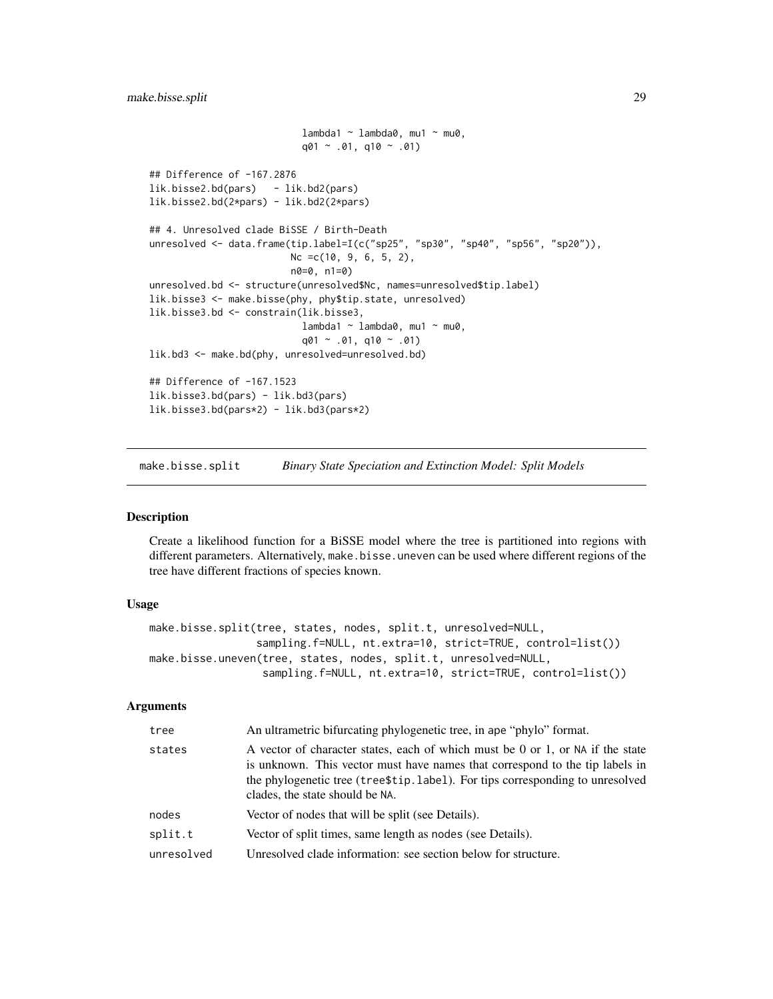```
lambda1 ~ - lambda0, mu1 ~ mu0,
                            q01 \sim .01, q10 \sim .01## Difference of -167.2876
lik.bisse2.bd(pars) - lik.bd2(pars)
lik.bisse2.bd(2*pars) - lik.bd2(2*pars)
## 4. Unresolved clade BiSSE / Birth-Death
unresolved \leq data.frame(tip.label=I(c("sp25", "sp30", "sp40", "sp56", "sp20")),
                         Nc =c(10, 9, 6, 5, 2),
                         n0=0, n1=0)
unresolved.bd <- structure(unresolved$Nc, names=unresolved$tip.label)
lik.bisse3 <- make.bisse(phy, phy$tip.state, unresolved)
lik.bisse3.bd <- constrain(lik.bisse3,
                            lambda1 ~ \sim lambda0, mu1 \sim mu0,
                            q01 \sim .01, q10 \sim .01lik.bd3 <- make.bd(phy, unresolved=unresolved.bd)
## Difference of -167.1523
lik.bisse3.bd(pars) - lik.bd3(pars)
lik.bisse3.bd(pars*2) - lik.bd3(pars*2)
```
<span id="page-28-1"></span>make.bisse.split *Binary State Speciation and Extinction Model: Split Models*

## Description

Create a likelihood function for a BiSSE model where the tree is partitioned into regions with different parameters. Alternatively, make.bisse.uneven can be used where different regions of the tree have different fractions of species known.

# Usage

```
make.bisse.split(tree, states, nodes, split.t, unresolved=NULL,
                 sampling.f=NULL, nt.extra=10, strict=TRUE, control=list())
make.bisse.uneven(tree, states, nodes, split.t, unresolved=NULL,
                  sampling.f=NULL, nt.extra=10, strict=TRUE, control=list())
```
# Arguments

| tree       | An ultrametric bifurcating phylogenetic tree, in ape "phylo" format.                                                                                                                                                                                                                 |
|------------|--------------------------------------------------------------------------------------------------------------------------------------------------------------------------------------------------------------------------------------------------------------------------------------|
| states     | A vector of character states, each of which must be 0 or 1, or NA if the state<br>is unknown. This vector must have names that correspond to the tip labels in<br>the phylogenetic tree (tree \$tip. label). For tips corresponding to unresolved<br>clades, the state should be NA. |
| nodes      | Vector of nodes that will be split (see Details).                                                                                                                                                                                                                                    |
| split.t    | Vector of split times, same length as nodes (see Details).                                                                                                                                                                                                                           |
| unresolved | Unresolved clade information: see section below for structure.                                                                                                                                                                                                                       |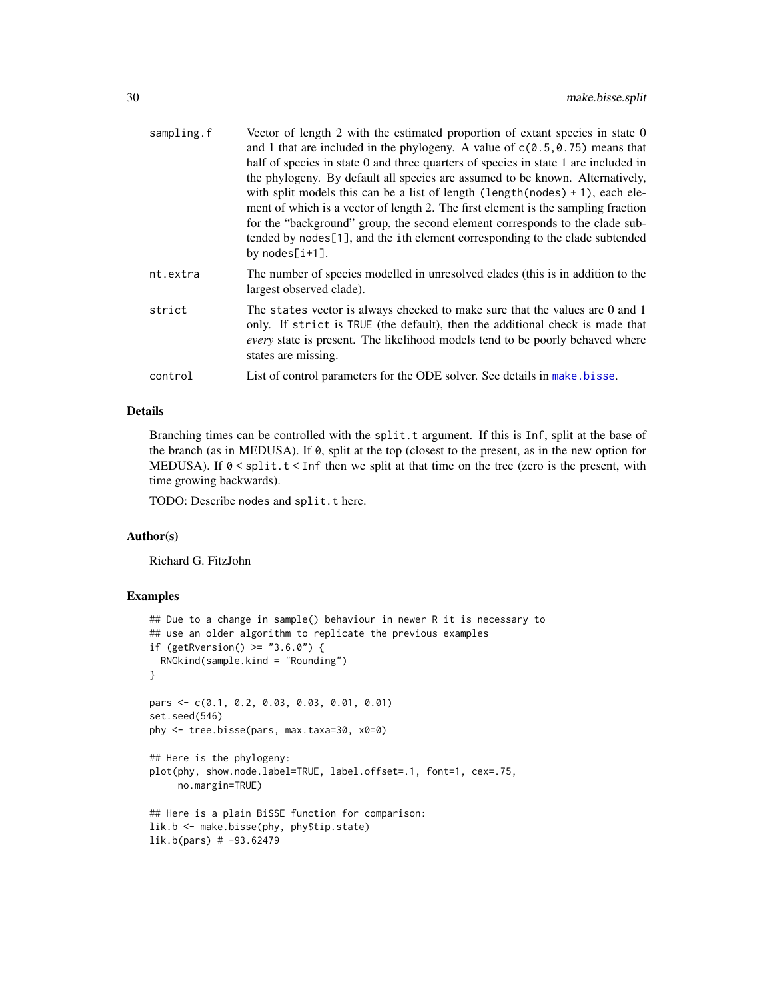| sampling.f | Vector of length 2 with the estimated proportion of extant species in state 0<br>and 1 that are included in the phylogeny. A value of $c(0.5, 0.75)$ means that                                                                                                                                                                                                                                                                                          |
|------------|----------------------------------------------------------------------------------------------------------------------------------------------------------------------------------------------------------------------------------------------------------------------------------------------------------------------------------------------------------------------------------------------------------------------------------------------------------|
|            | half of species in state 0 and three quarters of species in state 1 are included in                                                                                                                                                                                                                                                                                                                                                                      |
|            | the phylogeny. By default all species are assumed to be known. Alternatively,<br>with split models this can be a list of length (length (nodes) $+1$ ), each ele-<br>ment of which is a vector of length 2. The first element is the sampling fraction<br>for the "background" group, the second element corresponds to the clade sub-<br>tended by nodes <sup>[1]</sup> , and the ith element corresponding to the clade subtended<br>by $nodes[i+1]$ . |
| nt.extra   | The number of species modelled in unresolved clades (this is in addition to the<br>largest observed clade).                                                                                                                                                                                                                                                                                                                                              |
| strict     | The states vector is always checked to make sure that the values are 0 and 1<br>only. If strict is TRUE (the default), then the additional check is made that<br><i>every</i> state is present. The likelihood models tend to be poorly behaved where<br>states are missing.                                                                                                                                                                             |
| control    | List of control parameters for the ODE solver. See details in make bisse.                                                                                                                                                                                                                                                                                                                                                                                |
|            |                                                                                                                                                                                                                                                                                                                                                                                                                                                          |

# Details

Branching times can be controlled with the split.t argument. If this is Inf, split at the base of the branch (as in MEDUSA). If 0, split at the top (closest to the present, as in the new option for MEDUSA). If  $0 <$  split.  $t <$  Inf then we split at that time on the tree (zero is the present, with time growing backwards).

TODO: Describe nodes and split.t here.

# Author(s)

Richard G. FitzJohn

## Examples

```
## Due to a change in sample() behaviour in newer R it is necessary to
## use an older algorithm to replicate the previous examples
if (getRversion() > = "3.6.0") {
  RNGkind(sample.kind = "Rounding")
}
pars <- c(0.1, 0.2, 0.03, 0.03, 0.01, 0.01)
set.seed(546)
phy <- tree.bisse(pars, max.taxa=30, x0=0)
## Here is the phylogeny:
plot(phy, show.node.label=TRUE, label.offset=.1, font=1, cex=.75,
     no.margin=TRUE)
## Here is a plain BiSSE function for comparison:
lik.b <- make.bisse(phy, phy$tip.state)
lik.b(pars) # -93.62479
```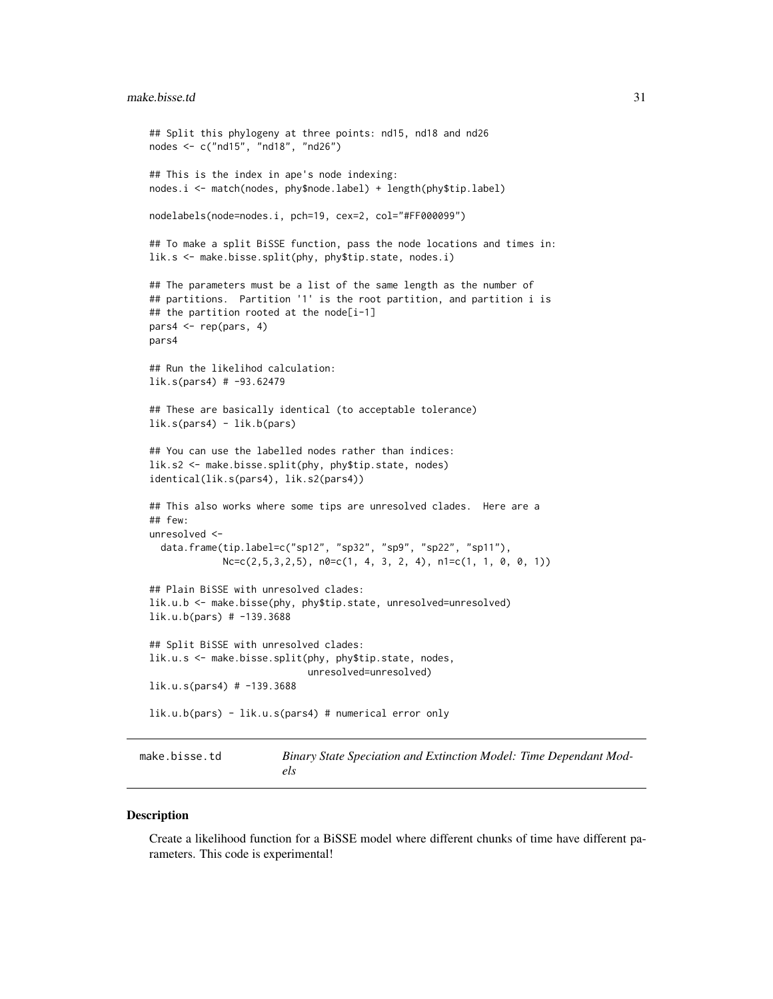# <span id="page-30-0"></span>make.bisse.td 31

```
## Split this phylogeny at three points: nd15, nd18 and nd26
nodes <- c("nd15", "nd18", "nd26")
## This is the index in ape's node indexing:
nodes.i <- match(nodes, phy$node.label) + length(phy$tip.label)
nodelabels(node=nodes.i, pch=19, cex=2, col="#FF000099")
## To make a split BiSSE function, pass the node locations and times in:
lik.s <- make.bisse.split(phy, phy$tip.state, nodes.i)
## The parameters must be a list of the same length as the number of
## partitions. Partition '1' is the root partition, and partition i is
## the partition rooted at the node[i-1]
pars4 <- rep(pars, 4)
pars4
## Run the likelihod calculation:
lik.s(pars4) # -93.62479
## These are basically identical (to acceptable tolerance)
lik.s(pars4) - lik.b(pars)
## You can use the labelled nodes rather than indices:
lik.s2 <- make.bisse.split(phy, phy$tip.state, nodes)
identical(lik.s(pars4), lik.s2(pars4))
## This also works where some tips are unresolved clades. Here are a
## few:
unresolved <-
  data.frame(tip.label=c("sp12", "sp32", "sp9", "sp22", "sp11"),
             Nc=c(2,5,3,2,5), n0=c(1, 4, 3, 2, 4), n1=c(1, 1, 0, 0, 1))## Plain BiSSE with unresolved clades:
lik.u.b <- make.bisse(phy, phy$tip.state, unresolved=unresolved)
lik.u.b(pars) # -139.3688
## Split BiSSE with unresolved clades:
lik.u.s <- make.bisse.split(phy, phy$tip.state, nodes,
                            unresolved=unresolved)
lik.u.s(pars4) # -139.3688
lik.u.b(pars) - lik.u.s(pars4) # numerical error only
```
make.bisse.td Binary State Speciation and Extinction Model: Time Dependant Mod*els*

#### **Description**

Create a likelihood function for a BiSSE model where different chunks of time have different parameters. This code is experimental!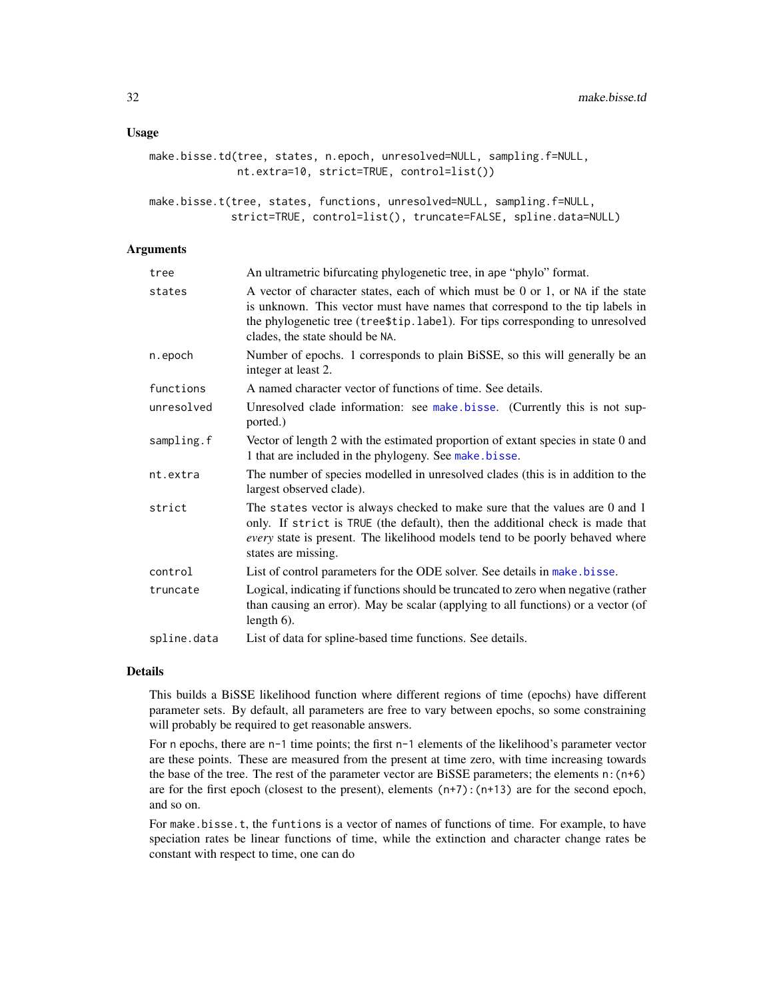#### Usage

```
make.bisse.td(tree, states, n.epoch, unresolved=NULL, sampling.f=NULL,
              nt.extra=10, strict=TRUE, control=list())
```
make.bisse.t(tree, states, functions, unresolved=NULL, sampling.f=NULL, strict=TRUE, control=list(), truncate=FALSE, spline.data=NULL)

## Arguments

| tree        | An ultrametric bifurcating phylogenetic tree, in ape "phylo" format.                                                                                                                                                                                                               |
|-------------|------------------------------------------------------------------------------------------------------------------------------------------------------------------------------------------------------------------------------------------------------------------------------------|
| states      | A vector of character states, each of which must be 0 or 1, or NA if the state<br>is unknown. This vector must have names that correspond to the tip labels in<br>the phylogenetic tree (tree\$tip.label). For tips corresponding to unresolved<br>clades, the state should be NA. |
| n.epoch     | Number of epochs. 1 corresponds to plain BiSSE, so this will generally be an<br>integer at least 2.                                                                                                                                                                                |
| functions   | A named character vector of functions of time. See details.                                                                                                                                                                                                                        |
| unresolved  | Unresolved clade information: see make bisse. (Currently this is not sup-<br>ported.)                                                                                                                                                                                              |
| sampling.f  | Vector of length 2 with the estimated proportion of extant species in state 0 and<br>1 that are included in the phylogeny. See make bisse.                                                                                                                                         |
| nt.extra    | The number of species modelled in unresolved clades (this is in addition to the<br>largest observed clade).                                                                                                                                                                        |
| strict      | The states vector is always checked to make sure that the values are 0 and 1<br>only. If strict is TRUE (the default), then the additional check is made that<br>every state is present. The likelihood models tend to be poorly behaved where<br>states are missing.              |
| control     | List of control parameters for the ODE solver. See details in make bisse.                                                                                                                                                                                                          |
| truncate    | Logical, indicating if functions should be truncated to zero when negative (rather<br>than causing an error). May be scalar (applying to all functions) or a vector (of<br>length $6$ ).                                                                                           |
| spline.data | List of data for spline-based time functions. See details.                                                                                                                                                                                                                         |

#### Details

This builds a BiSSE likelihood function where different regions of time (epochs) have different parameter sets. By default, all parameters are free to vary between epochs, so some constraining will probably be required to get reasonable answers.

For n epochs, there are n-1 time points; the first n-1 elements of the likelihood's parameter vector are these points. These are measured from the present at time zero, with time increasing towards the base of the tree. The rest of the parameter vector are BiSSE parameters; the elements n:(n+6) are for the first epoch (closest to the present), elements (n+7):(n+13) are for the second epoch, and so on.

For make.bisse.t, the funtions is a vector of names of functions of time. For example, to have speciation rates be linear functions of time, while the extinction and character change rates be constant with respect to time, one can do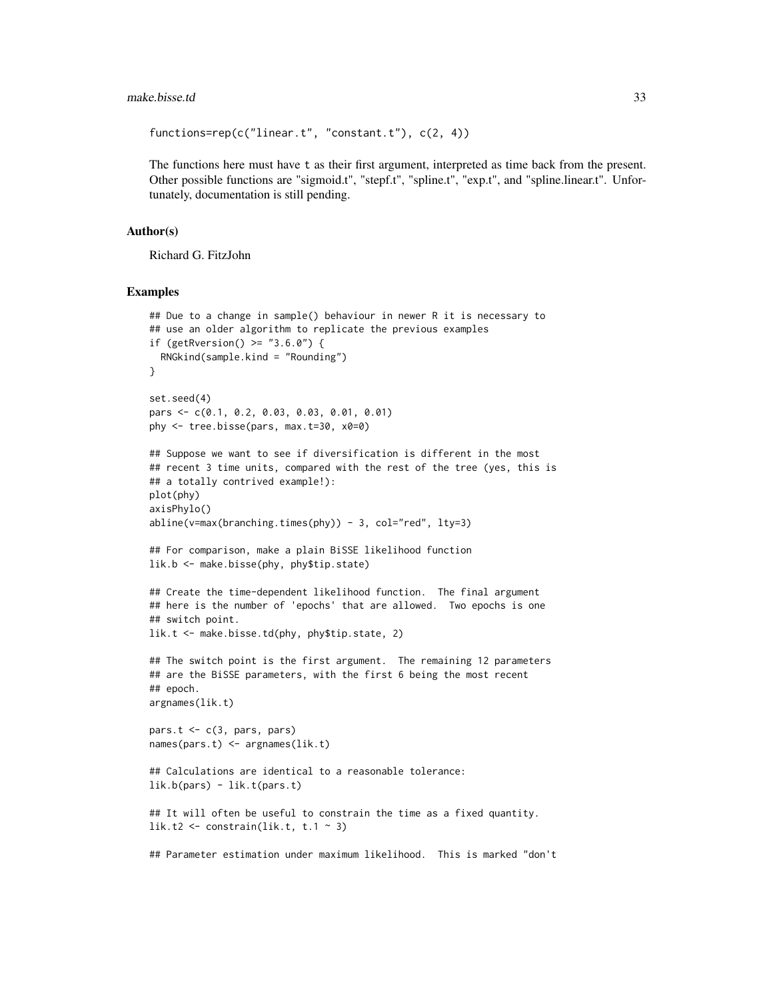#### make.bisse.td 33

```
functions=rep(c("linear.t", "constant.t"), c(2, 4))
```
The functions here must have t as their first argument, interpreted as time back from the present. Other possible functions are "sigmoid.t", "stepf.t", "spline.t", "exp.t", and "spline.linear.t". Unfortunately, documentation is still pending.

## Author(s)

Richard G. FitzJohn

#### Examples

```
## Due to a change in sample() behaviour in newer R it is necessary to
## use an older algorithm to replicate the previous examples
if (getRversion() >= "3.6.0") {
  RNGkind(sample.kind = "Rounding")
}
set.seed(4)
pars <- c(0.1, 0.2, 0.03, 0.03, 0.01, 0.01)
phy <- tree.bisse(pars, max.t=30, x0=0)
## Suppose we want to see if diversification is different in the most
## recent 3 time units, compared with the rest of the tree (yes, this is
## a totally contrived example!):
plot(phy)
axisPhylo()
abline(v=max(branching.time(sphy)) - 3, col="red", lty=3)## For comparison, make a plain BiSSE likelihood function
lik.b <- make.bisse(phy, phy$tip.state)
## Create the time-dependent likelihood function. The final argument
## here is the number of 'epochs' that are allowed. Two epochs is one
## switch point.
lik.t <- make.bisse.td(phy, phy$tip.state, 2)
## The switch point is the first argument. The remaining 12 parameters
## are the BiSSE parameters, with the first 6 being the most recent
## epoch.
argnames(lik.t)
pars.t \leq c(3, pars, pars)
names(pars.t) <- argnames(lik.t)
## Calculations are identical to a reasonable tolerance:
lik.b(pars) - lik.t(pars.t)
## It will often be useful to constrain the time as a fixed quantity.
lik.t2 <- constrain(lik.t, t.1 \sim 3)
## Parameter estimation under maximum likelihood. This is marked "don't
```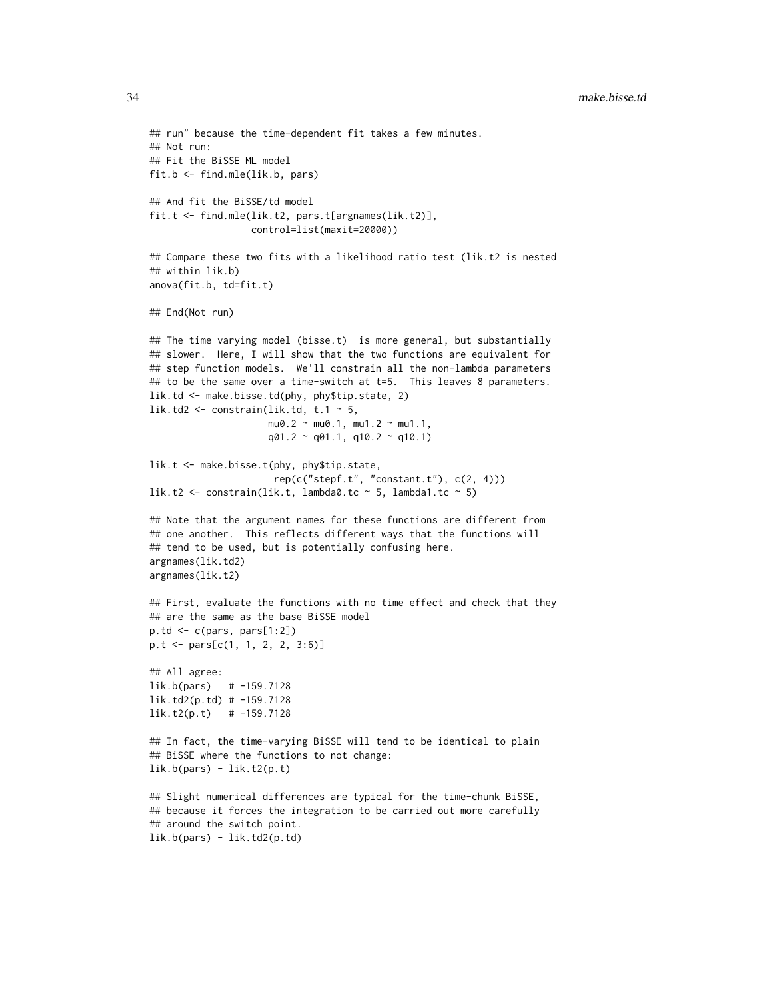```
## run" because the time-dependent fit takes a few minutes.
## Not run:
## Fit the BiSSE ML model
fit.b <- find.mle(lik.b, pars)
## And fit the BiSSE/td model
fit.t <- find.mle(lik.t2, pars.t[argnames(lik.t2)],
                  control=list(maxit=20000))
## Compare these two fits with a likelihood ratio test (lik.t2 is nested
## within lik.b)
anova(fit.b, td=fit.t)
## End(Not run)
## The time varying model (bisse.t) is more general, but substantially
## slower. Here, I will show that the two functions are equivalent for
## step function models. We'll constrain all the non-lambda parameters
## to be the same over a time-switch at t=5. This leaves 8 parameters.
lik.td <- make.bisse.td(phy, phy$tip.state, 2)
lik.td2 <- constrain(lik.td, t.1 \sim 5,
                     mu0.2 \sim mu0.1, mu1.2 \sim mu1.1,
                     q01.2 \sim q01.1, q10.2 \sim q10.1)
lik.t <- make.bisse.t(phy, phy$tip.state,
                      rep(c("stepf.t", "constant.t"), c(2, 4)))
lik.t2 <- constrain(lik.t, lambda0.tc \sim 5, lambda1.tc \sim 5)
## Note that the argument names for these functions are different from
## one another. This reflects different ways that the functions will
## tend to be used, but is potentially confusing here.
argnames(lik.td2)
argnames(lik.t2)
## First, evaluate the functions with no time effect and check that they
## are the same as the base BiSSE model
p.td \leftarrow c(pars, pars[1:2])p.t <- pars[c(1, 1, 2, 2, 3:6)]
## All agree:
lik.b(pars) # -159.7128
lik.td2(p.td) # -159.7128
lik.t2(p.t) # -159.7128
## In fact, the time-varying BiSSE will tend to be identical to plain
## BiSSE where the functions to not change:
lik.b(pars) - lik.t2(p.t)
## Slight numerical differences are typical for the time-chunk BiSSE,
## because it forces the integration to be carried out more carefully
## around the switch point.
lik.b(pars) - lik.td2(p.td)
```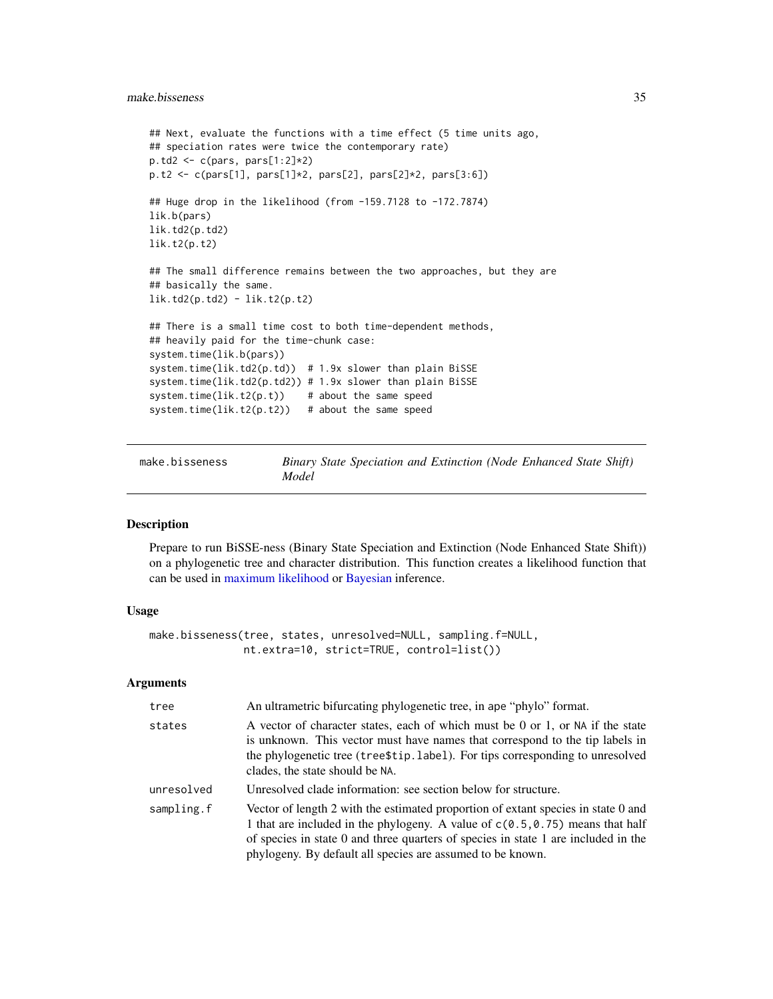```
## Next, evaluate the functions with a time effect (5 time units ago,
## speciation rates were twice the contemporary rate)
p.td2 <- c(pars, pars[1:2]*2)
p.t2 <- c(pars[1], pars[1]*2, pars[2], pars[2]*2, pars[3:6])
## Huge drop in the likelihood (from -159.7128 to -172.7874)
lik.b(pars)
lik.td2(p.td2)
lik.t2(p.t2)
## The small difference remains between the two approaches, but they are
## basically the same.
lik.td2(p.td2) - lik.t2(p.t2)
## There is a small time cost to both time-dependent methods,
## heavily paid for the time-chunk case:
system.time(lik.b(pars))
system.time(lik.td2(p.td)) # 1.9x slower than plain BiSSE
system.time(lik.td2(p.td2)) # 1.9x slower than plain BiSSE
system.time(lik.t2(p.t)) # about the same speed
system.time(lik.t2(p.t2)) # about the same speed
```
make.bisseness *Binary State Speciation and Extinction (Node Enhanced State Shift) Model*

#### Description

Prepare to run BiSSE-ness (Binary State Speciation and Extinction (Node Enhanced State Shift)) on a phylogenetic tree and character distribution. This function creates a likelihood function that can be used in [maximum likelihood](#page-12-1) or [Bayesian](#page-72-1) inference.

## Usage

```
make.bisseness(tree, states, unresolved=NULL, sampling.f=NULL,
               nt.extra=10, strict=TRUE, control=list())
```
#### Arguments

| tree       | An ultrametric bifurcating phylogenetic tree, in ape "phylo" format.                                                                                                                                                                                                                                                     |
|------------|--------------------------------------------------------------------------------------------------------------------------------------------------------------------------------------------------------------------------------------------------------------------------------------------------------------------------|
| states     | A vector of character states, each of which must be 0 or 1, or NA if the state<br>is unknown. This vector must have names that correspond to the tip labels in<br>the phylogenetic tree (tree\$tip.label). For tips corresponding to unresolved<br>clades, the state should be NA.                                       |
| unresolved | Unresolved clade information: see section below for structure.                                                                                                                                                                                                                                                           |
| sampling.f | Vector of length 2 with the estimated proportion of extant species in state 0 and<br>1 that are included in the phylogeny. A value of $c(0.5, 0.75)$ means that half<br>of species in state 0 and three quarters of species in state 1 are included in the<br>phylogeny. By default all species are assumed to be known. |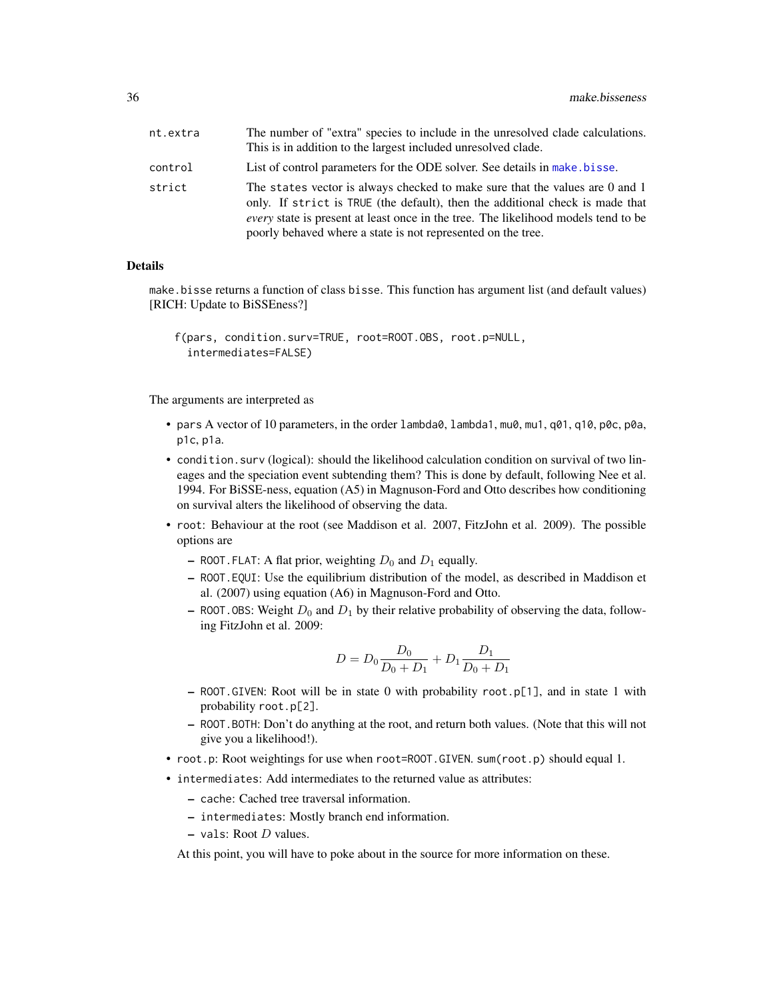| nt.extra | The number of "extra" species to include in the unresolved clade calculations.<br>This is in addition to the largest included unresolved clade.                                                                                                                                                                            |
|----------|----------------------------------------------------------------------------------------------------------------------------------------------------------------------------------------------------------------------------------------------------------------------------------------------------------------------------|
| control  | List of control parameters for the ODE solver. See details in make bisse.                                                                                                                                                                                                                                                  |
| strict   | The states vector is always checked to make sure that the values are 0 and 1<br>only. If strict is TRUE (the default), then the additional check is made that<br><i>every</i> state is present at least once in the tree. The likelihood models tend to be<br>poorly behaved where a state is not represented on the tree. |

#### Details

make.bisse returns a function of class bisse. This function has argument list (and default values) [RICH: Update to BiSSEness?]

```
f(pars, condition.surv=TRUE, root=ROOT.OBS, root.p=NULL,
  intermediates=FALSE)
```
The arguments are interpreted as

- pars A vector of 10 parameters, in the order lambda0, lambda1, mu0, mu1, q01, q10, p0c, p0a, p1c, p1a.
- condition.surv (logical): should the likelihood calculation condition on survival of two lineages and the speciation event subtending them? This is done by default, following Nee et al. 1994. For BiSSE-ness, equation (A5) in Magnuson-Ford and Otto describes how conditioning on survival alters the likelihood of observing the data.
- root: Behaviour at the root (see Maddison et al. 2007, FitzJohn et al. 2009). The possible options are
	- ROOT. FLAT: A flat prior, weighting  $D_0$  and  $D_1$  equally.
	- ROOT.EQUI: Use the equilibrium distribution of the model, as described in Maddison et al. (2007) using equation (A6) in Magnuson-Ford and Otto.
	- ROOT. OBS: Weight  $D_0$  and  $D_1$  by their relative probability of observing the data, following FitzJohn et al. 2009:

$$
D = D_0 \frac{D_0}{D_0 + D_1} + D_1 \frac{D_1}{D_0 + D_1}
$$

- ROOT.GIVEN: Root will be in state 0 with probability root.p[1], and in state 1 with probability root.p[2].
- ROOT.BOTH: Don't do anything at the root, and return both values. (Note that this will not give you a likelihood!).
- root.p: Root weightings for use when root=ROOT.GIVEN. sum(root.p) should equal 1.
- intermediates: Add intermediates to the returned value as attributes:
	- cache: Cached tree traversal information.
	- intermediates: Mostly branch end information.
	- $-$  vals: Root *D* values.

At this point, you will have to poke about in the source for more information on these.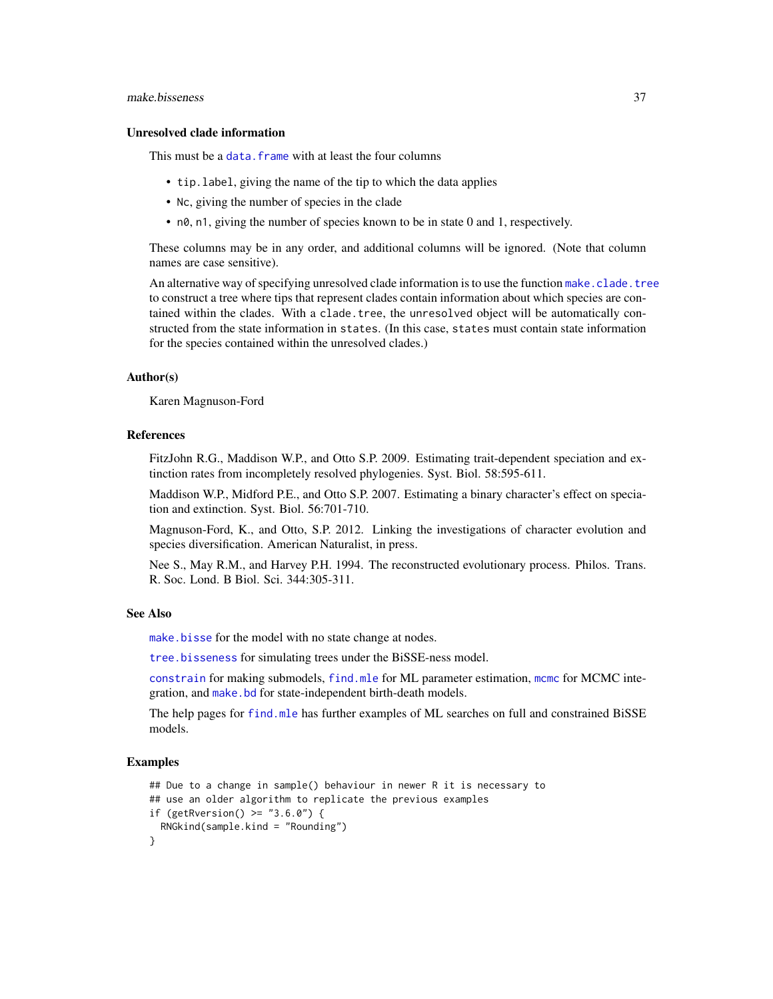#### make.bisseness 37

### Unresolved clade information

This must be a data. frame with at least the four columns

- tip.label, giving the name of the tip to which the data applies
- Nc, giving the number of species in the clade
- n0, n1, giving the number of species known to be in state 0 and 1, respectively.

These columns may be in any order, and additional columns will be ignored. (Note that column names are case sensitive).

An alternative way of specifying unresolved clade information is to use the function [make.clade.tree](#page-40-0) to construct a tree where tips that represent clades contain information about which species are contained within the clades. With a clade.tree, the unresolved object will be automatically constructed from the state information in states. (In this case, states must contain state information for the species contained within the unresolved clades.)

#### Author(s)

Karen Magnuson-Ford

### References

FitzJohn R.G., Maddison W.P., and Otto S.P. 2009. Estimating trait-dependent speciation and extinction rates from incompletely resolved phylogenies. Syst. Biol. 58:595-611.

Maddison W.P., Midford P.E., and Otto S.P. 2007. Estimating a binary character's effect on speciation and extinction. Syst. Biol. 56:701-710.

Magnuson-Ford, K., and Otto, S.P. 2012. Linking the investigations of character evolution and species diversification. American Naturalist, in press.

Nee S., May R.M., and Harvey P.H. 1994. The reconstructed evolutionary process. Philos. Trans. R. Soc. Lond. B Biol. Sci. 344:305-311.

#### See Also

[make.bisse](#page-23-0) for the model with no state change at nodes.

[tree.bisseness](#page-82-0) for simulating trees under the BiSSE-ness model.

[constrain](#page-10-0) for making submodels, [find.mle](#page-12-0) for ML parameter estimation, [mcmc](#page-72-0) for MCMC integration, and [make.bd](#page-17-0) for state-independent birth-death models.

The help pages for [find.mle](#page-12-0) has further examples of ML searches on full and constrained BiSSE models.

```
## Due to a change in sample() behaviour in newer R it is necessary to
## use an older algorithm to replicate the previous examples
if (getRversion() >= "3.6.0") {
 RNGkind(sample.kind = "Rounding")
}
```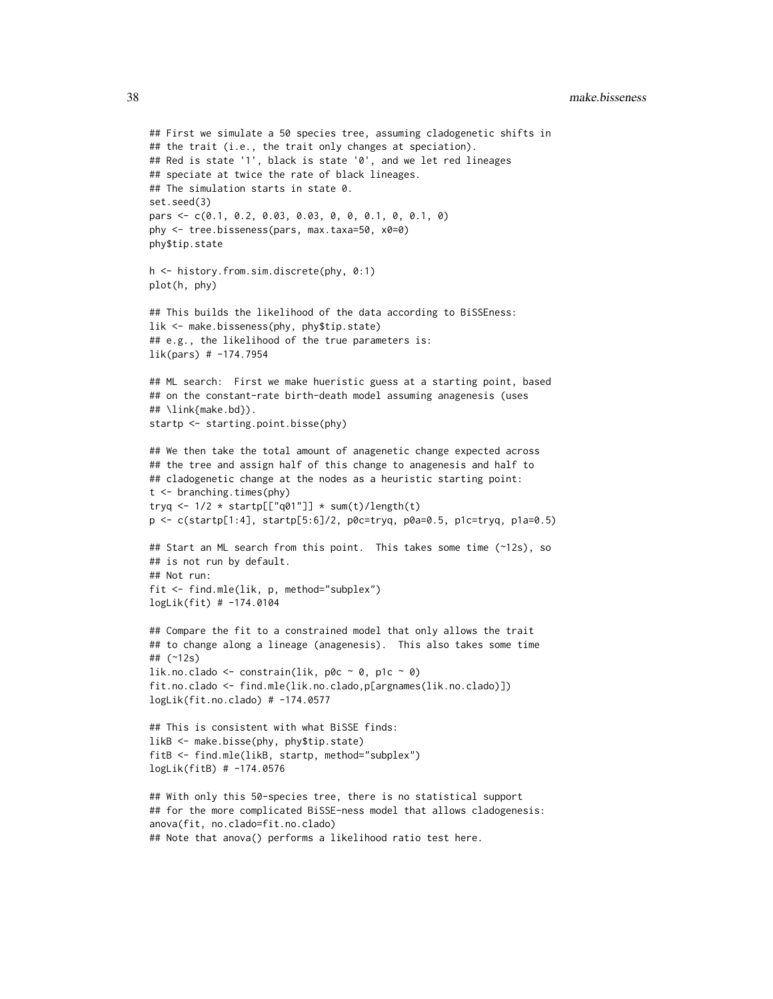38 make.bisseness

```
## First we simulate a 50 species tree, assuming cladogenetic shifts in
## the trait (i.e., the trait only changes at speciation).
## Red is state '1', black is state '0', and we let red lineages
## speciate at twice the rate of black lineages.
## The simulation starts in state 0.
set.seed(3)
pars <- c(0.1, 0.2, 0.03, 0.03, 0, 0, 0.1, 0, 0.1, 0)
phy <- tree.bisseness(pars, max.taxa=50, x0=0)
phy$tip.state
h <- history.from.sim.discrete(phy, 0:1)
plot(h, phy)
## This builds the likelihood of the data according to BiSSEness:
lik <- make.bisseness(phy, phy$tip.state)
## e.g., the likelihood of the true parameters is:
lik(pars) # -174.7954
## ML search: First we make hueristic guess at a starting point, based
## on the constant-rate birth-death model assuming anagenesis (uses
## \link{make.bd}).
startp <- starting.point.bisse(phy)
## We then take the total amount of anagenetic change expected across
## the tree and assign half of this change to anagenesis and half to
## cladogenetic change at the nodes as a heuristic starting point:
t <- branching.times(phy)
tryq <- 1/2 * startp[["q01"]] * sum(t)/length(t)
p <- c(startp[1:4], startp[5:6]/2, p0c=tryq, p0a=0.5, p1c=tryq, p1a=0.5)
## Start an ML search from this point. This takes some time (~12s), so
## is not run by default.
## Not run:
fit <- find.mle(lik, p, method="subplex")
logLik(fit) # -174.0104
## Compare the fit to a constrained model that only allows the trait
## to change along a lineage (anagenesis). This also takes some time
## (~12s)
lik.no.clado <- constrain(lik, p0c \sim 0, p1c \sim 0)
fit.no.clado <- find.mle(lik.no.clado,p[argnames(lik.no.clado)])
logLik(fit.no.clado) # -174.0577
## This is consistent with what BiSSE finds:
likB <- make.bisse(phy, phy$tip.state)
fitB <- find.mle(likB, startp, method="subplex")
logLik(fitB) # -174.0576
## With only this 50-species tree, there is no statistical support
## for the more complicated BiSSE-ness model that allows cladogenesis:
anova(fit, no.clado=fit.no.clado)
```

```
## Note that anova() performs a likelihood ratio test here.
```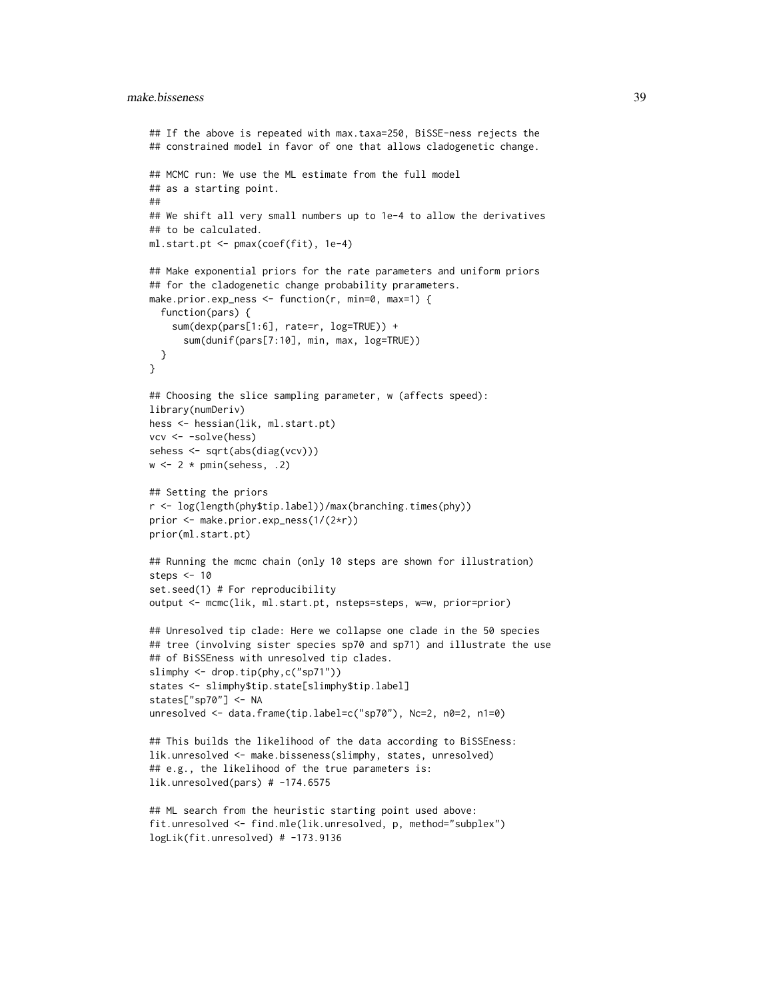### make.bisseness 39

```
## If the above is repeated with max.taxa=250, BiSSE-ness rejects the
## constrained model in favor of one that allows cladogenetic change.
## MCMC run: We use the ML estimate from the full model
## as a starting point.
##
## We shift all very small numbers up to 1e-4 to allow the derivatives
## to be calculated.
ml.start.pt <- pmax(coef(fit), 1e-4)
## Make exponential priors for the rate parameters and uniform priors
## for the cladogenetic change probability prarameters.
make.prior.exp_ness <- function(r, min=0, max=1) {
  function(pars) {
    sum(dexp(pars[1:6], rate=r, log=TRUE)) +
      sum(dunif(pars[7:10], min, max, log=TRUE))
  }
}
## Choosing the slice sampling parameter, w (affects speed):
library(numDeriv)
hess <- hessian(lik, ml.start.pt)
vcv <- -solve(hess)
sehess <- sqrt(abs(diag(vcv)))
w \leftarrow 2 * \text{pmin}(\text{sehess}, .2)## Setting the priors
r <- log(length(phy$tip.label))/max(branching.times(phy))
prior <- make.prior.exp_ness(1/(2*r))
prior(ml.start.pt)
## Running the mcmc chain (only 10 steps are shown for illustration)
steps <- 10
set.seed(1) # For reproducibility
output <- mcmc(lik, ml.start.pt, nsteps=steps, w=w, prior=prior)
## Unresolved tip clade: Here we collapse one clade in the 50 species
## tree (involving sister species sp70 and sp71) and illustrate the use
## of BiSSEness with unresolved tip clades.
slimphy <- drop.tip(phy,c("sp71"))
states <- slimphy$tip.state[slimphy$tip.label]
states["sp70"] <- NA
unresolved <- data.frame(tip.label=c("sp70"), Nc=2, n0=2, n1=0)
## This builds the likelihood of the data according to BiSSEness:
lik.unresolved <- make.bisseness(slimphy, states, unresolved)
## e.g., the likelihood of the true parameters is:
lik.unresolved(pars) # -174.6575## ML search from the heuristic starting point used above:
fit.unresolved <- find.mle(lik.unresolved, p, method="subplex")
```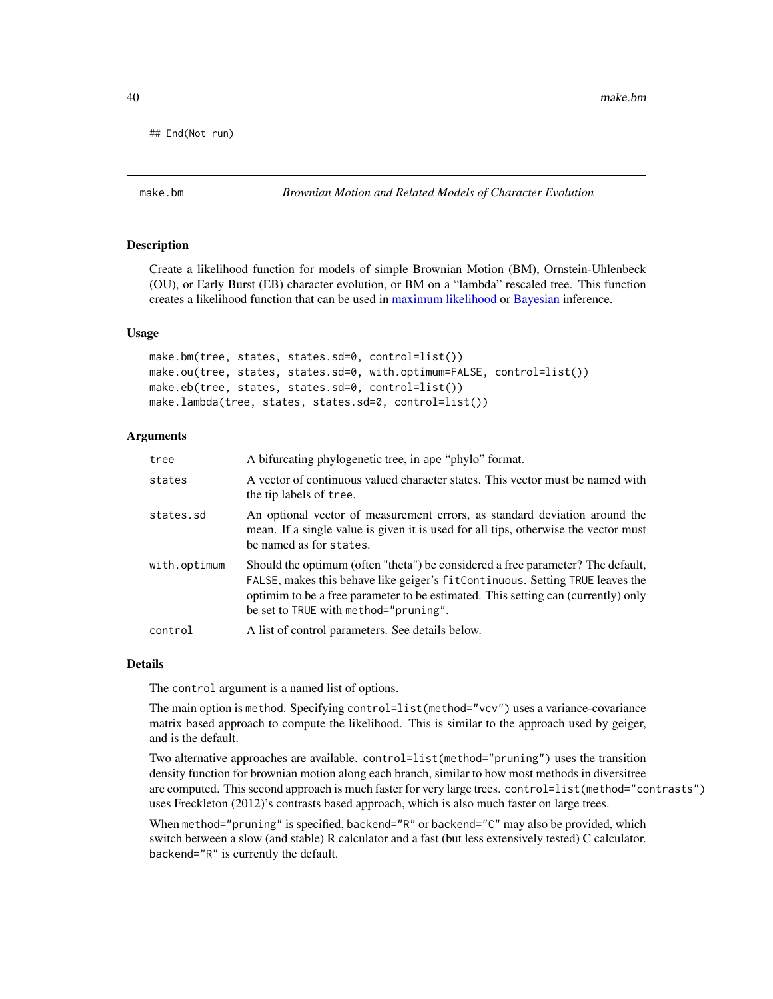## End(Not run)

### Description

Create a likelihood function for models of simple Brownian Motion (BM), Ornstein-Uhlenbeck (OU), or Early Burst (EB) character evolution, or BM on a "lambda" rescaled tree. This function creates a likelihood function that can be used in [maximum likelihood](#page-12-0) or [Bayesian](#page-72-0) inference.

#### Usage

make.bm(tree, states, states.sd=0, control=list()) make.ou(tree, states, states.sd=0, with.optimum=FALSE, control=list()) make.eb(tree, states, states.sd=0, control=list()) make.lambda(tree, states, states.sd=0, control=list())

### Arguments

| tree         | A bifurcating phylogenetic tree, in ape "phylo" format.                                                                                                                                                                                                                                        |
|--------------|------------------------------------------------------------------------------------------------------------------------------------------------------------------------------------------------------------------------------------------------------------------------------------------------|
| states       | A vector of continuous valued character states. This vector must be named with<br>the tip labels of tree.                                                                                                                                                                                      |
| states.sd    | An optional vector of measurement errors, as standard deviation around the<br>mean. If a single value is given it is used for all tips, otherwise the vector must<br>be named as for states.                                                                                                   |
| with.optimum | Should the optimum (often "theta") be considered a free parameter? The default,<br>FALSE, makes this behave like geiger's fitContinuous. Setting TRUE leaves the<br>optimin to be a free parameter to be estimated. This setting can (currently) only<br>be set to TRUE with method="pruning". |
| control      | A list of control parameters. See details below.                                                                                                                                                                                                                                               |

#### **Details**

The control argument is a named list of options.

The main option is method. Specifying control=list(method="vcv") uses a variance-covariance matrix based approach to compute the likelihood. This is similar to the approach used by geiger, and is the default.

Two alternative approaches are available. control=list(method="pruning") uses the transition density function for brownian motion along each branch, similar to how most methods in diversitree are computed. This second approach is much faster for very large trees. control=list(method="contrasts") uses Freckleton (2012)'s contrasts based approach, which is also much faster on large trees.

When method="pruning" is specified, backend="R" or backend="C" may also be provided, which switch between a slow (and stable) R calculator and a fast (but less extensively tested) C calculator. backend="R" is currently the default.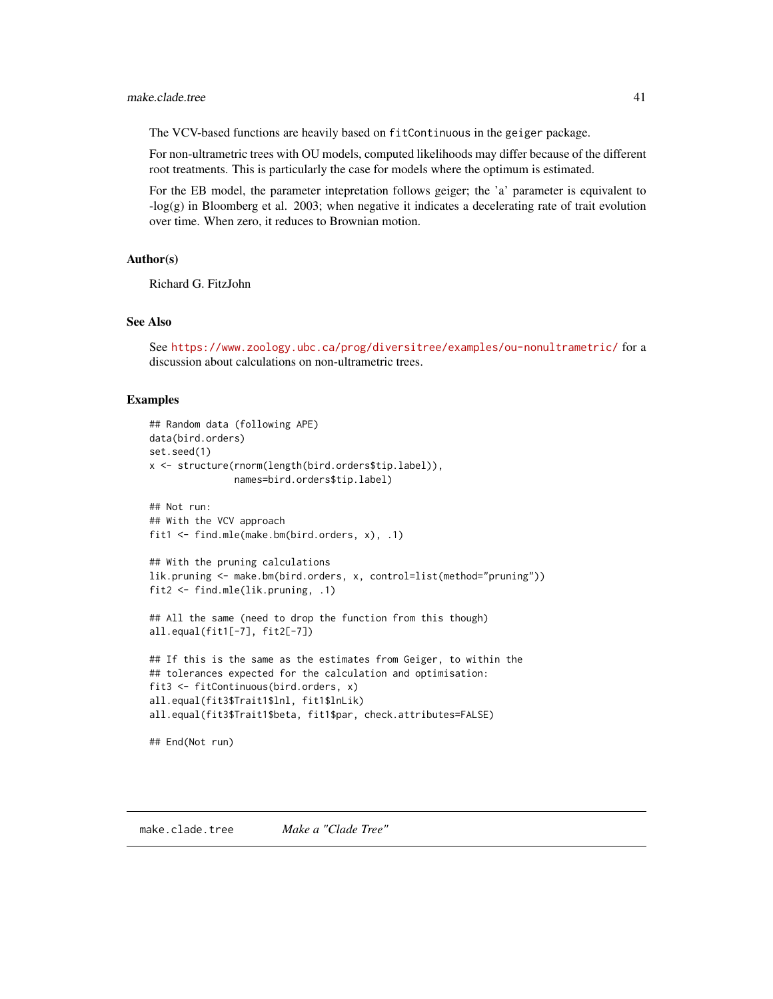### make.clade.tree 41

The VCV-based functions are heavily based on fitContinuous in the geiger package.

For non-ultrametric trees with OU models, computed likelihoods may differ because of the different root treatments. This is particularly the case for models where the optimum is estimated.

For the EB model, the parameter intepretation follows geiger; the 'a' parameter is equivalent to -log(g) in Bloomberg et al. 2003; when negative it indicates a decelerating rate of trait evolution over time. When zero, it reduces to Brownian motion.

### Author(s)

Richard G. FitzJohn

#### See Also

See <https://www.zoology.ubc.ca/prog/diversitree/examples/ou-nonultrametric/> for a discussion about calculations on non-ultrametric trees.

### Examples

```
## Random data (following APE)
data(bird.orders)
set.seed(1)
x <- structure(rnorm(length(bird.orders$tip.label)),
               names=bird.orders$tip.label)
## Not run:
## With the VCV approach
fit1 <- find.mle(make.bm(bird.orders, x), .1)
## With the pruning calculations
```

```
lik.pruning <- make.bm(bird.orders, x, control=list(method="pruning"))
fit2 <- find.mle(lik.pruning, .1)
```

```
## All the same (need to drop the function from this though)
all.equal(fit1[-7], fit2[-7])
```

```
## If this is the same as the estimates from Geiger, to within the
## tolerances expected for the calculation and optimisation:
fit3 <- fitContinuous(bird.orders, x)
all.equal(fit3$Trait1$lnl, fit1$lnLik)
all.equal(fit3$Trait1$beta, fit1$par, check.attributes=FALSE)
```

```
## End(Not run)
```
<span id="page-40-0"></span>make.clade.tree *Make a "Clade Tree"*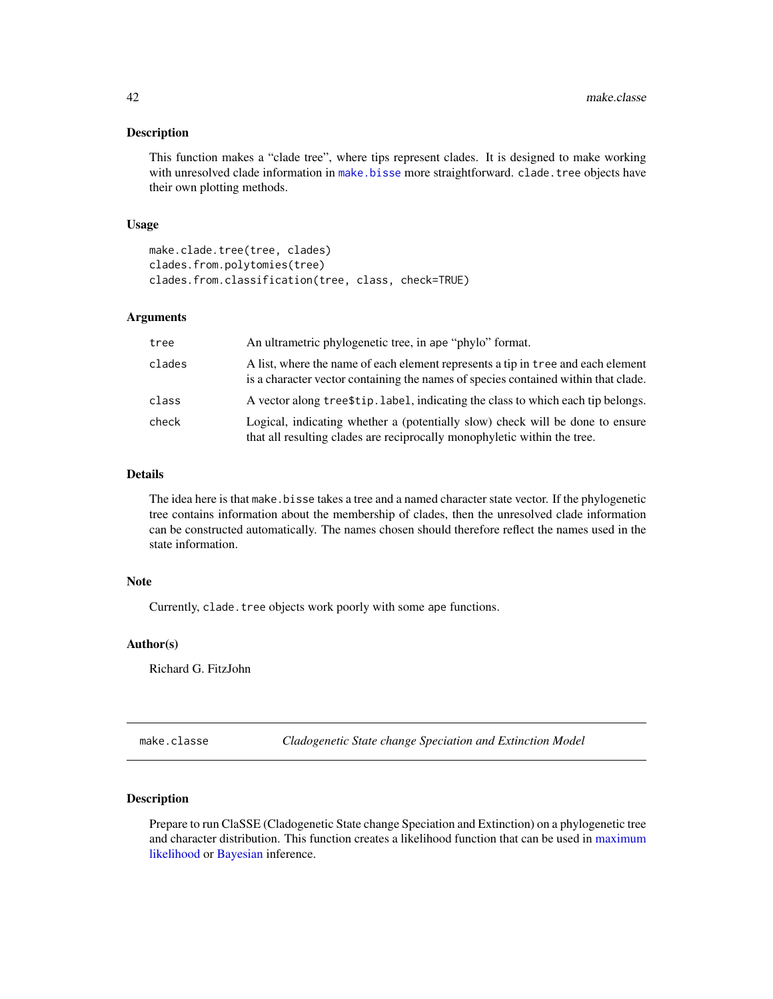#### Description

This function makes a "clade tree", where tips represent clades. It is designed to make working with unresolved clade information in [make.bisse](#page-23-0) more straightforward. clade.tree objects have their own plotting methods.

#### Usage

```
make.clade.tree(tree, clades)
clades.from.polytomies(tree)
clades.from.classification(tree, class, check=TRUE)
```
### Arguments

| tree   | An ultrametric phylogenetic tree, in ape "phylo" format.                                                                                                               |
|--------|------------------------------------------------------------------------------------------------------------------------------------------------------------------------|
| clades | A list, where the name of each element represents a tip in tree and each element<br>is a character vector containing the names of species contained within that clade. |
| class  | A vector along tree \$tip. label, indicating the class to which each tip belongs.                                                                                      |
| check  | Logical, indicating whether a (potentially slow) check will be done to ensure<br>that all resulting clades are reciprocally monophyletic within the tree.              |

### Details

The idea here is that make.bisse takes a tree and a named character state vector. If the phylogenetic tree contains information about the membership of clades, then the unresolved clade information can be constructed automatically. The names chosen should therefore reflect the names used in the state information.

# Note

Currently, clade.tree objects work poorly with some ape functions.

# Author(s)

Richard G. FitzJohn

make.classe *Cladogenetic State change Speciation and Extinction Model*

#### Description

Prepare to run ClaSSE (Cladogenetic State change Speciation and Extinction) on a phylogenetic tree and character distribution. This function creates a likelihood function that can be used in [maximum](#page-12-0) [likelihood](#page-12-0) or [Bayesian](#page-72-0) inference.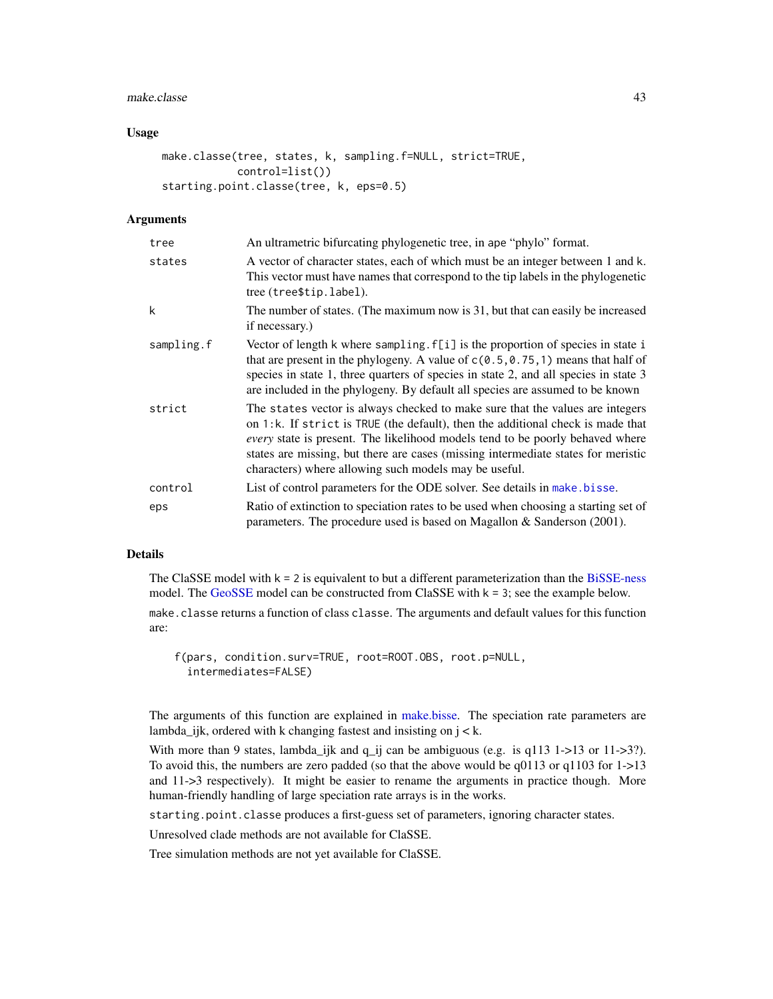#### make.classe 43

### Usage

```
make.classe(tree, states, k, sampling.f=NULL, strict=TRUE,
            control=list())
starting.point.classe(tree, k, eps=0.5)
```
#### Arguments

| tree       | An ultrametric bifurcating phylogenetic tree, in ape "phylo" format.                                                                                                                                                                                                                                                                                                                                   |
|------------|--------------------------------------------------------------------------------------------------------------------------------------------------------------------------------------------------------------------------------------------------------------------------------------------------------------------------------------------------------------------------------------------------------|
| states     | A vector of character states, each of which must be an integer between 1 and k.<br>This vector must have names that correspond to the tip labels in the phylogenetic<br>tree (tree\$tip.label).                                                                                                                                                                                                        |
| k          | The number of states. (The maximum now is 31, but that can easily be increased<br>if necessary.)                                                                                                                                                                                                                                                                                                       |
| sampling.f | Vector of length k where sampling. f[i] is the proportion of species in state i<br>that are present in the phylogeny. A value of $c(0.5, 0.75, 1)$ means that half of<br>species in state 1, three quarters of species in state 2, and all species in state 3<br>are included in the phylogeny. By default all species are assumed to be known                                                         |
| strict     | The states vector is always checked to make sure that the values are integers<br>on 1:k. If strict is TRUE (the default), then the additional check is made that<br><i>every</i> state is present. The likelihood models tend to be poorly behaved where<br>states are missing, but there are cases (missing intermediate states for meristic<br>characters) where allowing such models may be useful. |
| control    | List of control parameters for the ODE solver. See details in make bisse.                                                                                                                                                                                                                                                                                                                              |
| eps        | Ratio of extinction to speciation rates to be used when choosing a starting set of<br>parameters. The procedure used is based on Magallon $\&$ Sanderson (2001).                                                                                                                                                                                                                                       |

### Details

The ClaSSE model with  $k = 2$  is equivalent to but a different parameterization than the [BiSSE-ness](#page-34-0) model. The [GeoSSE](#page-44-0) model can be constructed from ClaSSE with  $k = 3$ ; see the example below.

make.classe returns a function of class classe. The arguments and default values for this function are:

```
f(pars, condition.surv=TRUE, root=ROOT.OBS, root.p=NULL,
  intermediates=FALSE)
```
The arguments of this function are explained in [make.bisse.](#page-23-0) The speciation rate parameters are lambda\_ijk, ordered with k changing fastest and insisting on  $j < k$ .

With more than 9 states, lambda\_ijk and  $q$ \_ij can be ambiguous (e.g. is  $q113$  1->13 or 11->3?). To avoid this, the numbers are zero padded (so that the above would be  $q0113$  or  $q1103$  for  $1-$ >13 and 11->3 respectively). It might be easier to rename the arguments in practice though. More human-friendly handling of large speciation rate arrays is in the works.

starting.point.classe produces a first-guess set of parameters, ignoring character states.

Unresolved clade methods are not available for ClaSSE.

Tree simulation methods are not yet available for ClaSSE.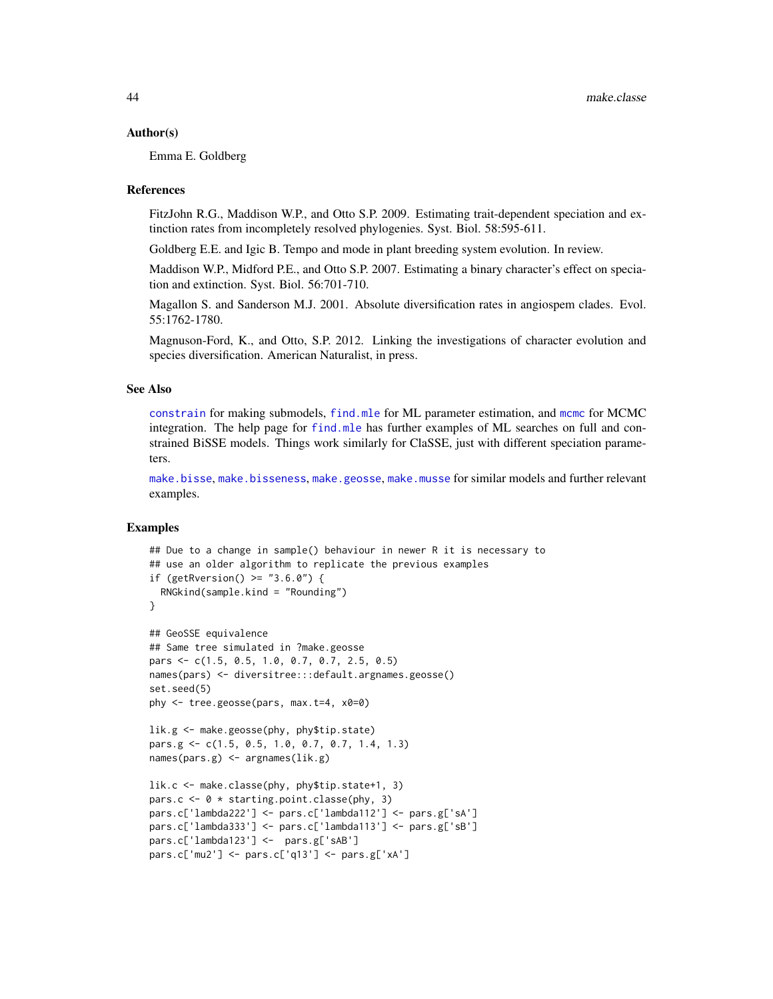#### Author(s)

Emma E. Goldberg

#### References

FitzJohn R.G., Maddison W.P., and Otto S.P. 2009. Estimating trait-dependent speciation and extinction rates from incompletely resolved phylogenies. Syst. Biol. 58:595-611.

Goldberg E.E. and Igic B. Tempo and mode in plant breeding system evolution. In review.

Maddison W.P., Midford P.E., and Otto S.P. 2007. Estimating a binary character's effect on speciation and extinction. Syst. Biol. 56:701-710.

Magallon S. and Sanderson M.J. 2001. Absolute diversification rates in angiospem clades. Evol. 55:1762-1780.

Magnuson-Ford, K., and Otto, S.P. 2012. Linking the investigations of character evolution and species diversification. American Naturalist, in press.

### See Also

[constrain](#page-10-0) for making submodels, [find.mle](#page-12-0) for ML parameter estimation, and [mcmc](#page-72-0) for MCMC integration. The help page for [find.mle](#page-12-0) has further examples of ML searches on full and constrained BiSSE models. Things work similarly for ClaSSE, just with different speciation parameters.

[make.bisse](#page-23-0), [make.bisseness](#page-34-0), [make.geosse](#page-44-0), [make.musse](#page-54-0) for similar models and further relevant examples.

```
## Due to a change in sample() behaviour in newer R it is necessary to
## use an older algorithm to replicate the previous examples
if (getRversion() >= "3.6.0") {
  RNGkind(sample.kind = "Rounding")
}
## GeoSSE equivalence
## Same tree simulated in ?make.geosse
pars <- c(1.5, 0.5, 1.0, 0.7, 0.7, 2.5, 0.5)
names(pars) <- diversitree:::default.argnames.geosse()
set.seed(5)
phy <- tree.geosse(pars, max.t=4, x0=0)
lik.g <- make.geosse(phy, phy$tip.state)
pars.g <- c(1.5, 0.5, 1.0, 0.7, 0.7, 1.4, 1.3)
names(pars.g) <- argnames(lik.g)
lik.c <- make.classe(phy, phy$tip.state+1, 3)
pars.c <- 0 * starting.point.classe(phy, 3)
pars.c['lambda222'] <- pars.c['lambda112'] <- pars.g['sA']
pars.c['lambda333'] <- pars.c['lambda113'] <- pars.g['sB']
pars.c['lambda123'] <- pars.g['sAB']
pars.c['mu2'] <- pars.c['q13'] <- pars.g['xA']
```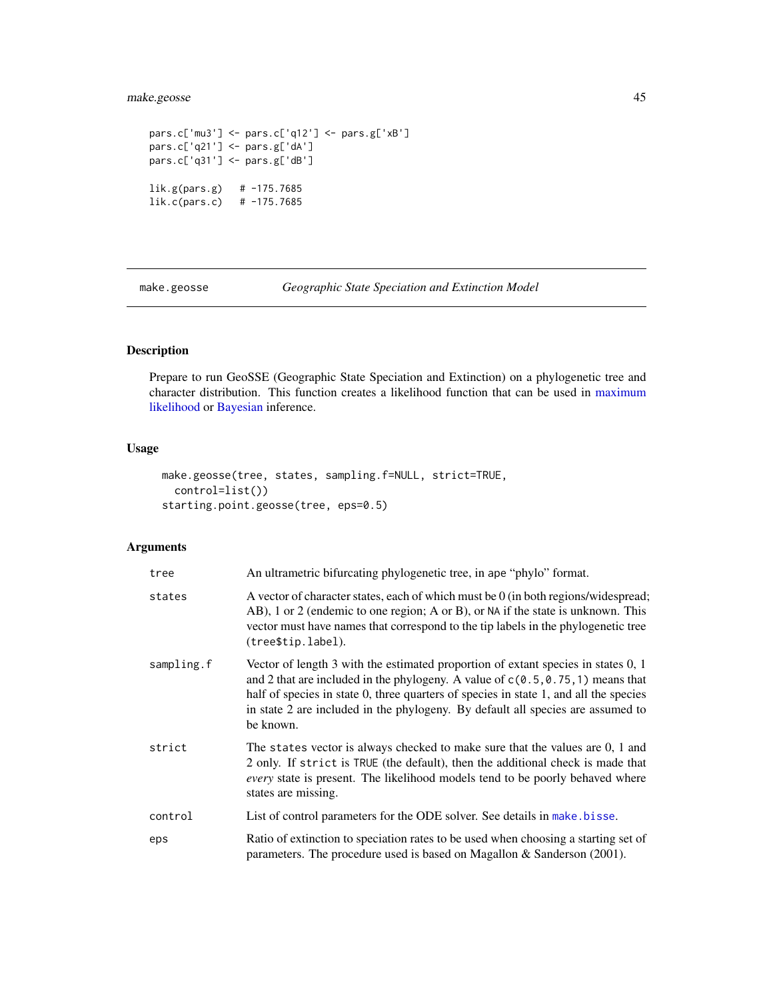# make.geosse 45

```
pars.c['mu3'] <- pars.c['q12'] <- pars.g['xB']
pars.c['q21'] <- pars.g['dA']
pars.c['q31'] <- pars.g['dB']
lik.g(pars.g) # -175.7685
lik.c(pars.c) # -175.7685
```
<span id="page-44-0"></span>make.geosse *Geographic State Speciation and Extinction Model*

# Description

Prepare to run GeoSSE (Geographic State Speciation and Extinction) on a phylogenetic tree and character distribution. This function creates a likelihood function that can be used in [maximum](#page-12-0) [likelihood](#page-12-0) or [Bayesian](#page-72-0) inference.

### Usage

```
make.geosse(tree, states, sampling.f=NULL, strict=TRUE,
 control=list())
starting.point.geosse(tree, eps=0.5)
```
# Arguments

| tree       | An ultrametric bifurcating phylogenetic tree, in ape "phylo" format.                                                                                                                                                                                                                                                                                            |
|------------|-----------------------------------------------------------------------------------------------------------------------------------------------------------------------------------------------------------------------------------------------------------------------------------------------------------------------------------------------------------------|
| states     | A vector of character states, each of which must be 0 (in both regions/widespread;<br>AB), 1 or 2 (endemic to one region; A or B), or NA if the state is unknown. This<br>vector must have names that correspond to the tip labels in the phylogenetic tree<br>(tree\$tip.label).                                                                               |
| sampling.f | Vector of length 3 with the estimated proportion of extant species in states 0, 1<br>and 2 that are included in the phylogeny. A value of $c(0.5, 0.75, 1)$ means that<br>half of species in state 0, three quarters of species in state 1, and all the species<br>in state 2 are included in the phylogeny. By default all species are assumed to<br>be known. |
| strict     | The states vector is always checked to make sure that the values are 0, 1 and<br>2 only. If strict is TRUE (the default), then the additional check is made that<br><i>every</i> state is present. The likelihood models tend to be poorly behaved where<br>states are missing.                                                                                 |
| control    | List of control parameters for the ODE solver. See details in make bisse.                                                                                                                                                                                                                                                                                       |
| eps        | Ratio of extinction to speciation rates to be used when choosing a starting set of<br>parameters. The procedure used is based on Magallon & Sanderson (2001).                                                                                                                                                                                                   |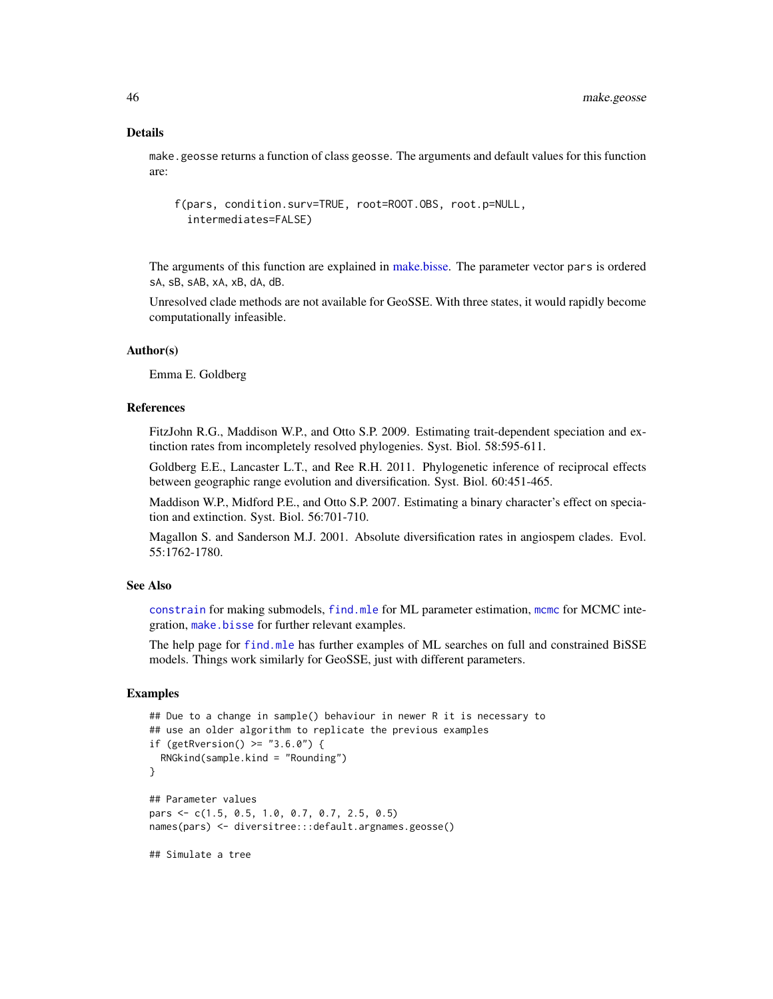#### Details

make.geosse returns a function of class geosse. The arguments and default values for this function are:

```
f(pars, condition.surv=TRUE, root=ROOT.OBS, root.p=NULL,
  intermediates=FALSE)
```
The arguments of this function are explained in [make.bisse.](#page-23-0) The parameter vector pars is ordered sA, sB, sAB, xA, xB, dA, dB.

Unresolved clade methods are not available for GeoSSE. With three states, it would rapidly become computationally infeasible.

### Author(s)

Emma E. Goldberg

# References

FitzJohn R.G., Maddison W.P., and Otto S.P. 2009. Estimating trait-dependent speciation and extinction rates from incompletely resolved phylogenies. Syst. Biol. 58:595-611.

Goldberg E.E., Lancaster L.T., and Ree R.H. 2011. Phylogenetic inference of reciprocal effects between geographic range evolution and diversification. Syst. Biol. 60:451-465.

Maddison W.P., Midford P.E., and Otto S.P. 2007. Estimating a binary character's effect on speciation and extinction. Syst. Biol. 56:701-710.

Magallon S. and Sanderson M.J. 2001. Absolute diversification rates in angiospem clades. Evol. 55:1762-1780.

### See Also

[constrain](#page-10-0) for making submodels, [find.mle](#page-12-0) for ML parameter estimation, [mcmc](#page-72-0) for MCMC integration, [make.bisse](#page-23-0) for further relevant examples.

The help page for [find.mle](#page-12-0) has further examples of ML searches on full and constrained BiSSE models. Things work similarly for GeoSSE, just with different parameters.

```
## Due to a change in sample() behaviour in newer R it is necessary to
## use an older algorithm to replicate the previous examples
if (getRversion() >= "3.6.0") {
 RNGkind(sample.kind = "Rounding")
}
## Parameter values
pars <- c(1.5, 0.5, 1.0, 0.7, 0.7, 2.5, 0.5)
names(pars) <- diversitree:::default.argnames.geosse()
## Simulate a tree
```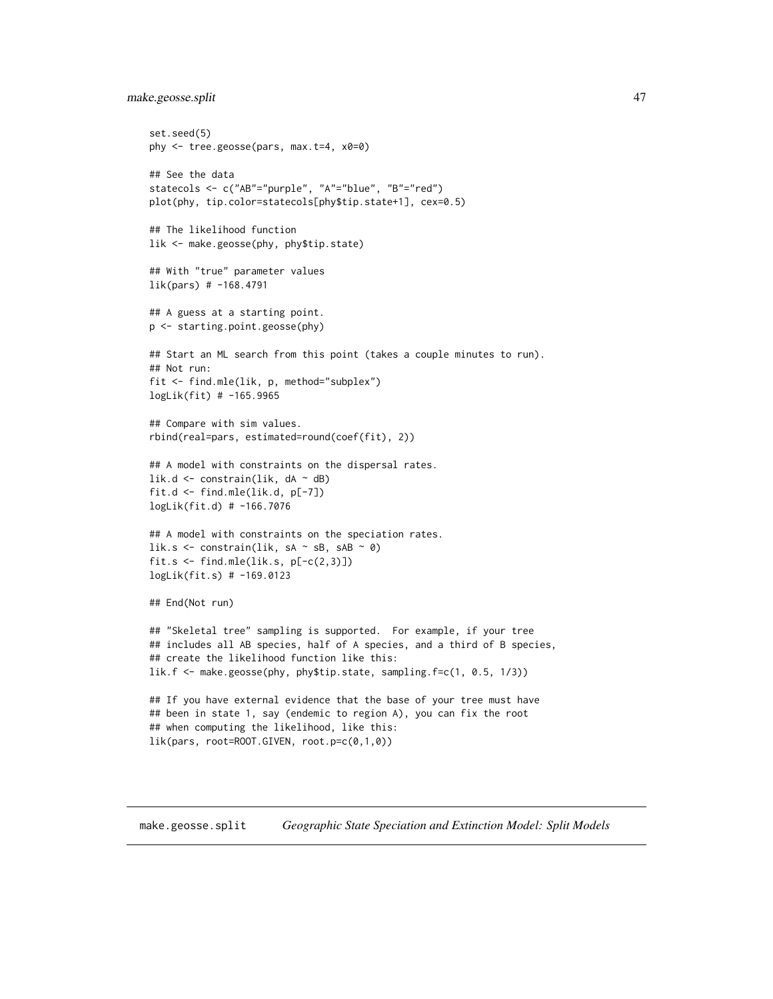```
make.geosse.split 47
```

```
set.seed(5)
phy <- tree.geosse(pars, max.t=4, x0=0)
## See the data
statecols <- c("AB"="purple", "A"="blue", "B"="red")
plot(phy, tip.color=statecols[phy$tip.state+1], cex=0.5)
## The likelihood function
lik <- make.geosse(phy, phy$tip.state)
## With "true" parameter values
lik(pars) # -168.4791
## A guess at a starting point.
p <- starting.point.geosse(phy)
## Start an ML search from this point (takes a couple minutes to run).
## Not run:
fit <- find.mle(lik, p, method="subplex")
logLik(fit) # -165.9965
## Compare with sim values.
rbind(real=pars, estimated=round(coef(fit), 2))
## A model with constraints on the dispersal rates.
lik.d \leq constrain(lik, dA \sim dB)
fit.d <- find.mle(lik.d, p[-7])
logLik(fit.d) # -166.7076
## A model with constraints on the speciation rates.
lik.s <- constrain(lik, sA \sim sB, sAB \sim 0)
fit.s <- find.mle(lik.s, p[-c(2,3)])
logLik(fit.s) # -169.0123
## End(Not run)
## "Skeletal tree" sampling is supported. For example, if your tree
## includes all AB species, half of A species, and a third of B species,
## create the likelihood function like this:
lik.f <- make.geosse(phy, phy$tip.state, sampling.f=c(1, 0.5, 1/3))
## If you have external evidence that the base of your tree must have
## been in state 1, say (endemic to region A), you can fix the root
## when computing the likelihood, like this:
lik(pars, root=ROOT.GIVEN, root.p=c(0,1,0))
```
make.geosse.split *Geographic State Speciation and Extinction Model: Split Models*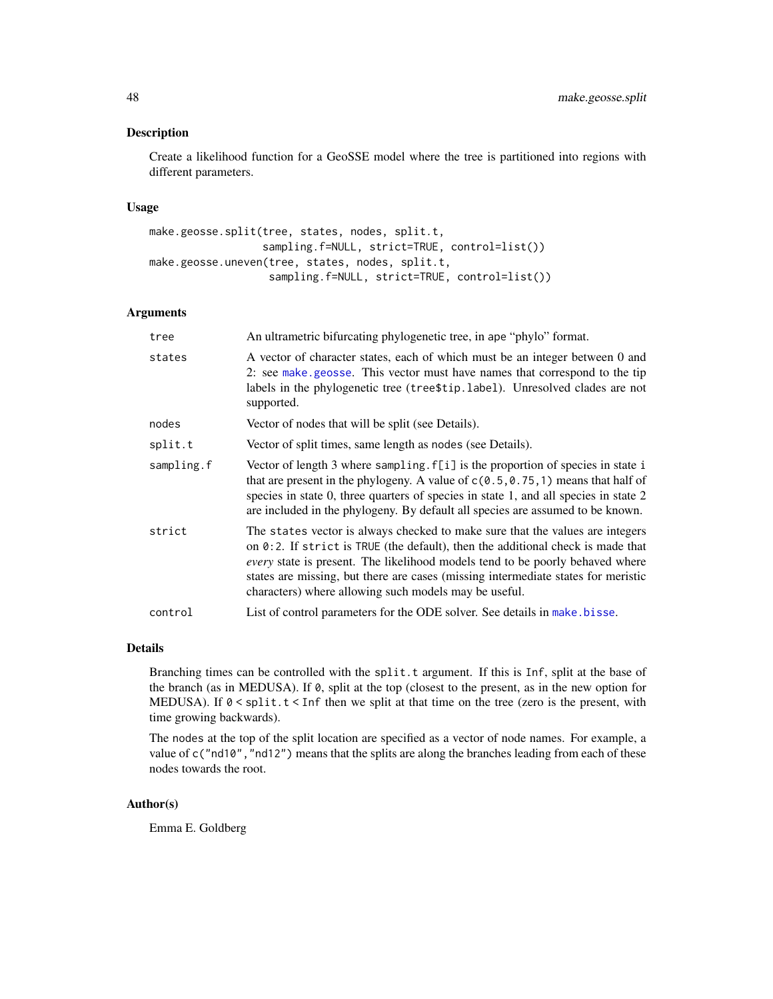#### Description

Create a likelihood function for a GeoSSE model where the tree is partitioned into regions with different parameters.

# Usage

```
make.geosse.split(tree, states, nodes, split.t,
                  sampling.f=NULL, strict=TRUE, control=list())
make.geosse.uneven(tree, states, nodes, split.t,
                   sampling.f=NULL, strict=TRUE, control=list())
```
### Arguments

| tree       | An ultrametric bifurcating phylogenetic tree, in ape "phylo" format.                                                                                                                                                                                                                                                                                                                                      |
|------------|-----------------------------------------------------------------------------------------------------------------------------------------------------------------------------------------------------------------------------------------------------------------------------------------------------------------------------------------------------------------------------------------------------------|
| states     | A vector of character states, each of which must be an integer between 0 and<br>2: see make geosse. This vector must have names that correspond to the tip<br>labels in the phylogenetic tree (tree\$tip.label). Unresolved clades are not<br>supported.                                                                                                                                                  |
| nodes      | Vector of nodes that will be split (see Details).                                                                                                                                                                                                                                                                                                                                                         |
| split.t    | Vector of split times, same length as nodes (see Details).                                                                                                                                                                                                                                                                                                                                                |
| sampling.f | Vector of length 3 where sampling. f[i] is the proportion of species in state i<br>that are present in the phylogeny. A value of $c(0.5, 0.75, 1)$ means that half of<br>species in state 0, three quarters of species in state 1, and all species in state 2<br>are included in the phylogeny. By default all species are assumed to be known.                                                           |
| strict     | The states vector is always checked to make sure that the values are integers<br>on $0:2$ . If strict is TRUE (the default), then the additional check is made that<br><i>every</i> state is present. The likelihood models tend to be poorly behaved where<br>states are missing, but there are cases (missing intermediate states for meristic<br>characters) where allowing such models may be useful. |
| control    | List of control parameters for the ODE solver. See details in make bisse.                                                                                                                                                                                                                                                                                                                                 |

### Details

Branching times can be controlled with the split.t argument. If this is Inf, split at the base of the branch (as in MEDUSA). If 0, split at the top (closest to the present, as in the new option for MEDUSA). If  $0 \leq \text{split}$ ,  $t \leq \text{Inf}$  then we split at that time on the tree (zero is the present, with time growing backwards).

The nodes at the top of the split location are specified as a vector of node names. For example, a value of c("nd10","nd12") means that the splits are along the branches leading from each of these nodes towards the root.

# Author(s)

Emma E. Goldberg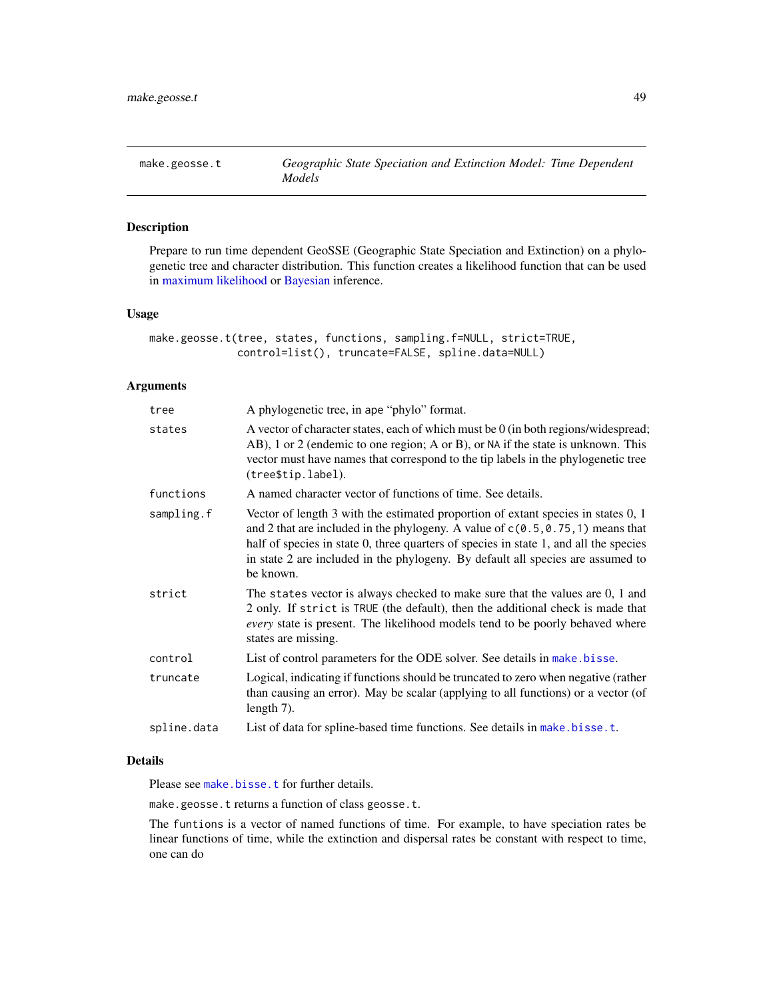### Description

Prepare to run time dependent GeoSSE (Geographic State Speciation and Extinction) on a phylogenetic tree and character distribution. This function creates a likelihood function that can be used in [maximum likelihood](#page-12-0) or [Bayesian](#page-72-0) inference.

#### Usage

make.geosse.t(tree, states, functions, sampling.f=NULL, strict=TRUE, control=list(), truncate=FALSE, spline.data=NULL)

### Arguments

| tree        | A phylogenetic tree, in ape "phylo" format.                                                                                                                                                                                                                                                                                                                     |
|-------------|-----------------------------------------------------------------------------------------------------------------------------------------------------------------------------------------------------------------------------------------------------------------------------------------------------------------------------------------------------------------|
| states      | A vector of character states, each of which must be 0 (in both regions/widespread;<br>AB), 1 or 2 (endemic to one region; A or B), or NA if the state is unknown. This<br>vector must have names that correspond to the tip labels in the phylogenetic tree<br>(tree\$tip.label).                                                                               |
| functions   | A named character vector of functions of time. See details.                                                                                                                                                                                                                                                                                                     |
| sampling.f  | Vector of length 3 with the estimated proportion of extant species in states 0, 1<br>and 2 that are included in the phylogeny. A value of $c(0.5, 0.75, 1)$ means that<br>half of species in state 0, three quarters of species in state 1, and all the species<br>in state 2 are included in the phylogeny. By default all species are assumed to<br>be known. |
| strict      | The states vector is always checked to make sure that the values are 0, 1 and<br>2 only. If strict is TRUE (the default), then the additional check is made that<br>every state is present. The likelihood models tend to be poorly behaved where<br>states are missing.                                                                                        |
| control     | List of control parameters for the ODE solver. See details in make bisse.                                                                                                                                                                                                                                                                                       |
| truncate    | Logical, indicating if functions should be truncated to zero when negative (rather<br>than causing an error). May be scalar (applying to all functions) or a vector (of<br>length $7$ ).                                                                                                                                                                        |
| spline.data | List of data for spline-based time functions. See details in make bisse.t.                                                                                                                                                                                                                                                                                      |

### Details

Please see [make.bisse.t](#page-30-0) for further details.

make.geosse.t returns a function of class geosse.t.

The funtions is a vector of named functions of time. For example, to have speciation rates be linear functions of time, while the extinction and dispersal rates be constant with respect to time, one can do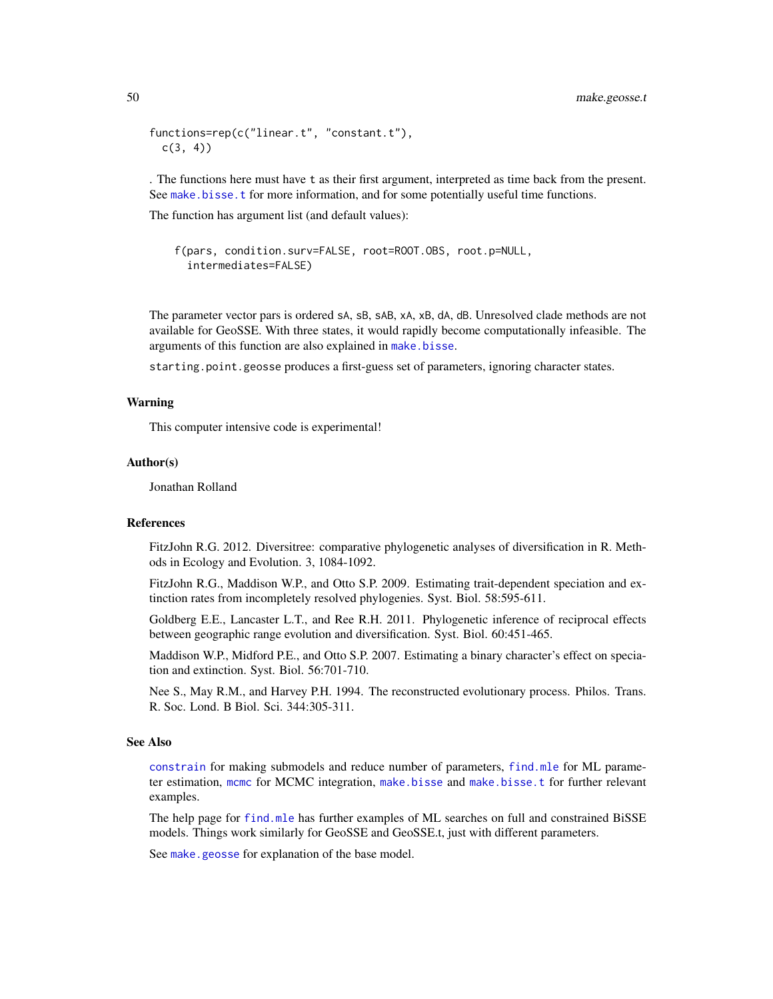```
functions=rep(c("linear.t", "constant.t"),
 c(3, 4)
```
. The functions here must have t as their first argument, interpreted as time back from the present. See [make.bisse.t](#page-30-0) for more information, and for some potentially useful time functions.

The function has argument list (and default values):

```
f(pars, condition.surv=FALSE, root=ROOT.OBS, root.p=NULL,
 intermediates=FALSE)
```
The parameter vector pars is ordered sA, sB, sAB, xA, xB, dA, dB. Unresolved clade methods are not available for GeoSSE. With three states, it would rapidly become computationally infeasible. The arguments of this function are also explained in [make.bisse](#page-23-0).

starting.point.geosse produces a first-guess set of parameters, ignoring character states.

### Warning

This computer intensive code is experimental!

#### Author(s)

Jonathan Rolland

#### References

FitzJohn R.G. 2012. Diversitree: comparative phylogenetic analyses of diversification in R. Methods in Ecology and Evolution. 3, 1084-1092.

FitzJohn R.G., Maddison W.P., and Otto S.P. 2009. Estimating trait-dependent speciation and extinction rates from incompletely resolved phylogenies. Syst. Biol. 58:595-611.

Goldberg E.E., Lancaster L.T., and Ree R.H. 2011. Phylogenetic inference of reciprocal effects between geographic range evolution and diversification. Syst. Biol. 60:451-465.

Maddison W.P., Midford P.E., and Otto S.P. 2007. Estimating a binary character's effect on speciation and extinction. Syst. Biol. 56:701-710.

Nee S., May R.M., and Harvey P.H. 1994. The reconstructed evolutionary process. Philos. Trans. R. Soc. Lond. B Biol. Sci. 344:305-311.

### See Also

[constrain](#page-10-0) for making submodels and reduce number of parameters, [find.mle](#page-12-0) for ML parameter estimation, [mcmc](#page-72-0) for MCMC integration, [make.bisse](#page-23-0) and [make.bisse.t](#page-30-0) for further relevant examples.

The help page for [find.mle](#page-12-0) has further examples of ML searches on full and constrained BiSSE models. Things work similarly for GeoSSE and GeoSSE.t, just with different parameters.

See [make.geosse](#page-44-0) for explanation of the base model.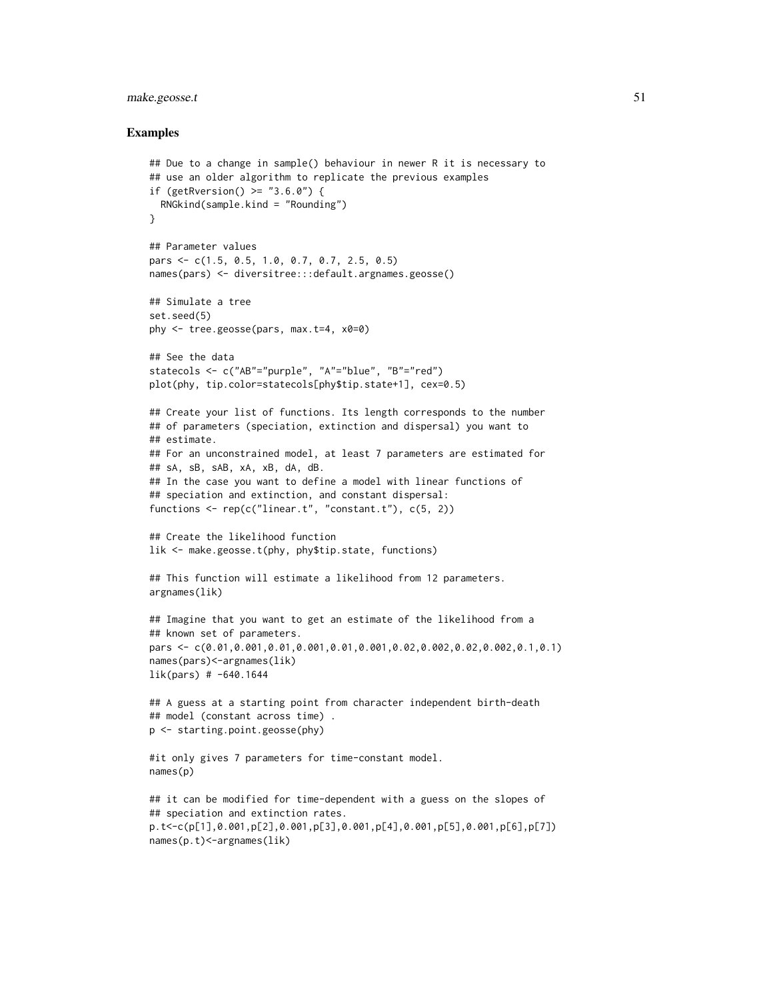# make.geosse.t 51

```
## Due to a change in sample() behaviour in newer R it is necessary to
## use an older algorithm to replicate the previous examples
if (getRversion() >= "3.6.0") {
  RNGkind(sample.kind = "Rounding")
}
## Parameter values
pars <- c(1.5, 0.5, 1.0, 0.7, 0.7, 2.5, 0.5)
names(pars) <- diversitree:::default.argnames.geosse()
## Simulate a tree
set.seed(5)
phy <- tree.geosse(pars, max.t=4, x0=0)
## See the data
statecols <- c("AB"="purple", "A"="blue", "B"="red")
plot(phy, tip.color=statecols[phy$tip.state+1], cex=0.5)
## Create your list of functions. Its length corresponds to the number
## of parameters (speciation, extinction and dispersal) you want to
## estimate.
## For an unconstrained model, at least 7 parameters are estimated for
## sA, sB, sAB, xA, xB, dA, dB.
## In the case you want to define a model with linear functions of
## speciation and extinction, and constant dispersal:
functions \leq rep(c("linear.t", "constant.t"), c(5, 2))
## Create the likelihood function
lik <- make.geosse.t(phy, phy$tip.state, functions)
## This function will estimate a likelihood from 12 parameters.
argnames(lik)
## Imagine that you want to get an estimate of the likelihood from a
## known set of parameters.
pars <- c(0.01,0.001,0.01,0.001,0.01,0.001,0.02,0.002,0.02,0.002,0.1,0.1)
names(pars)<-argnames(lik)
lik(pars) # -640.1644## A guess at a starting point from character independent birth-death
## model (constant across time) .
p <- starting.point.geosse(phy)
#it only gives 7 parameters for time-constant model.
names(p)
## it can be modified for time-dependent with a guess on the slopes of
## speciation and extinction rates.
p.t<-c(p[1],0.001,p[2],0.001,p[3],0.001,p[4],0.001,p[5],0.001,p[6],p[7])
names(p.t)<-argnames(lik)
```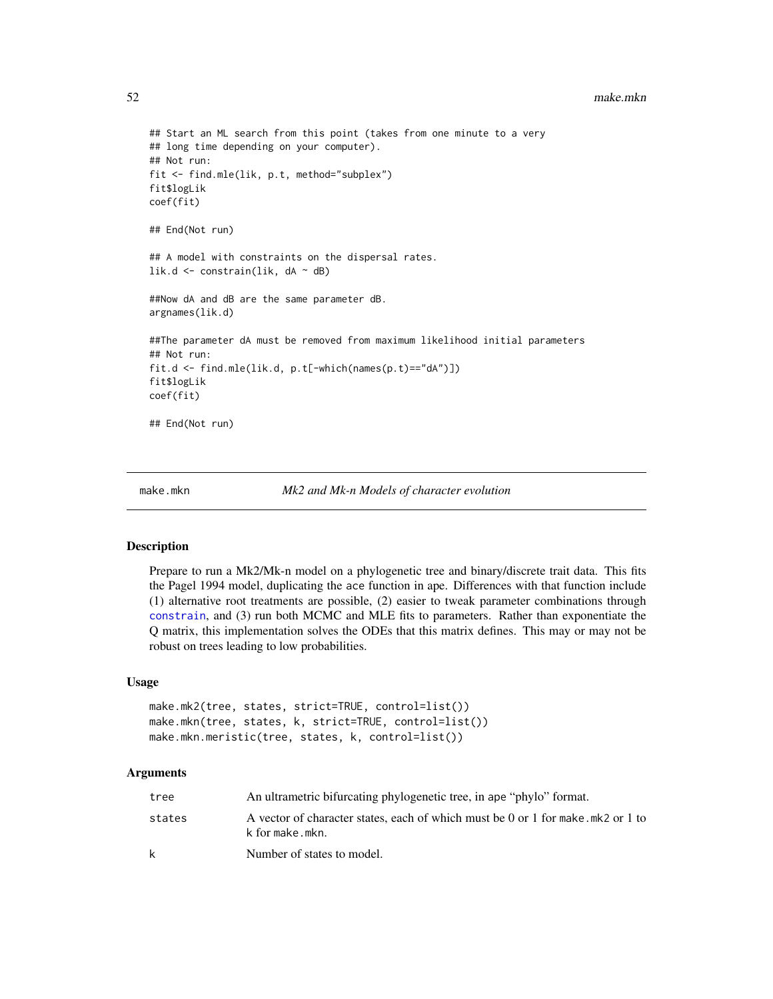#### 52 make.mkn

```
## Start an ML search from this point (takes from one minute to a very
## long time depending on your computer).
## Not run:
fit <- find.mle(lik, p.t, method="subplex")
fit$logLik
coef(fit)
## End(Not run)
## A model with constraints on the dispersal rates.
lik.d \leq constrain(lik, dA \sim dB)
##Now dA and dB are the same parameter dB.
argnames(lik.d)
##The parameter dA must be removed from maximum likelihood initial parameters
## Not run:
fit.d <- find.mle(lik.d, p.t[-which(names(p.t)=="dA")])
fit$logLik
coef(fit)
## End(Not run)
```
make.mkn *Mk2 and Mk-n Models of character evolution*

### Description

Prepare to run a Mk2/Mk-n model on a phylogenetic tree and binary/discrete trait data. This fits the Pagel 1994 model, duplicating the ace function in ape. Differences with that function include (1) alternative root treatments are possible, (2) easier to tweak parameter combinations through [constrain](#page-10-0), and (3) run both MCMC and MLE fits to parameters. Rather than exponentiate the Q matrix, this implementation solves the ODEs that this matrix defines. This may or may not be robust on trees leading to low probabilities.

### Usage

```
make.mk2(tree, states, strict=TRUE, control=list())
make.mkn(tree, states, k, strict=TRUE, control=list())
make.mkn.meristic(tree, states, k, control=list())
```
### Arguments

| tree   | An ultrametric bifurcating phylogenetic tree, in ape "phylo" format.                               |
|--------|----------------------------------------------------------------------------------------------------|
| states | A vector of character states, each of which must be 0 or 1 for make.mk2 or 1 to<br>k for make.mkn. |
| k      | Number of states to model.                                                                         |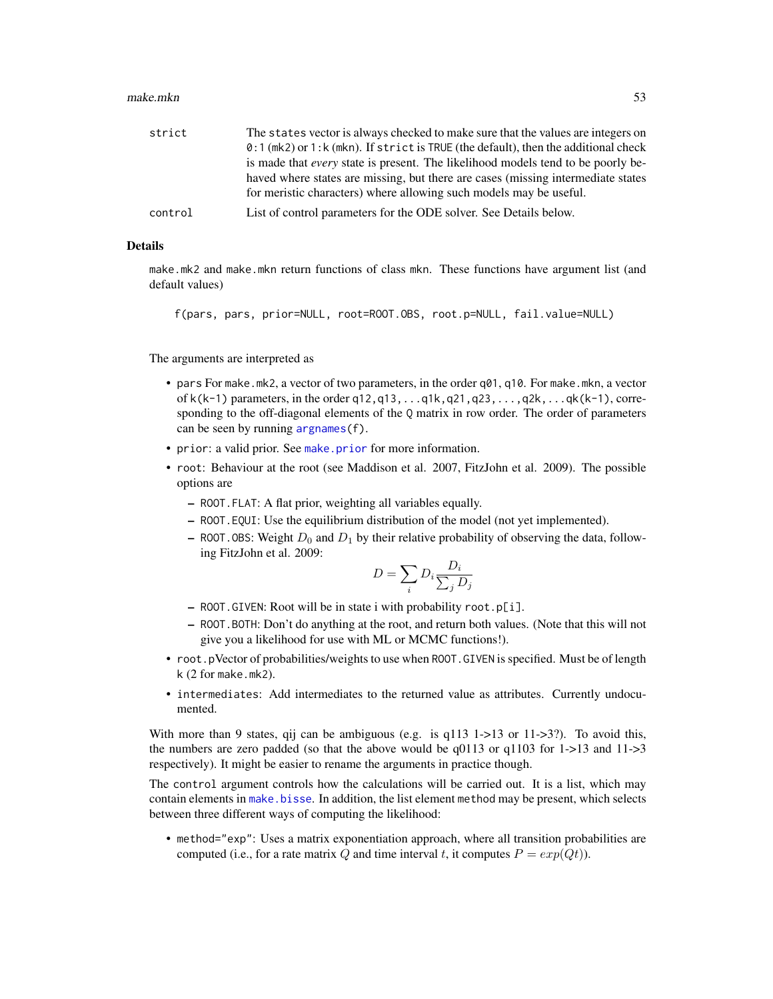#### make.mkn 53

| strict  | The states vector is always checked to make sure that the values are integers on        |
|---------|-----------------------------------------------------------------------------------------|
|         | $0:1$ (mk2) or 1: k (mkn). If strict is TRUE (the default), then the additional check   |
|         | is made that <i>every</i> state is present. The likelihood models tend to be poorly be- |
|         | haved where states are missing, but there are cases (missing intermediate states        |
|         | for meristic characters) where allowing such models may be useful.                      |
| control | List of control parameters for the ODE solver. See Details below.                       |

### Details

make.mk2 and make.mkn return functions of class mkn. These functions have argument list (and default values)

f(pars, pars, prior=NULL, root=ROOT.OBS, root.p=NULL, fail.value=NULL)

The arguments are interpreted as

- pars For make.mk2, a vector of two parameters, in the order  $q01$ ,  $q10$ . For make.mkn, a vector of k(k-1) parameters, in the order q12,q13,...q1k,q21,q23,...,q2k,...qk(k-1), corresponding to the off-diagonal elements of the Q matrix in row order. The order of parameters can be seen by running [argnames\(](#page-2-0)f).
- prior: a valid prior. See [make.prior](#page-67-0) for more information.
- root: Behaviour at the root (see Maddison et al. 2007, FitzJohn et al. 2009). The possible options are
	- ROOT.FLAT: A flat prior, weighting all variables equally.
	- ROOT.EQUI: Use the equilibrium distribution of the model (not yet implemented).
	- ROOT. OBS: Weight  $D_0$  and  $D_1$  by their relative probability of observing the data, following FitzJohn et al. 2009:

$$
D = \sum_{i} D_i \frac{D_i}{\sum_j D_j}
$$

- ROOT.GIVEN: Root will be in state i with probability root.p[i].
- ROOT.BOTH: Don't do anything at the root, and return both values. (Note that this will not give you a likelihood for use with ML or MCMC functions!).
- root.pVector of probabilities/weights to use when ROOT.GIVEN is specified. Must be of length k (2 for make.mk2).
- intermediates: Add intermediates to the returned value as attributes. Currently undocumented.

With more than 9 states, qij can be ambiguous (e.g. is  $q113$  1->13 or 11->3?). To avoid this, the numbers are zero padded (so that the above would be q0113 or q1103 for 1->13 and 11->3 respectively). It might be easier to rename the arguments in practice though.

The control argument controls how the calculations will be carried out. It is a list, which may contain elements in make. bisse. In addition, the list element method may be present, which selects between three different ways of computing the likelihood:

• method="exp": Uses a matrix exponentiation approach, where all transition probabilities are computed (i.e., for a rate matrix Q and time interval t, it computes  $P = exp(Qt)$ ).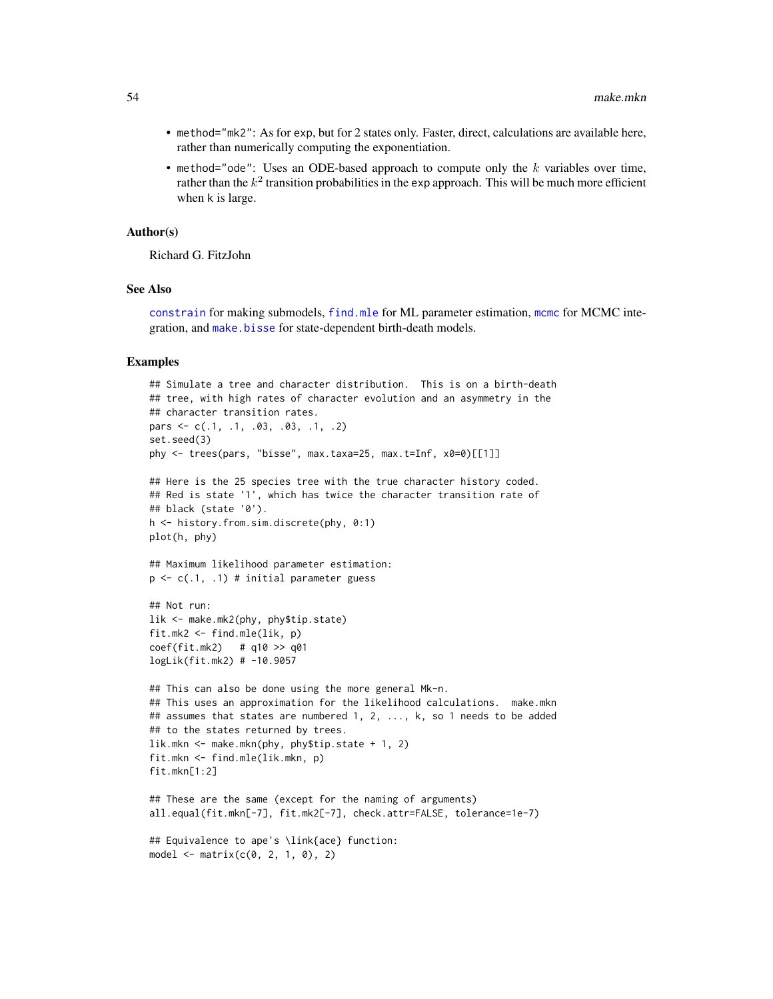- method="mk2": As for exp, but for 2 states only. Faster, direct, calculations are available here, rather than numerically computing the exponentiation.
- method="ode": Uses an ODE-based approach to compute only the  $k$  variables over time, rather than the  $k^2$  transition probabilities in the exp approach. This will be much more efficient when k is large.

#### Author(s)

Richard G. FitzJohn

### See Also

[constrain](#page-10-0) for making submodels, [find.mle](#page-12-0) for ML parameter estimation, [mcmc](#page-72-0) for MCMC integration, and [make.bisse](#page-23-0) for state-dependent birth-death models.

```
## Simulate a tree and character distribution. This is on a birth-death
## tree, with high rates of character evolution and an asymmetry in the
## character transition rates.
pars <- c(.1, .1, .03, .03, .1, .2)
set.seed(3)
phy <- trees(pars, "bisse", max.taxa=25, max.t=Inf, x0=0)[[1]]
## Here is the 25 species tree with the true character history coded.
## Red is state '1', which has twice the character transition rate of
## black (state '0').
h <- history.from.sim.discrete(phy, 0:1)
plot(h, phy)
## Maximum likelihood parameter estimation:
p \leftarrow c(.1, .1) # initial parameter guess
## Not run:
lik <- make.mk2(phy, phy$tip.state)
fit.mk2 <- find.mle(lik, p)
coef(fit.mk2) # q10 >> q01
logLik(fit.mk2) # -10.9057
## This can also be done using the more general Mk-n.
## This uses an approximation for the likelihood calculations. make.mkn
## assumes that states are numbered 1, 2, ..., k, so 1 needs to be added
## to the states returned by trees.
lik.mkn <- make.mkn(phy, phy$tip.state + 1, 2)
fit.mkn <- find.mle(lik.mkn, p)
fit.mkn[1:2]
## These are the same (except for the naming of arguments)
all.equal(fit.mkn[-7], fit.mk2[-7], check.attr=FALSE, tolerance=1e-7)
## Equivalence to ape's \link{ace} function:
model \leq matrix(c(0, 2, 1, 0), 2)
```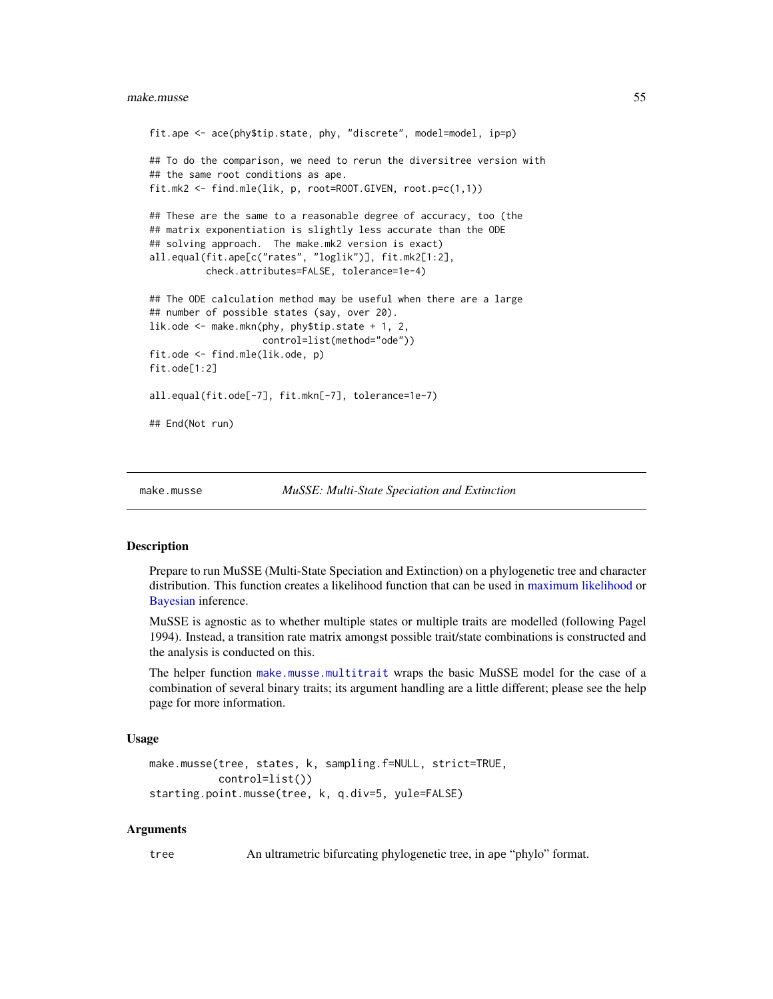#### make.musse 55

```
fit.ape <- ace(phy$tip.state, phy, "discrete", model=model, ip=p)
## To do the comparison, we need to rerun the diversitree version with
## the same root conditions as ape.
fit.mk2 <- find.mle(lik, p, root=ROOT.GIVEN, root.p=c(1,1))
## These are the same to a reasonable degree of accuracy, too (the
## matrix exponentiation is slightly less accurate than the ODE
## solving approach. The make.mk2 version is exact)
all.equal(fit.ape[c("rates", "loglik")], fit.mk2[1:2],
          check.attributes=FALSE, tolerance=1e-4)
## The ODE calculation method may be useful when there are a large
## number of possible states (say, over 20).
lik.ode <- make.mkn(phy, phy$tip.state + 1, 2,
                    control=list(method="ode"))
fit.ode <- find.mle(lik.ode, p)
fit.ode[1:2]
all.equal(fit.ode[-7], fit.mkn[-7], tolerance=1e-7)
## End(Not run)
```
<span id="page-54-0"></span>

make.musse *MuSSE: Multi-State Speciation and Extinction*

#### Description

Prepare to run MuSSE (Multi-State Speciation and Extinction) on a phylogenetic tree and character distribution. This function creates a likelihood function that can be used in [maximum likelihood](#page-12-0) or [Bayesian](#page-72-0) inference.

MuSSE is agnostic as to whether multiple states or multiple traits are modelled (following Pagel 1994). Instead, a transition rate matrix amongst possible trait/state combinations is constructed and the analysis is conducted on this.

The helper function [make.musse.multitrait](#page-57-0) wraps the basic MuSSE model for the case of a combination of several binary traits; its argument handling are a little different; please see the help page for more information.

#### Usage

```
make.musse(tree, states, k, sampling.f=NULL, strict=TRUE,
           control=list())
starting.point.musse(tree, k, q.div=5, yule=FALSE)
```
### Arguments

tree An ultrametric bifurcating phylogenetic tree, in ape "phylo" format.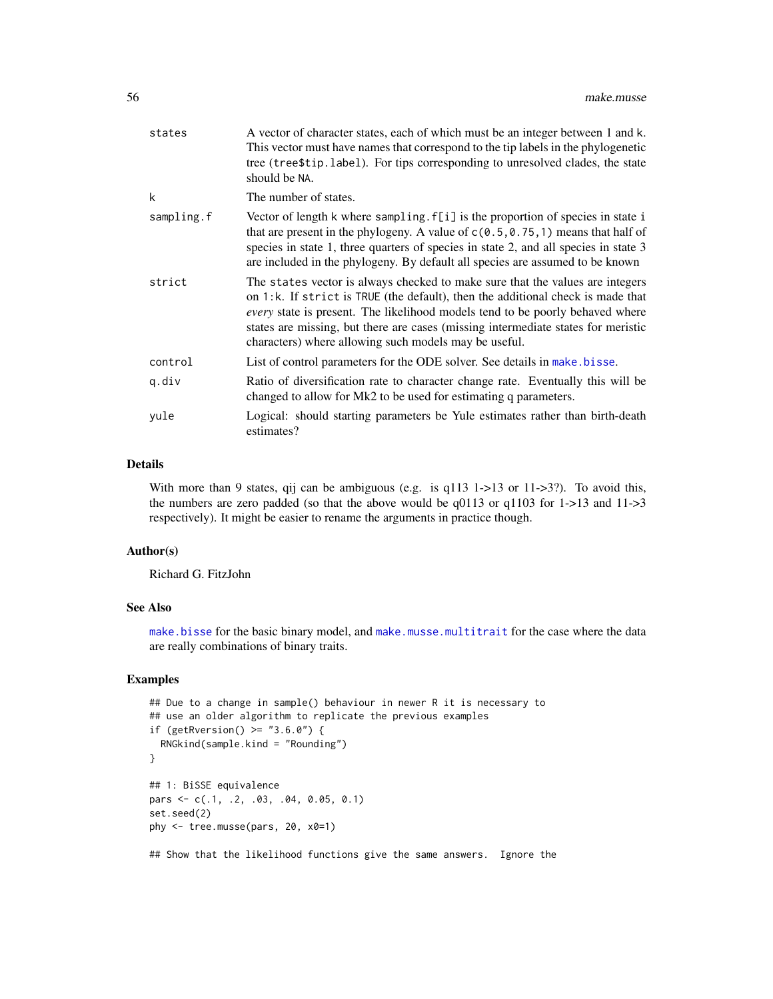| states     | A vector of character states, each of which must be an integer between 1 and k.<br>This vector must have names that correspond to the tip labels in the phylogenetic<br>tree (tree\$tip.label). For tips corresponding to unresolved clades, the state<br>should be NA.                                                                                                                                |
|------------|--------------------------------------------------------------------------------------------------------------------------------------------------------------------------------------------------------------------------------------------------------------------------------------------------------------------------------------------------------------------------------------------------------|
| k          | The number of states.                                                                                                                                                                                                                                                                                                                                                                                  |
| sampling.f | Vector of length k where sampling. f[i] is the proportion of species in state i<br>that are present in the phylogeny. A value of $c(0.5, 0.75, 1)$ means that half of<br>species in state 1, three quarters of species in state 2, and all species in state 3<br>are included in the phylogeny. By default all species are assumed to be known                                                         |
| strict     | The states vector is always checked to make sure that the values are integers<br>on 1:k. If strict is TRUE (the default), then the additional check is made that<br><i>every</i> state is present. The likelihood models tend to be poorly behaved where<br>states are missing, but there are cases (missing intermediate states for meristic<br>characters) where allowing such models may be useful. |
| control    | List of control parameters for the ODE solver. See details in make bisse.                                                                                                                                                                                                                                                                                                                              |
| q.div      | Ratio of diversification rate to character change rate. Eventually this will be<br>changed to allow for Mk2 to be used for estimating q parameters.                                                                                                                                                                                                                                                    |
| yule       | Logical: should starting parameters be Yule estimates rather than birth-death<br>estimates?                                                                                                                                                                                                                                                                                                            |

## Details

With more than 9 states, qij can be ambiguous (e.g. is q113 1->13 or 11->3?). To avoid this, the numbers are zero padded (so that the above would be  $q0113$  or  $q1103$  for 1->13 and 11->3 respectively). It might be easier to rename the arguments in practice though.

### Author(s)

Richard G. FitzJohn

# See Also

[make.bisse](#page-23-0) for the basic binary model, and [make.musse.multitrait](#page-57-0) for the case where the data are really combinations of binary traits.

# Examples

```
## Due to a change in sample() behaviour in newer R it is necessary to
## use an older algorithm to replicate the previous examples
if (getRversion() >= "3.6.0") {
  RNGkind(sample.kind = "Rounding")
}
## 1: BiSSE equivalence
pars <- c(.1, .2, .03, .04, 0.05, 0.1)
set.seed(2)
phy <- tree.musse(pars, 20, x0=1)
```
## Show that the likelihood functions give the same answers. Ignore the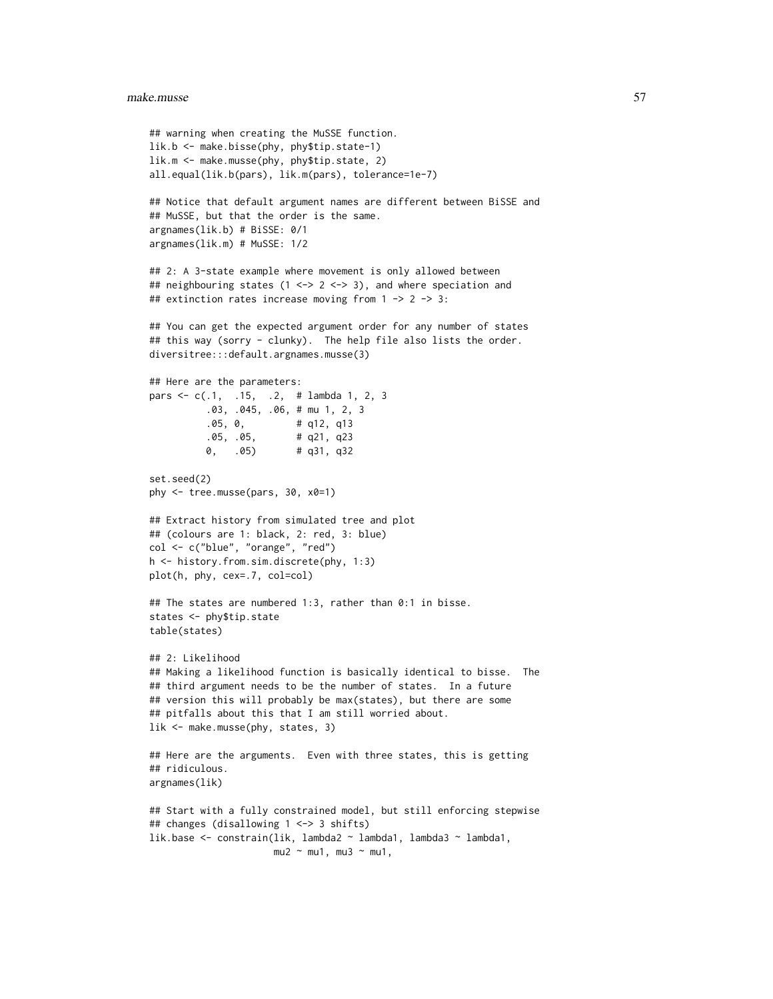#### make.musse 57

```
## warning when creating the MuSSE function.
lik.b <- make.bisse(phy, phy$tip.state-1)
lik.m <- make.musse(phy, phy$tip.state, 2)
all.equal(lik.b(pars), lik.m(pars), tolerance=1e-7)
## Notice that default argument names are different between BiSSE and
## MuSSE, but that the order is the same.
argnames(lik.b) # BiSSE: 0/1
argnames(lik.m) # MuSSE: 1/2
## 2: A 3-state example where movement is only allowed between
## neighbouring states (1 <-> 2 <-> 3), and where speciation and
## extinction rates increase moving from 1 -> 2 -> 3:
## You can get the expected argument order for any number of states
## this way (sorry - clunky). The help file also lists the order.
diversitree:::default.argnames.musse(3)
## Here are the parameters:
pars <- c(.1, .15, .2, # lambda 1, 2, 3
          .03, .045, .06, # mu 1, 2, 3
          .05, 0, # q12, q13
          .05, .05, # q21, q23
          0, .05) # q31, q32
set.seed(2)
phy <- tree.musse(pars, 30, x0=1)
## Extract history from simulated tree and plot
## (colours are 1: black, 2: red, 3: blue)
col <- c("blue", "orange", "red")
h <- history.from.sim.discrete(phy, 1:3)
plot(h, phy, cex=.7, col=col)
## The states are numbered 1:3, rather than 0:1 in bisse.
states <- phy$tip.state
table(states)
## 2: Likelihood
## Making a likelihood function is basically identical to bisse. The
## third argument needs to be the number of states. In a future
## version this will probably be max(states), but there are some
## pitfalls about this that I am still worried about.
lik <- make.musse(phy, states, 3)
## Here are the arguments. Even with three states, this is getting
## ridiculous.
argnames(lik)
## Start with a fully constrained model, but still enforcing stepwise
## changes (disallowing 1 <-> 3 shifts)
lik.base <- constrain(lik, lambda2 ~ lambda1, lambda3 ~ lambda1,
                     mu2 \sim mu1, mu3 \sim mu1,
```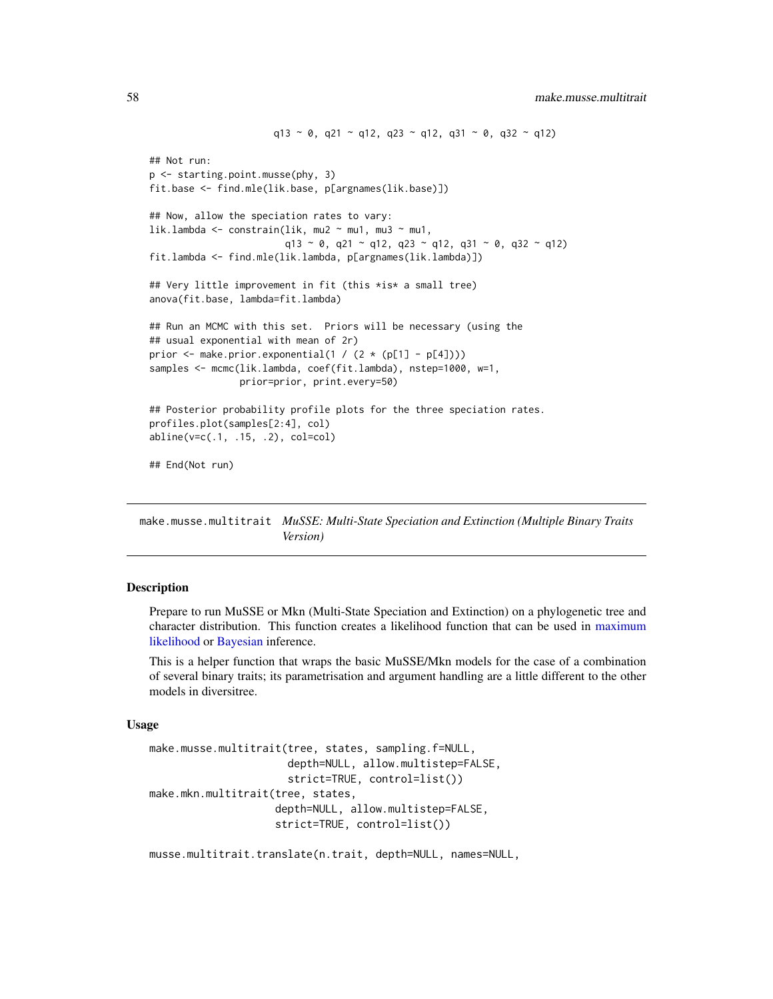```
q13 \sim 0, q21 \sim q12, q23 \sim q12, q31 \sim 0, q32 \sim q12)
## Not run:
p <- starting.point.musse(phy, 3)
fit.base <- find.mle(lik.base, p[argnames(lik.base)])
## Now, allow the speciation rates to vary:
lik.lambda <- constrain(lik, mu2 ~ mu1, mu3 ~ mu1,
                        q13 ~ 0, q21 ~ q12, q23 ~ q12, q31 ~ 0, q32 ~ q12)
fit.lambda <- find.mle(lik.lambda, p[argnames(lik.lambda)])
## Very little improvement in fit (this *is* a small tree)
anova(fit.base, lambda=fit.lambda)
## Run an MCMC with this set. Priors will be necessary (using the
## usual exponential with mean of 2r)
prior \leq make.prior.exponential(1 / (2 \star (p[1] - p[4])))
samples <- mcmc(lik.lambda, coef(fit.lambda), nstep=1000, w=1,
                prior=prior, print.every=50)
## Posterior probability profile plots for the three speciation rates.
profiles.plot(samples[2:4], col)
abline(v=c(.1, .15, .2), col=col)
## End(Not run)
```
<span id="page-57-0"></span>make.musse.multitrait *MuSSE: Multi-State Speciation and Extinction (Multiple Binary Traits Version)*

### Description

Prepare to run MuSSE or Mkn (Multi-State Speciation and Extinction) on a phylogenetic tree and character distribution. This function creates a likelihood function that can be used in [maximum](#page-12-0) [likelihood](#page-12-0) or [Bayesian](#page-72-0) inference.

This is a helper function that wraps the basic MuSSE/Mkn models for the case of a combination of several binary traits; its parametrisation and argument handling are a little different to the other models in diversitree.

#### Usage

```
make.musse.multitrait(tree, states, sampling.f=NULL,
                      depth=NULL, allow.multistep=FALSE,
                      strict=TRUE, control=list())
make.mkn.multitrait(tree, states,
                    depth=NULL, allow.multistep=FALSE,
                    strict=TRUE, control=list())
```
musse.multitrait.translate(n.trait, depth=NULL, names=NULL,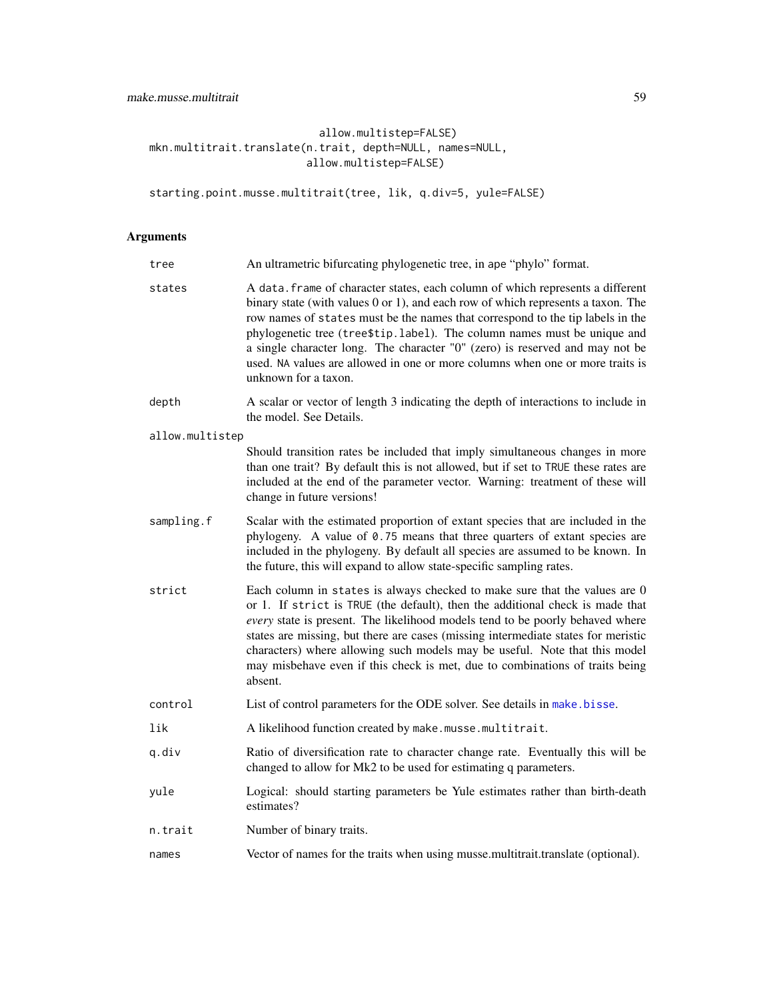allow.multistep=FALSE) mkn.multitrait.translate(n.trait, depth=NULL, names=NULL, allow.multistep=FALSE)

starting.point.musse.multitrait(tree, lik, q.div=5, yule=FALSE)

# Arguments

| tree            | An ultrametric bifurcating phylogenetic tree, in ape "phylo" format.                                                                                                                                                                                                                                                                                                                                                                                                                                                      |  |  |  |  |  |  |
|-----------------|---------------------------------------------------------------------------------------------------------------------------------------------------------------------------------------------------------------------------------------------------------------------------------------------------------------------------------------------------------------------------------------------------------------------------------------------------------------------------------------------------------------------------|--|--|--|--|--|--|
| states          | A data. frame of character states, each column of which represents a different<br>binary state (with values 0 or 1), and each row of which represents a taxon. The<br>row names of states must be the names that correspond to the tip labels in the<br>phylogenetic tree (tree\$tip.label). The column names must be unique and<br>a single character long. The character "0" (zero) is reserved and may not be<br>used. NA values are allowed in one or more columns when one or more traits is<br>unknown for a taxon. |  |  |  |  |  |  |
| depth           | A scalar or vector of length 3 indicating the depth of interactions to include in<br>the model. See Details.                                                                                                                                                                                                                                                                                                                                                                                                              |  |  |  |  |  |  |
| allow.multistep |                                                                                                                                                                                                                                                                                                                                                                                                                                                                                                                           |  |  |  |  |  |  |
|                 | Should transition rates be included that imply simultaneous changes in more<br>than one trait? By default this is not allowed, but if set to TRUE these rates are<br>included at the end of the parameter vector. Warning: treatment of these will<br>change in future versions!                                                                                                                                                                                                                                          |  |  |  |  |  |  |
| sampling.f      | Scalar with the estimated proportion of extant species that are included in the<br>phylogeny. A value of 0.75 means that three quarters of extant species are<br>included in the phylogeny. By default all species are assumed to be known. In<br>the future, this will expand to allow state-specific sampling rates.                                                                                                                                                                                                    |  |  |  |  |  |  |
| strict          | Each column in states is always checked to make sure that the values are 0<br>or 1. If strict is TRUE (the default), then the additional check is made that<br>every state is present. The likelihood models tend to be poorly behaved where<br>states are missing, but there are cases (missing intermediate states for meristic<br>characters) where allowing such models may be useful. Note that this model<br>may misbehave even if this check is met, due to combinations of traits being<br>absent.                |  |  |  |  |  |  |
| control         | List of control parameters for the ODE solver. See details in make bisse.                                                                                                                                                                                                                                                                                                                                                                                                                                                 |  |  |  |  |  |  |
| lik             | A likelihood function created by make.musse.multitrait.                                                                                                                                                                                                                                                                                                                                                                                                                                                                   |  |  |  |  |  |  |
| q.div           | Ratio of diversification rate to character change rate. Eventually this will be<br>changed to allow for Mk2 to be used for estimating q parameters.                                                                                                                                                                                                                                                                                                                                                                       |  |  |  |  |  |  |
| yule            | Logical: should starting parameters be Yule estimates rather than birth-death<br>estimates?                                                                                                                                                                                                                                                                                                                                                                                                                               |  |  |  |  |  |  |
| n.trait         | Number of binary traits.                                                                                                                                                                                                                                                                                                                                                                                                                                                                                                  |  |  |  |  |  |  |
| names           | Vector of names for the traits when using musse multitrait translate (optional).                                                                                                                                                                                                                                                                                                                                                                                                                                          |  |  |  |  |  |  |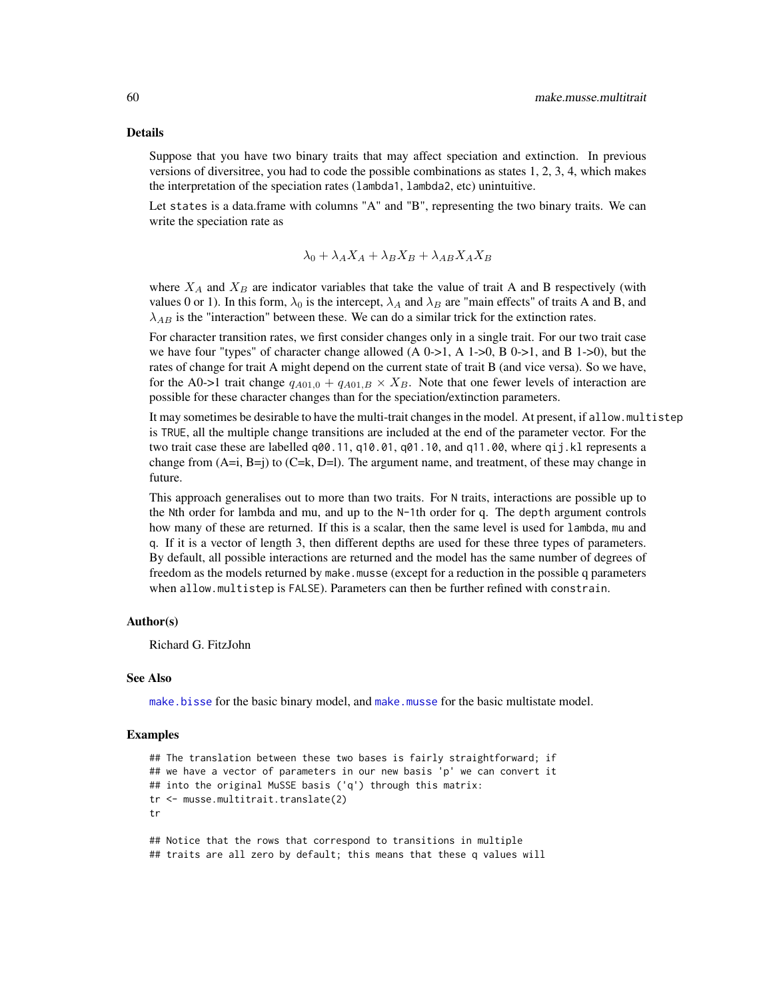#### Details

Suppose that you have two binary traits that may affect speciation and extinction. In previous versions of diversitree, you had to code the possible combinations as states 1, 2, 3, 4, which makes the interpretation of the speciation rates (lambda1, lambda2, etc) unintuitive.

Let states is a data.frame with columns "A" and "B", representing the two binary traits. We can write the speciation rate as

$$
\lambda_0 + \lambda_A X_A + \lambda_B X_B + \lambda_{AB} X_A X_B
$$

where  $X_A$  and  $X_B$  are indicator variables that take the value of trait A and B respectively (with values 0 or 1). In this form,  $\lambda_0$  is the intercept,  $\lambda_A$  and  $\lambda_B$  are "main effects" of traits A and B, and  $\lambda_{AB}$  is the "interaction" between these. We can do a similar trick for the extinction rates.

For character transition rates, we first consider changes only in a single trait. For our two trait case we have four "types" of character change allowed  $(A 0-1, A 1-1)$ ,  $B 0-1$ , and  $B 1-1$ ), but the rates of change for trait A might depend on the current state of trait B (and vice versa). So we have, for the A0->1 trait change  $q_{A01,0} + q_{A01,B} \times X_B$ . Note that one fewer levels of interaction are possible for these character changes than for the speciation/extinction parameters.

It may sometimes be desirable to have the multi-trait changes in the model. At present, if allow.multistep is TRUE, all the multiple change transitions are included at the end of the parameter vector. For the two trait case these are labelled q00.11, q10.01, q01.10, and q11.00, where qij.kl represents a change from  $(A=i, B=i)$  to  $(C=k, D=l)$ . The argument name, and treatment, of these may change in future.

This approach generalises out to more than two traits. For N traits, interactions are possible up to the Nth order for lambda and mu, and up to the N-1th order for q. The depth argument controls how many of these are returned. If this is a scalar, then the same level is used for lambda, mu and q. If it is a vector of length 3, then different depths are used for these three types of parameters. By default, all possible interactions are returned and the model has the same number of degrees of freedom as the models returned by make.musse (except for a reduction in the possible q parameters when allow.multistep is FALSE). Parameters can then be further refined with constrain.

#### Author(s)

Richard G. FitzJohn

#### See Also

[make.bisse](#page-23-0) for the basic binary model, and [make.musse](#page-54-0) for the basic multistate model.

```
## The translation between these two bases is fairly straightforward; if
## we have a vector of parameters in our new basis 'p' we can convert it
## into the original MuSSE basis ('q') through this matrix:
tr <- musse.multitrait.translate(2)
tr
## Notice that the rows that correspond to transitions in multiple
## traits are all zero by default; this means that these q values will
```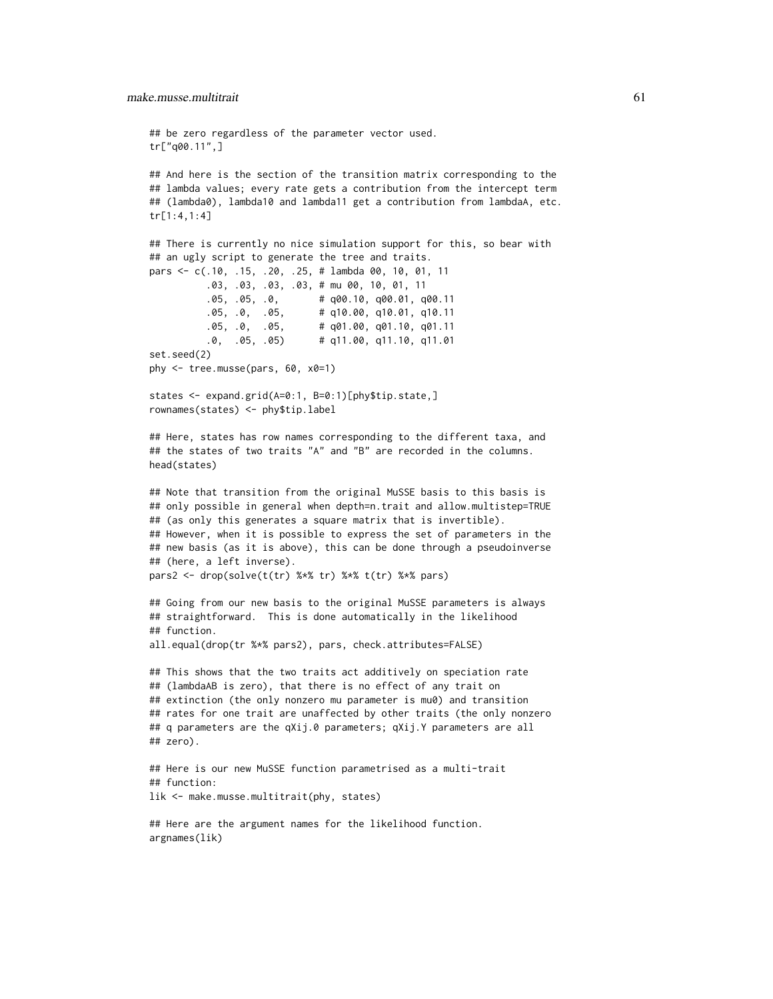```
## be zero regardless of the parameter vector used.
tr["q00.11",]
## And here is the section of the transition matrix corresponding to the
## lambda values; every rate gets a contribution from the intercept term
## (lambda0), lambda10 and lambda11 get a contribution from lambdaA, etc.
tr[1:4,1:4]
## There is currently no nice simulation support for this, so bear with
## an ugly script to generate the tree and traits.
pars <- c(.10, .15, .20, .25, # lambda 00, 10, 01, 11
          .03, .03, .03, .03, # mu 00, 10, 01, 11
          .05, .05, .0, # q00.10, q00.01, q00.11
          .05, .0, .05, # q10.00, q10.01, q10.11
          .05, .0, .05, # q01.00, q01.10, q01.11
          .0, .05, .05) # q11.00, q11.10, q11.01
set.seed(2)
phy <- tree.musse(pars, 60, x0=1)
states <- expand.grid(A=0:1, B=0:1)[phy$tip.state,]
rownames(states) <- phy$tip.label
## Here, states has row names corresponding to the different taxa, and
## the states of two traits "A" and "B" are recorded in the columns.
head(states)
## Note that transition from the original MuSSE basis to this basis is
## only possible in general when depth=n.trait and allow.multistep=TRUE
## (as only this generates a square matrix that is invertible).
## However, when it is possible to express the set of parameters in the
## new basis (as it is above), this can be done through a pseudoinverse
## (here, a left inverse).
pars2 <- drop(solve(t(tr) %*% tr) %*% t(tr) %*% pars)
## Going from our new basis to the original MuSSE parameters is always
## straightforward. This is done automatically in the likelihood
## function.
all.equal(drop(tr %*% pars2), pars, check.attributes=FALSE)
## This shows that the two traits act additively on speciation rate
## (lambdaAB is zero), that there is no effect of any trait on
## extinction (the only nonzero mu parameter is mu0) and transition
## rates for one trait are unaffected by other traits (the only nonzero
## q parameters are the qXij.0 parameters; qXij.Y parameters are all
## zero).
## Here is our new MuSSE function parametrised as a multi-trait
## function:
lik <- make.musse.multitrait(phy, states)
## Here are the argument names for the likelihood function.
```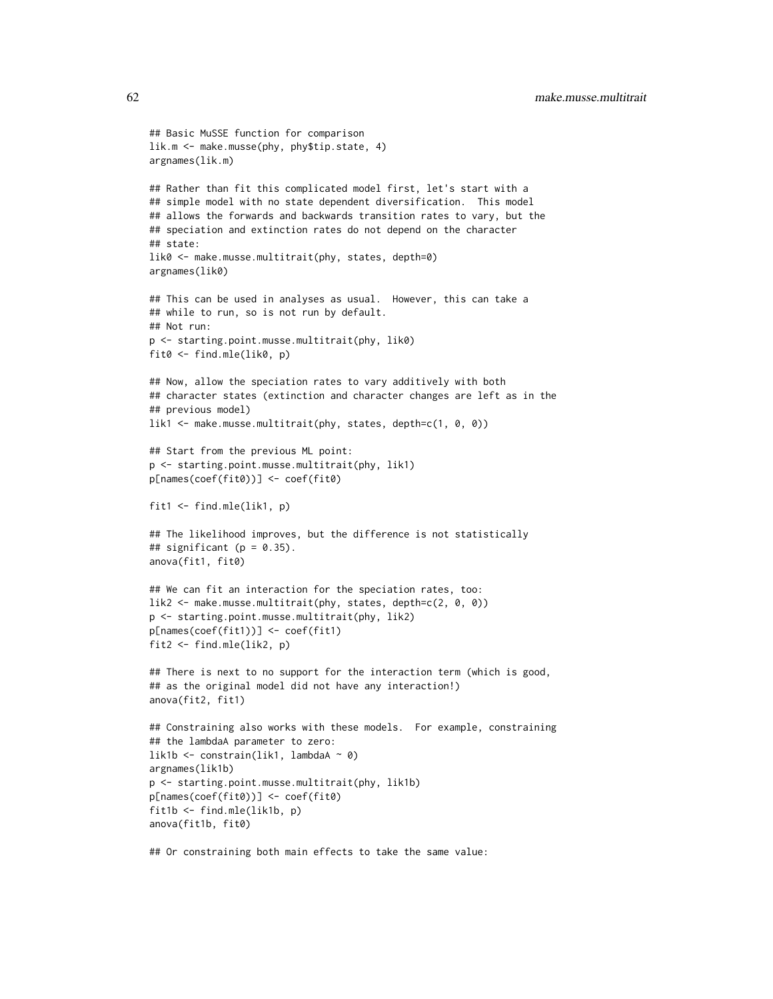```
## Basic MuSSE function for comparison
lik.m <- make.musse(phy, phy$tip.state, 4)
argnames(lik.m)
## Rather than fit this complicated model first, let's start with a
## simple model with no state dependent diversification. This model
## allows the forwards and backwards transition rates to vary, but the
## speciation and extinction rates do not depend on the character
## state:
lik0 <- make.musse.multitrait(phy, states, depth=0)
argnames(lik0)
## This can be used in analyses as usual. However, this can take a
## while to run, so is not run by default.
## Not run:
p <- starting.point.musse.multitrait(phy, lik0)
fit0 <- find.mle(lik0, p)
## Now, allow the speciation rates to vary additively with both
## character states (extinction and character changes are left as in the
## previous model)
lik1 <- make.musse.multitrait(phy, states, depth=c(1, 0, 0))
## Start from the previous ML point:
p <- starting.point.musse.multitrait(phy, lik1)
p[names(coef(fit0))] <- coef(fit0)
fit1 <- find.mle(lik1, p)
## The likelihood improves, but the difference is not statistically
## significant (p = 0.35).
anova(fit1, fit0)
## We can fit an interaction for the speciation rates, too:
lik2 <- make.musse.multitrait(phy, states, depth=c(2, 0, 0))
p <- starting.point.musse.multitrait(phy, lik2)
p[names(coef(fit1))] <- coef(fit1)
fit2 <- find.mle(lik2, p)
## There is next to no support for the interaction term (which is good,
## as the original model did not have any interaction!)
anova(fit2, fit1)
## Constraining also works with these models. For example, constraining
## the lambdaA parameter to zero:
lik1b <- constrain(lik1, lambdaA ~ 0)
argnames(lik1b)
p <- starting.point.musse.multitrait(phy, lik1b)
p[names(coef(fit0))] <- coef(fit0)
fit1b <- find.mle(lik1b, p)
anova(fit1b, fit0)
```
## Or constraining both main effects to take the same value: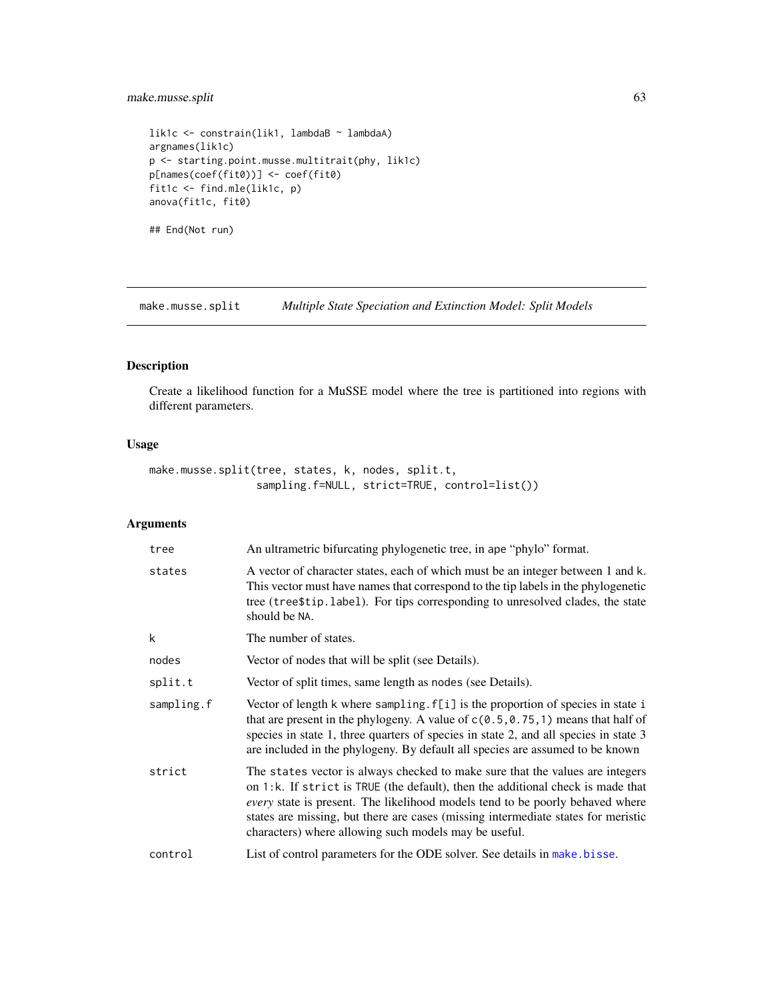# make.musse.split 63

```
lik1c <- constrain(lik1, lambdaB ~ lambdaA)
argnames(lik1c)
p <- starting.point.musse.multitrait(phy, lik1c)
p[names(coef(fit0))] <- coef(fit0)
fit1c <- find.mle(lik1c, p)
anova(fit1c, fit0)
```
## End(Not run)

make.musse.split *Multiple State Speciation and Extinction Model: Split Models*

# Description

Create a likelihood function for a MuSSE model where the tree is partitioned into regions with different parameters.

# Usage

```
make.musse.split(tree, states, k, nodes, split.t,
                 sampling.f=NULL, strict=TRUE, control=list())
```
# Arguments

| tree       | An ultrametric bifurcating phylogenetic tree, in ape "phylo" format.                                                                                                                                                                                                                                                                                                                            |
|------------|-------------------------------------------------------------------------------------------------------------------------------------------------------------------------------------------------------------------------------------------------------------------------------------------------------------------------------------------------------------------------------------------------|
| states     | A vector of character states, each of which must be an integer between 1 and k.<br>This vector must have names that correspond to the tip labels in the phylogenetic<br>tree (tree\$tip.label). For tips corresponding to unresolved clades, the state<br>should be NA.                                                                                                                         |
| k          | The number of states.                                                                                                                                                                                                                                                                                                                                                                           |
| nodes      | Vector of nodes that will be split (see Details).                                                                                                                                                                                                                                                                                                                                               |
| split.t    | Vector of split times, same length as nodes (see Details).                                                                                                                                                                                                                                                                                                                                      |
| sampling.f | Vector of length k where sampling. f[i] is the proportion of species in state i<br>that are present in the phylogeny. A value of $c(0.5, 0.75, 1)$ means that half of<br>species in state 1, three quarters of species in state 2, and all species in state 3<br>are included in the phylogeny. By default all species are assumed to be known                                                  |
| strict     | The states vector is always checked to make sure that the values are integers<br>on 1:k. If strict is TRUE (the default), then the additional check is made that<br>every state is present. The likelihood models tend to be poorly behaved where<br>states are missing, but there are cases (missing intermediate states for meristic<br>characters) where allowing such models may be useful. |
| control    | List of control parameters for the ODE solver. See details in make bisse.                                                                                                                                                                                                                                                                                                                       |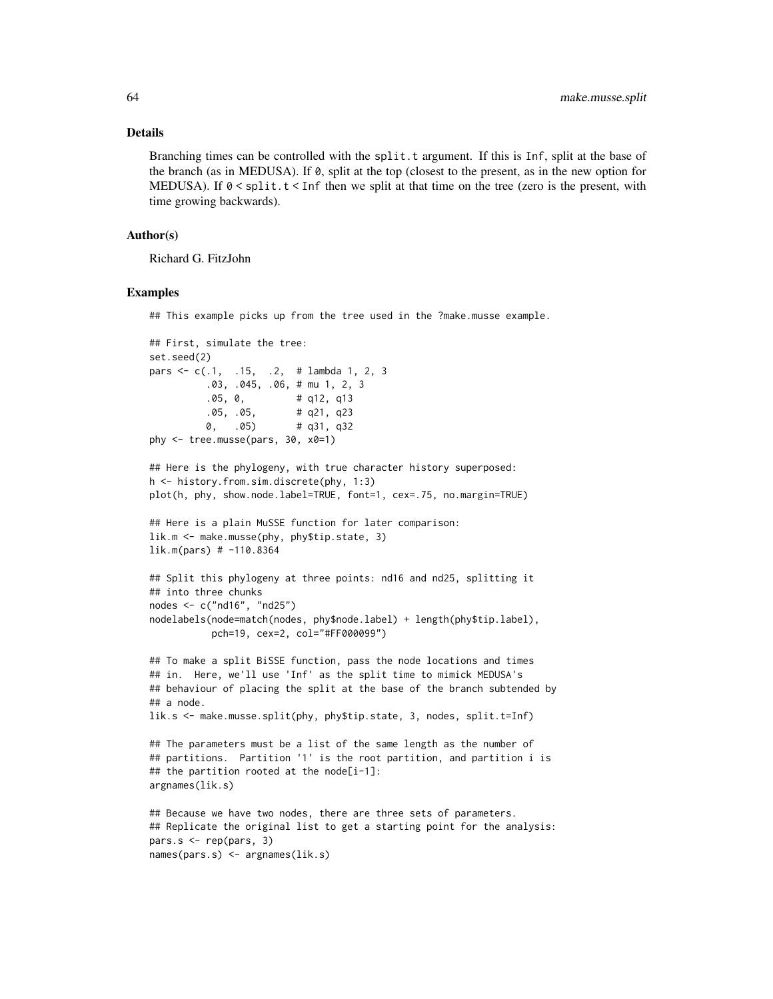#### Details

Branching times can be controlled with the split.t argument. If this is Inf, split at the base of the branch (as in MEDUSA). If 0, split at the top (closest to the present, as in the new option for MEDUSA). If  $\emptyset$  < split  $t \leq$  Inf then we split at that time on the tree (zero is the present, with time growing backwards).

### Author(s)

Richard G. FitzJohn

#### Examples

## This example picks up from the tree used in the ?make.musse example.

```
## First, simulate the tree:
set.seed(2)
pars <- c(.1, .15, .2, # lambda 1, 2, 3
          .03, .045, .06, # mu 1, 2, 3
          .05, 0, # q12, q13
          .05, .05, # q21, q23
         0, .05) # q31, q32
phy <- tree.musse(pars, 30, x0=1)
## Here is the phylogeny, with true character history superposed:
h <- history.from.sim.discrete(phy, 1:3)
plot(h, phy, show.node.label=TRUE, font=1, cex=.75, no.margin=TRUE)
## Here is a plain MuSSE function for later comparison:
lik.m <- make.musse(phy, phy$tip.state, 3)
lik.m(pars) # -110.8364
## Split this phylogeny at three points: nd16 and nd25, splitting it
## into three chunks
nodes <- c("nd16", "nd25")
nodelabels(node=match(nodes, phy$node.label) + length(phy$tip.label),
          pch=19, cex=2, col="#FF000099")
## To make a split BiSSE function, pass the node locations and times
## in. Here, we'll use 'Inf' as the split time to mimick MEDUSA's
## behaviour of placing the split at the base of the branch subtended by
## a node.
lik.s <- make.musse.split(phy, phy$tip.state, 3, nodes, split.t=Inf)
## The parameters must be a list of the same length as the number of
## partitions. Partition '1' is the root partition, and partition i is
## the partition rooted at the node[i-1]:
argnames(lik.s)
## Because we have two nodes, there are three sets of parameters.
## Replicate the original list to get a starting point for the analysis:
pars.s <- rep(pars, 3)
names(pars.s) <- argnames(lik.s)
```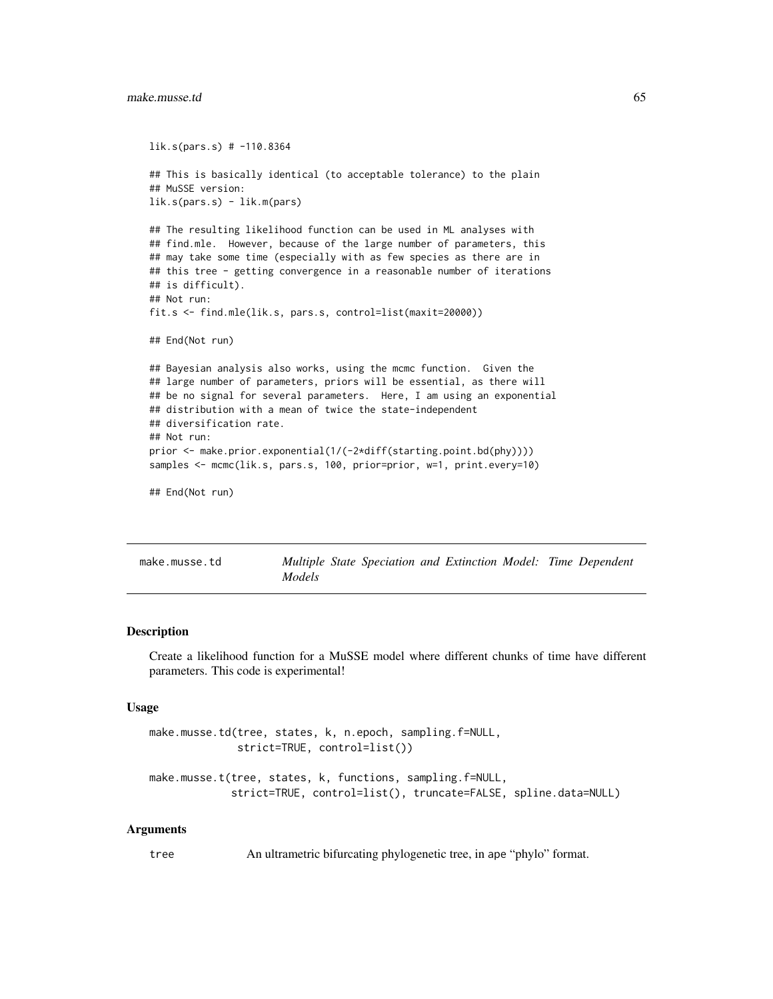```
lik.s(pars.s) # -110.8364
## This is basically identical (to acceptable tolerance) to the plain
## MuSSE version:
lik.s(pars.s) - lik.m(pars)
## The resulting likelihood function can be used in ML analyses with
## find.mle. However, because of the large number of parameters, this
## may take some time (especially with as few species as there are in
## this tree - getting convergence in a reasonable number of iterations
## is difficult).
## Not run:
fit.s <- find.mle(lik.s, pars.s, control=list(maxit=20000))
## End(Not run)
## Bayesian analysis also works, using the mcmc function. Given the
## large number of parameters, priors will be essential, as there will
## be no signal for several parameters. Here, I am using an exponential
## distribution with a mean of twice the state-independent
## diversification rate.
## Not run:
prior <- make.prior.exponential(1/(-2*diff(starting.point.bd(phy))))
samples <- mcmc(lik.s, pars.s, 100, prior=prior, w=1, print.every=10)
## End(Not run)
```

| make.musse.td |               | Multiple State Speciation and Extinction Model: Time Dependent |  |  |  |
|---------------|---------------|----------------------------------------------------------------|--|--|--|
|               | <i>Models</i> |                                                                |  |  |  |

#### Description

Create a likelihood function for a MuSSE model where different chunks of time have different parameters. This code is experimental!

#### Usage

```
make.musse.td(tree, states, k, n.epoch, sampling.f=NULL,
              strict=TRUE, control=list())
```

```
make.musse.t(tree, states, k, functions, sampling.f=NULL,
             strict=TRUE, control=list(), truncate=FALSE, spline.data=NULL)
```
#### Arguments

tree An ultrametric bifurcating phylogenetic tree, in ape "phylo" format.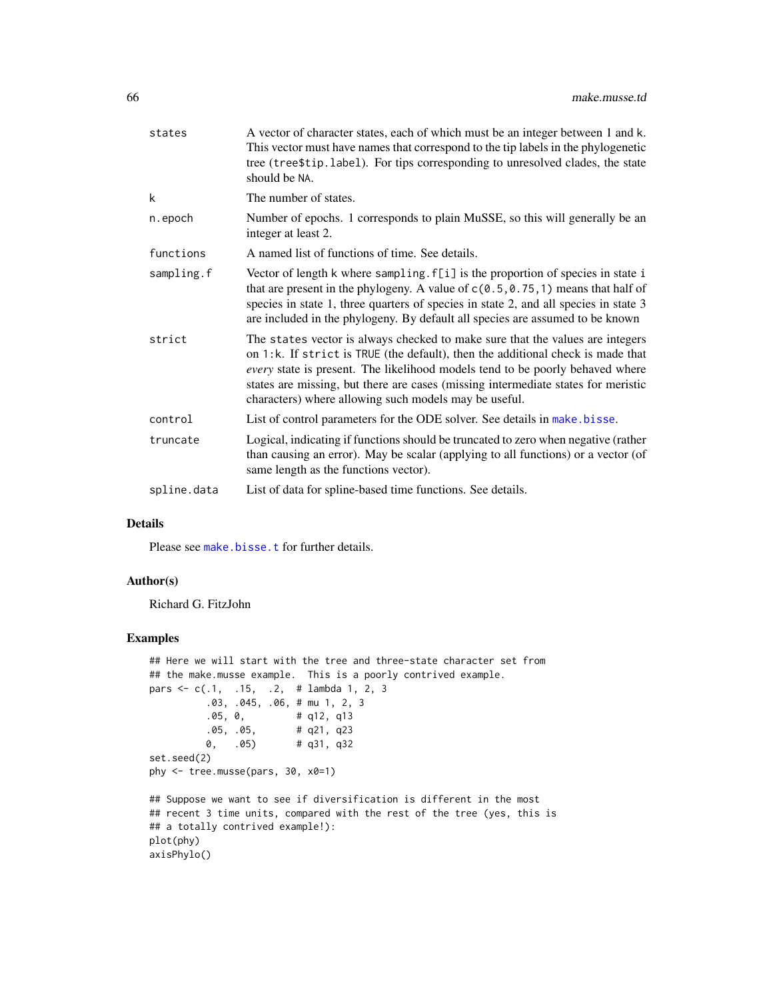| states      | A vector of character states, each of which must be an integer between 1 and k.<br>This vector must have names that correspond to the tip labels in the phylogenetic<br>tree (tree\$tip.label). For tips corresponding to unresolved clades, the state<br>should be NA.                                                                                                                         |
|-------------|-------------------------------------------------------------------------------------------------------------------------------------------------------------------------------------------------------------------------------------------------------------------------------------------------------------------------------------------------------------------------------------------------|
| k           | The number of states.                                                                                                                                                                                                                                                                                                                                                                           |
| n.epoch     | Number of epochs. 1 corresponds to plain MuSSE, so this will generally be an<br>integer at least 2.                                                                                                                                                                                                                                                                                             |
| functions   | A named list of functions of time. See details.                                                                                                                                                                                                                                                                                                                                                 |
| sampling.f  | Vector of length k where sampling. f[i] is the proportion of species in state i<br>that are present in the phylogeny. A value of $c(0.5, 0.75, 1)$ means that half of<br>species in state 1, three quarters of species in state 2, and all species in state 3<br>are included in the phylogeny. By default all species are assumed to be known                                                  |
| strict      | The states vector is always checked to make sure that the values are integers<br>on 1:k. If strict is TRUE (the default), then the additional check is made that<br>every state is present. The likelihood models tend to be poorly behaved where<br>states are missing, but there are cases (missing intermediate states for meristic<br>characters) where allowing such models may be useful. |
| control     | List of control parameters for the ODE solver. See details in make bisse.                                                                                                                                                                                                                                                                                                                       |
| truncate    | Logical, indicating if functions should be truncated to zero when negative (rather<br>than causing an error). May be scalar (applying to all functions) or a vector (of<br>same length as the functions vector).                                                                                                                                                                                |
| spline.data | List of data for spline-based time functions. See details.                                                                                                                                                                                                                                                                                                                                      |
|             |                                                                                                                                                                                                                                                                                                                                                                                                 |

# Details

Please see [make.bisse.t](#page-30-0) for further details.

# Author(s)

Richard G. FitzJohn

```
## Here we will start with the tree and three-state character set from
## the make.musse example. This is a poorly contrived example.
pars <- c(.1, .15, .2, # lambda 1, 2, 3
         .03, .045, .06, # mu 1, 2, 3
         .05, 0, # q12, q13
         .05, .05, # q21, q23
         0, .05) # q31, q32
set.seed(2)
phy <- tree.musse(pars, 30, x0=1)
## Suppose we want to see if diversification is different in the most
## recent 3 time units, compared with the rest of the tree (yes, this is
## a totally contrived example!):
plot(phy)
axisPhylo()
```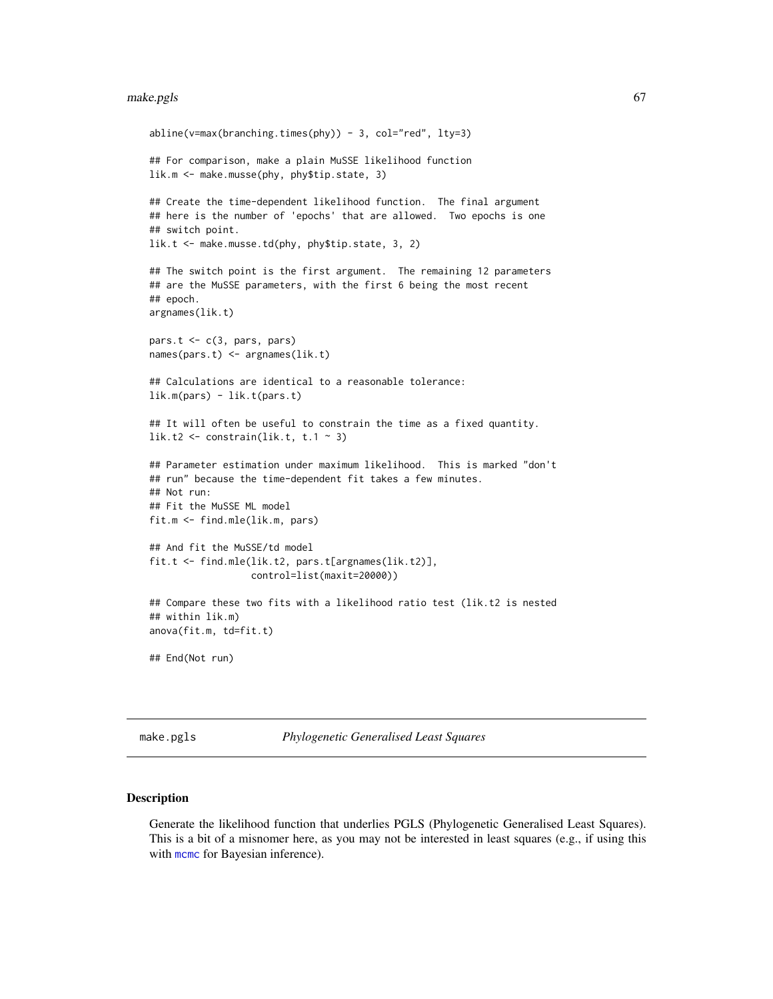#### make.pgls 67

```
abline(v=max(branching.times(phy)) - 3, col="red", lty=3)
## For comparison, make a plain MuSSE likelihood function
lik.m <- make.musse(phy, phy$tip.state, 3)
## Create the time-dependent likelihood function. The final argument
## here is the number of 'epochs' that are allowed. Two epochs is one
## switch point.
lik.t <- make.musse.td(phy, phy$tip.state, 3, 2)
## The switch point is the first argument. The remaining 12 parameters
## are the MuSSE parameters, with the first 6 being the most recent
## epoch.
argnames(lik.t)
pars.t \leq c(3, pars, pars)
names(pars.t) <- argnames(lik.t)
## Calculations are identical to a reasonable tolerance:
lik.m(pars) - lik.t(pars.t)
## It will often be useful to constrain the time as a fixed quantity.
lik.t2 <- constrain(lik.t, t.1 \sim 3)
## Parameter estimation under maximum likelihood. This is marked "don't
## run" because the time-dependent fit takes a few minutes.
## Not run:
## Fit the MuSSE ML model
fit.m <- find.mle(lik.m, pars)
## And fit the MuSSE/td model
fit.t <- find.mle(lik.t2, pars.t[argnames(lik.t2)],
                  control=list(maxit=20000))
## Compare these two fits with a likelihood ratio test (lik.t2 is nested
## within lik.m)
anova(fit.m, td=fit.t)
## End(Not run)
```
make.pgls *Phylogenetic Generalised Least Squares*

#### Description

Generate the likelihood function that underlies PGLS (Phylogenetic Generalised Least Squares). This is a bit of a misnomer here, as you may not be interested in least squares (e.g., if using this with [mcmc](#page-72-0) for Bayesian inference).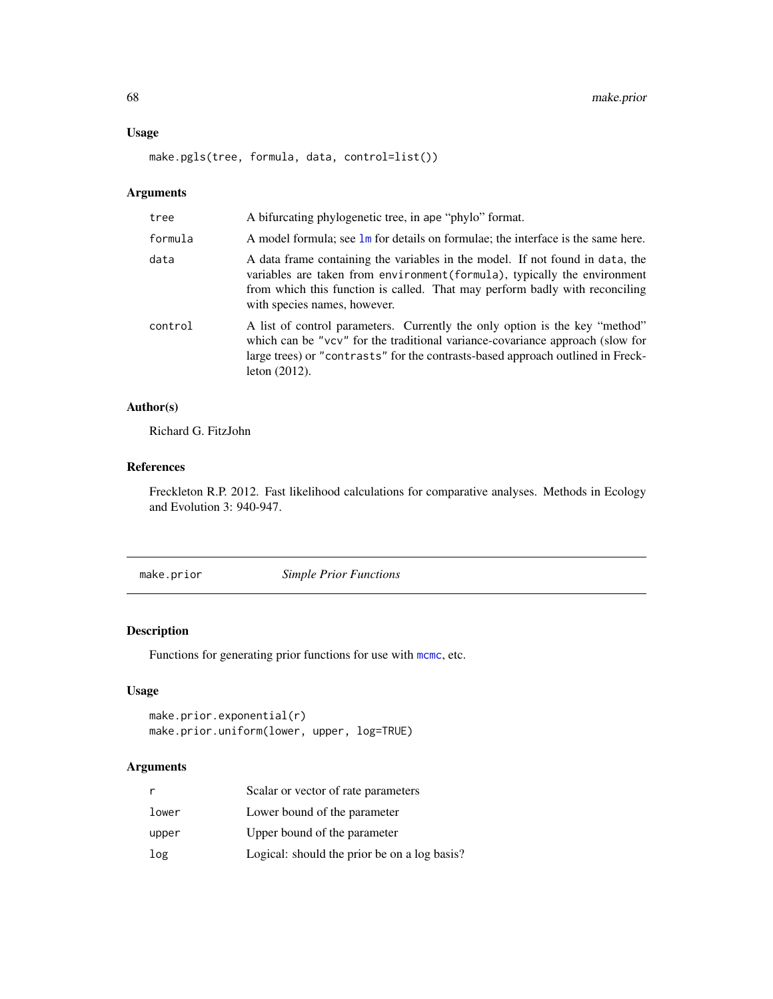### Usage

make.pgls(tree, formula, data, control=list())

# Arguments

| tree    | A bifurcating phylogenetic tree, in ape "phylo" format.                                                                                                                                                                                                                   |
|---------|---------------------------------------------------------------------------------------------------------------------------------------------------------------------------------------------------------------------------------------------------------------------------|
| formula | A model formula; see 1m for details on formulae; the interface is the same here.                                                                                                                                                                                          |
| data    | A data frame containing the variables in the model. If not found in data, the<br>variables are taken from environment (formula), typically the environment<br>from which this function is called. That may perform badly with reconciling<br>with species names, however. |
| control | A list of control parameters. Currently the only option is the key "method"<br>which can be "vcv" for the traditional variance-covariance approach (slow for<br>large trees) or "contrasts" for the contrasts-based approach outlined in Freck-<br>leton $(2012)$ .       |

### Author(s)

Richard G. FitzJohn

# References

Freckleton R.P. 2012. Fast likelihood calculations for comparative analyses. Methods in Ecology and Evolution 3: 940-947.

<span id="page-67-0"></span>make.prior *Simple Prior Functions*

# Description

Functions for generating prior functions for use with [mcmc](#page-72-0), etc.

# Usage

```
make.prior.exponential(r)
make.prior.uniform(lower, upper, log=TRUE)
```
# Arguments

| r     | Scalar or vector of rate parameters          |
|-------|----------------------------------------------|
| lower | Lower bound of the parameter                 |
| upper | Upper bound of the parameter                 |
| log   | Logical: should the prior be on a log basis? |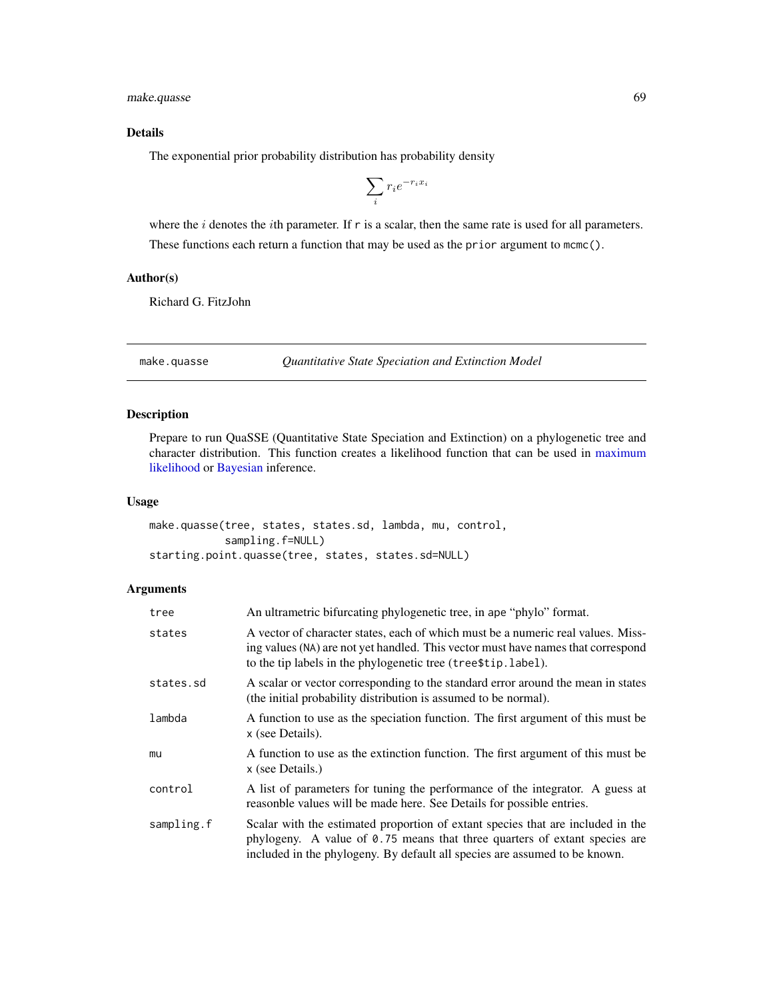make.quasse 69

# Details

The exponential prior probability distribution has probability density

$$
\sum_i r_i e^{-r_i x_i}
$$

where the  $i$  denotes the  $i$ th parameter. If r is a scalar, then the same rate is used for all parameters. These functions each return a function that may be used as the prior argument to mcmc().

# Author(s)

Richard G. FitzJohn

<span id="page-68-0"></span>make.quasse *Quantitative State Speciation and Extinction Model*

# Description

Prepare to run QuaSSE (Quantitative State Speciation and Extinction) on a phylogenetic tree and character distribution. This function creates a likelihood function that can be used in [maximum](#page-12-0) [likelihood](#page-12-0) or [Bayesian](#page-72-0) inference.

#### Usage

make.quasse(tree, states, states.sd, lambda, mu, control, sampling.f=NULL) starting.point.quasse(tree, states, states.sd=NULL)

## Arguments

| tree       | An ultrametric bifurcating phylogenetic tree, in ape "phylo" format.                                                                                                                                                                        |
|------------|---------------------------------------------------------------------------------------------------------------------------------------------------------------------------------------------------------------------------------------------|
| states     | A vector of character states, each of which must be a numeric real values. Miss-<br>ing values (NA) are not yet handled. This vector must have names that correspond<br>to the tip labels in the phylogenetic tree (tree \$tip. label).     |
| states.sd  | A scalar or vector corresponding to the standard error around the mean in states<br>(the initial probability distribution is assumed to be normal).                                                                                         |
| lambda     | A function to use as the speciation function. The first argument of this must be<br>x (see Details).                                                                                                                                        |
| mu         | A function to use as the extinction function. The first argument of this must be<br>x (see Details.)                                                                                                                                        |
| control    | A list of parameters for tuning the performance of the integrator. A guess at<br>reasonble values will be made here. See Details for possible entries.                                                                                      |
| sampling.f | Scalar with the estimated proportion of extant species that are included in the<br>phylogeny. A value of 0.75 means that three quarters of extant species are<br>included in the phylogeny. By default all species are assumed to be known. |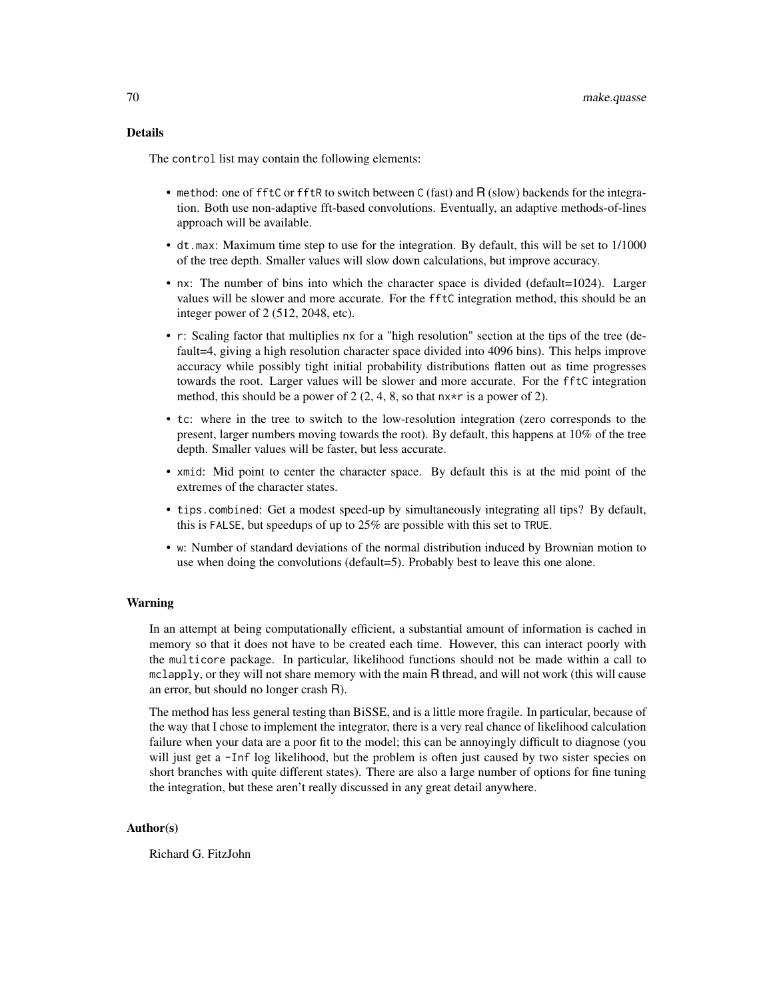### Details

The control list may contain the following elements:

- method: one of fftC or fftR to switch between C (fast) and R (slow) backends for the integration. Both use non-adaptive fft-based convolutions. Eventually, an adaptive methods-of-lines approach will be available.
- dt.max: Maximum time step to use for the integration. By default, this will be set to 1/1000 of the tree depth. Smaller values will slow down calculations, but improve accuracy.
- nx: The number of bins into which the character space is divided (default=1024). Larger values will be slower and more accurate. For the fftC integration method, this should be an integer power of 2 (512, 2048, etc).
- r: Scaling factor that multiplies nx for a "high resolution" section at the tips of the tree (default=4, giving a high resolution character space divided into 4096 bins). This helps improve accuracy while possibly tight initial probability distributions flatten out as time progresses towards the root. Larger values will be slower and more accurate. For the fftC integration method, this should be a power of 2  $(2, 4, 8, \text{ so that } n \times r \text{ is a power of } 2)$ .
- tc: where in the tree to switch to the low-resolution integration (zero corresponds to the present, larger numbers moving towards the root). By default, this happens at 10% of the tree depth. Smaller values will be faster, but less accurate.
- xmid: Mid point to center the character space. By default this is at the mid point of the extremes of the character states.
- tips.combined: Get a modest speed-up by simultaneously integrating all tips? By default, this is FALSE, but speedups of up to 25% are possible with this set to TRUE.
- w: Number of standard deviations of the normal distribution induced by Brownian motion to use when doing the convolutions (default=5). Probably best to leave this one alone.

#### Warning

In an attempt at being computationally efficient, a substantial amount of information is cached in memory so that it does not have to be created each time. However, this can interact poorly with the multicore package. In particular, likelihood functions should not be made within a call to  $mclapply$ , or they will not share memory with the main R thread, and will not work (this will cause an error, but should no longer crash R).

The method has less general testing than BiSSE, and is a little more fragile. In particular, because of the way that I chose to implement the integrator, there is a very real chance of likelihood calculation failure when your data are a poor fit to the model; this can be annoyingly difficult to diagnose (you will just get a -Inf log likelihood, but the problem is often just caused by two sister species on short branches with quite different states). There are also a large number of options for fine tuning the integration, but these aren't really discussed in any great detail anywhere.

#### Author(s)

Richard G. FitzJohn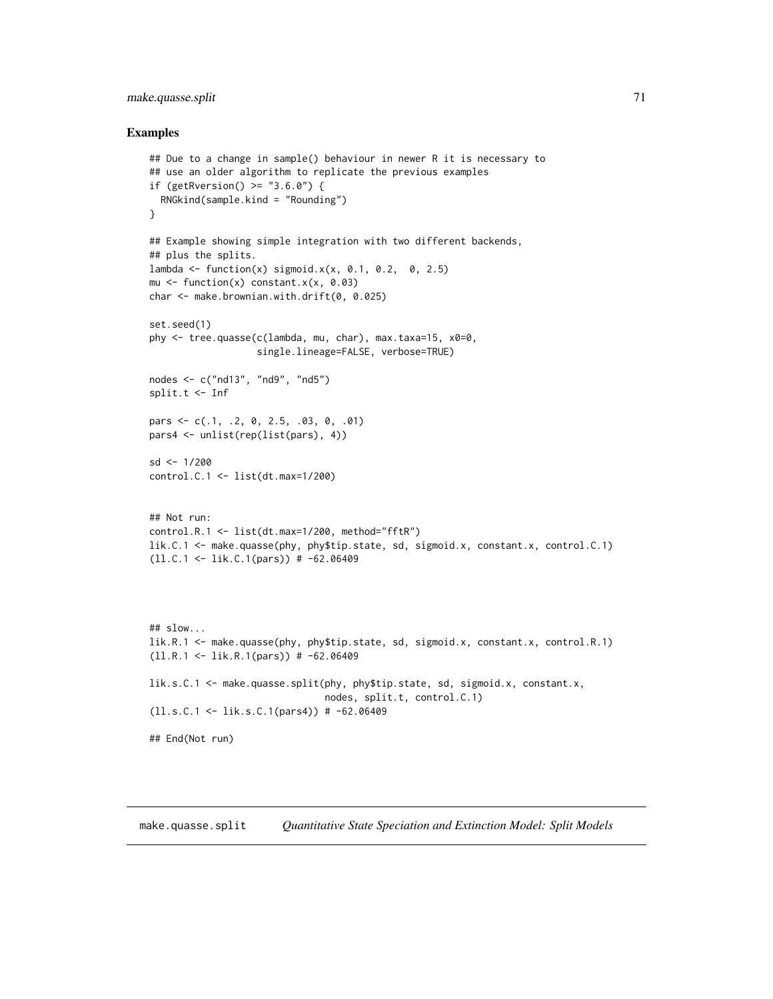# make.quasse.split 71

### Examples

```
## Due to a change in sample() behaviour in newer R it is necessary to
## use an older algorithm to replicate the previous examples
if (getRversion() > = "3.6.0") {
  RNGkind(sample.kind = "Rounding")
}
## Example showing simple integration with two different backends,
## plus the splits.
lambda <- function(x) sigmoid.x(x, 0.1, 0.2, 0, 2.5)
mu \le function(x) constant.x(x, 0.03)
char <- make.brownian.with.drift(0, 0.025)
set.seed(1)
phy <- tree.quasse(c(lambda, mu, char), max.taxa=15, x0=0,
                   single.lineage=FALSE, verbose=TRUE)
nodes <- c("nd13", "nd9", "nd5")
split.t <- Inf
pars <- c(.1, .2, 0, 2.5, .03, 0, .01)
pars4 <- unlist(rep(list(pars), 4))
sd <- 1/200
control.C.1 <- list(dt.max=1/200)
## Not run:
control.R.1 <- list(dt.max=1/200, method="fftR")
lik.C.1 <- make.quasse(phy, phy$tip.state, sd, sigmoid.x, constant.x, control.C.1)
(ll.C.1 <- lik.C.1(pars)) # -62.06409
## slow...
lik.R.1 <- make.quasse(phy, phy$tip.state, sd, sigmoid.x, constant.x, control.R.1)
(ll.R.1 <- lik.R.1(pars)) # -62.06409
lik.s.C.1 <- make.quasse.split(phy, phy$tip.state, sd, sigmoid.x, constant.x,
                               nodes, split.t, control.C.1)
(ll.s.C.1 <- lik.s.C.1(pars4)) # -62.06409
## End(Not run)
```
make.quasse.split *Quantitative State Speciation and Extinction Model: Split Models*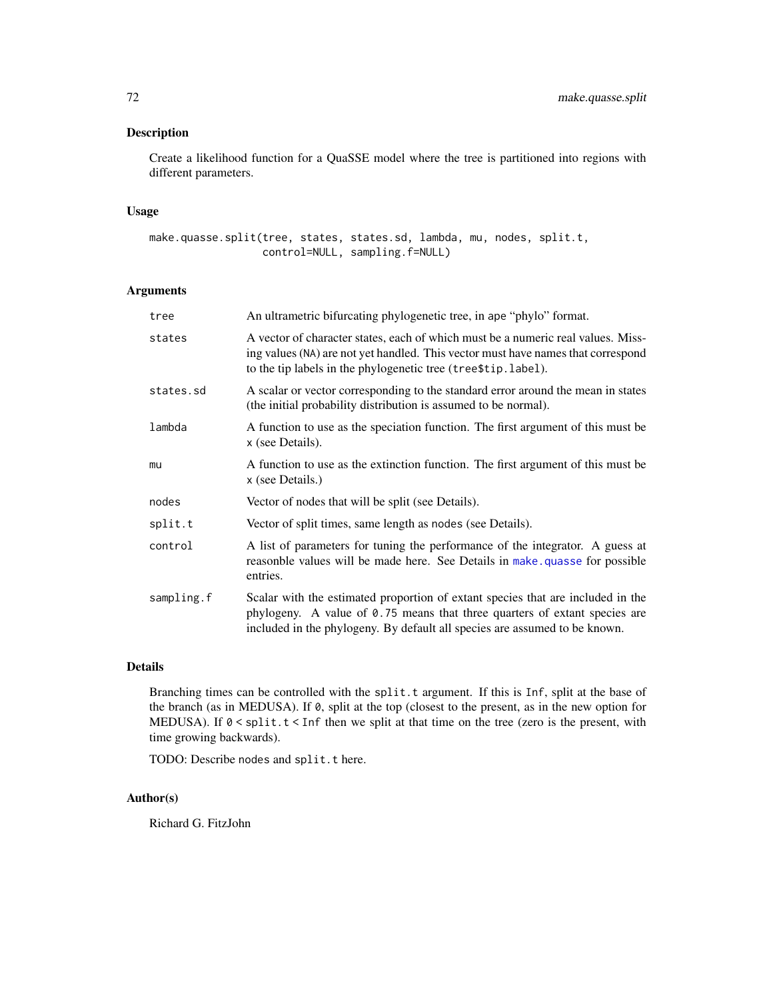### Description

Create a likelihood function for a QuaSSE model where the tree is partitioned into regions with different parameters.

# Usage

```
make.quasse.split(tree, states, states.sd, lambda, mu, nodes, split.t,
                  control=NULL, sampling.f=NULL)
```
# Arguments

| tree       | An ultrametric bifurcating phylogenetic tree, in ape "phylo" format.                                                                                                                                                                        |
|------------|---------------------------------------------------------------------------------------------------------------------------------------------------------------------------------------------------------------------------------------------|
| states     | A vector of character states, each of which must be a numeric real values. Miss-<br>ing values (NA) are not yet handled. This vector must have names that correspond<br>to the tip labels in the phylogenetic tree (tree\$tip.label).       |
| states.sd  | A scalar or vector corresponding to the standard error around the mean in states<br>(the initial probability distribution is assumed to be normal).                                                                                         |
| lambda     | A function to use as the speciation function. The first argument of this must be<br>x (see Details).                                                                                                                                        |
| mu         | A function to use as the extinction function. The first argument of this must be<br>x (see Details.)                                                                                                                                        |
| nodes      | Vector of nodes that will be split (see Details).                                                                                                                                                                                           |
| split.t    | Vector of split times, same length as nodes (see Details).                                                                                                                                                                                  |
| control    | A list of parameters for tuning the performance of the integrator. A guess at<br>reasonble values will be made here. See Details in make, quasse for possible<br>entries.                                                                   |
| sampling.f | Scalar with the estimated proportion of extant species that are included in the<br>phylogeny. A value of 0.75 means that three quarters of extant species are<br>included in the phylogeny. By default all species are assumed to be known. |

## Details

Branching times can be controlled with the split.t argument. If this is Inf, split at the base of the branch (as in MEDUSA). If 0, split at the top (closest to the present, as in the new option for MEDUSA). If  $0 <$  split.  $t <$  Inf then we split at that time on the tree (zero is the present, with time growing backwards).

TODO: Describe nodes and split.t here.

### Author(s)

Richard G. FitzJohn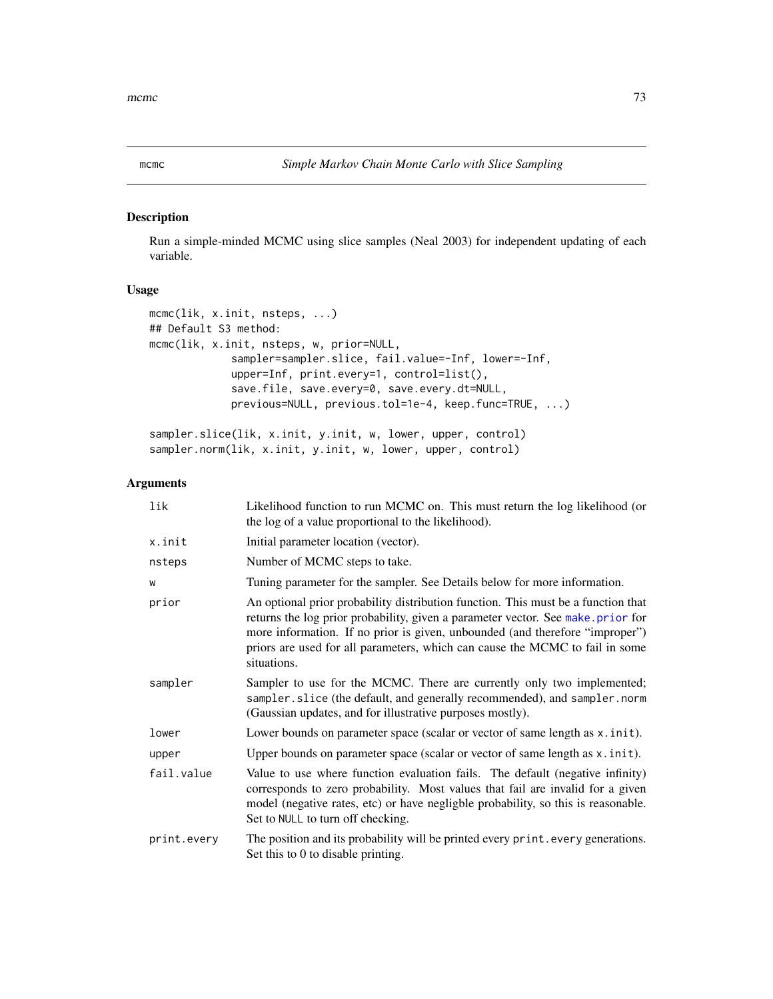# <span id="page-72-0"></span>Description

Run a simple-minded MCMC using slice samples (Neal 2003) for independent updating of each variable.

## Usage

```
mcmc(lik, x.init, nsteps, ...)
## Default S3 method:
mcmc(lik, x.init, nsteps, w, prior=NULL,
             sampler=sampler.slice, fail.value=-Inf, lower=-Inf,
             upper=Inf, print.every=1, control=list(),
             save.file, save.every=0, save.every.dt=NULL,
             previous=NULL, previous.tol=1e-4, keep.func=TRUE, ...)
```

```
sampler.slice(lik, x.init, y.init, w, lower, upper, control)
sampler.norm(lik, x.init, y.init, w, lower, upper, control)
```

| lik         | Likelihood function to run MCMC on. This must return the log likelihood (or<br>the log of a value proportional to the likelihood).                                                                                                                                                                                                                  |
|-------------|-----------------------------------------------------------------------------------------------------------------------------------------------------------------------------------------------------------------------------------------------------------------------------------------------------------------------------------------------------|
| x.init      | Initial parameter location (vector).                                                                                                                                                                                                                                                                                                                |
| nsteps      | Number of MCMC steps to take.                                                                                                                                                                                                                                                                                                                       |
| W           | Tuning parameter for the sampler. See Details below for more information.                                                                                                                                                                                                                                                                           |
| prior       | An optional prior probability distribution function. This must be a function that<br>returns the log prior probability, given a parameter vector. See make prior for<br>more information. If no prior is given, unbounded (and therefore "improper")<br>priors are used for all parameters, which can cause the MCMC to fail in some<br>situations. |
| sampler     | Sampler to use for the MCMC. There are currently only two implemented;<br>sampler.slice (the default, and generally recommended), and sampler.norm<br>(Gaussian updates, and for illustrative purposes mostly).                                                                                                                                     |
| lower       | Lower bounds on parameter space (scalar or vector of same length as x. init).                                                                                                                                                                                                                                                                       |
| upper       | Upper bounds on parameter space (scalar or vector of same length as $x$ . init).                                                                                                                                                                                                                                                                    |
| fail.value  | Value to use where function evaluation fails. The default (negative infinity)<br>corresponds to zero probability. Most values that fail are invalid for a given<br>model (negative rates, etc) or have negligble probability, so this is reasonable.<br>Set to NULL to turn off checking.                                                           |
| print.every | The position and its probability will be printed every print. every generations.<br>Set this to 0 to disable printing.                                                                                                                                                                                                                              |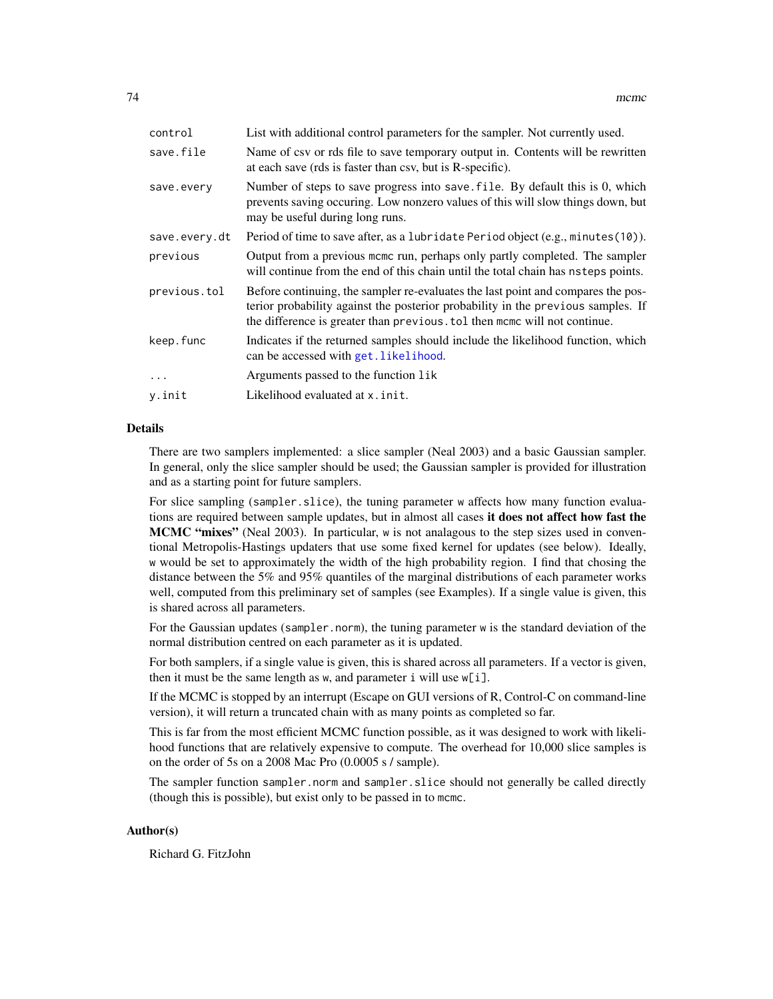<span id="page-73-0"></span>

| control       | List with additional control parameters for the sampler. Not currently used.                                                                                                                                                                      |
|---------------|---------------------------------------------------------------------------------------------------------------------------------------------------------------------------------------------------------------------------------------------------|
| save.file     | Name of csv or rds file to save temporary output in. Contents will be rewritten<br>at each save (rds is faster than csv, but is R-specific).                                                                                                      |
| save.every    | Number of steps to save progress into save. file. By default this is 0, which<br>prevents saving occuring. Low nonzero values of this will slow things down, but<br>may be useful during long runs.                                               |
| save.every.dt | Period of time to save after, as a lubridate Period object (e.g., minutes (10)).                                                                                                                                                                  |
| previous      | Output from a previous meme run, perhaps only partly completed. The sampler<br>will continue from the end of this chain until the total chain has nsteps points.                                                                                  |
| previous.tol  | Before continuing, the sampler re-evaluates the last point and compares the pos-<br>terior probability against the posterior probability in the previous samples. If<br>the difference is greater than previous, tol then mome will not continue. |
| keep.func     | Indicates if the returned samples should include the likelihood function, which<br>can be accessed with get. likelihood.                                                                                                                          |
| .             | Arguments passed to the function lik                                                                                                                                                                                                              |
| y.init        | Likelihood evaluated at x. init.                                                                                                                                                                                                                  |
|               |                                                                                                                                                                                                                                                   |

#### Details

There are two samplers implemented: a slice sampler (Neal 2003) and a basic Gaussian sampler. In general, only the slice sampler should be used; the Gaussian sampler is provided for illustration and as a starting point for future samplers.

For slice sampling (sampler.slice), the tuning parameter w affects how many function evaluations are required between sample updates, but in almost all cases it does not affect how fast the **MCMC "mixes"** (Neal 2003). In particular, w is not analagous to the step sizes used in conventional Metropolis-Hastings updaters that use some fixed kernel for updates (see below). Ideally, w would be set to approximately the width of the high probability region. I find that chosing the distance between the 5% and 95% quantiles of the marginal distributions of each parameter works well, computed from this preliminary set of samples (see Examples). If a single value is given, this is shared across all parameters.

For the Gaussian updates (sampler.norm), the tuning parameter w is the standard deviation of the normal distribution centred on each parameter as it is updated.

For both samplers, if a single value is given, this is shared across all parameters. If a vector is given, then it must be the same length as  $w$ , and parameter i will use  $w[i]$ .

If the MCMC is stopped by an interrupt (Escape on GUI versions of R, Control-C on command-line version), it will return a truncated chain with as many points as completed so far.

This is far from the most efficient MCMC function possible, as it was designed to work with likelihood functions that are relatively expensive to compute. The overhead for 10,000 slice samples is on the order of 5s on a 2008 Mac Pro (0.0005 s / sample).

The sampler function sampler.norm and sampler.slice should not generally be called directly (though this is possible), but exist only to be passed in to mcmc.

# Author(s)

Richard G. FitzJohn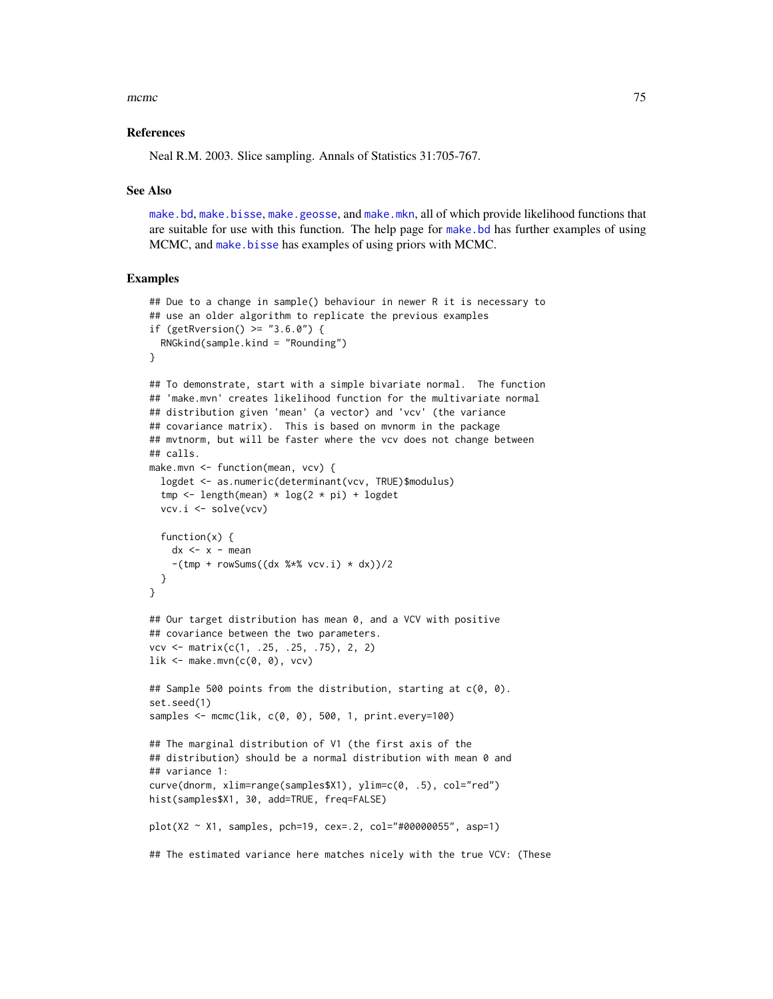<span id="page-74-0"></span> $m$ cmc $\sim$  75

#### References

Neal R.M. 2003. Slice sampling. Annals of Statistics 31:705-767.

#### See Also

[make.bd](#page-17-0), [make.bisse](#page-23-0), [make.geosse](#page-44-0), and [make.mkn](#page-51-0), all of which provide likelihood functions that are suitable for use with this function. The help page for [make.bd](#page-17-0) has further examples of using MCMC, and [make.bisse](#page-23-0) has examples of using priors with MCMC.

```
## Due to a change in sample() behaviour in newer R it is necessary to
## use an older algorithm to replicate the previous examples
if (getRversion() > = "3.6.0") {
  RNGkind(sample.kind = "Rounding")
}
## To demonstrate, start with a simple bivariate normal. The function
## 'make.mvn' creates likelihood function for the multivariate normal
## distribution given 'mean' (a vector) and 'vcv' (the variance
## covariance matrix). This is based on mvnorm in the package
## mvtnorm, but will be faster where the vcv does not change between
## calls.
make.mvn <- function(mean, vcv) {
  logdet <- as.numeric(determinant(vcv, TRUE)$modulus)
  tmp \leftarrow length(mean) * log(2 * pi) + logdetvcv.i <- solve(vcv)
  function(x) {
    dx <- x - mean
    -(\text{tmp + rowSums}((dx % * x  vcv. i) * dx)) / 2)}
}
## Our target distribution has mean 0, and a VCV with positive
## covariance between the two parameters.
vcv <- matrix(c(1, .25, .25, .75), 2, 2)
lik \leq make.mvn(c(0, 0), vcv)
## Sample 500 points from the distribution, starting at c(0, 0).
set.seed(1)
samples <- mcmc(lik, c(0, 0), 500, 1, print.every=100)
## The marginal distribution of V1 (the first axis of the
## distribution) should be a normal distribution with mean 0 and
## variance 1:
curve(dnorm, xlim=range(samples$X1), ylim=c(0, .5), col="red")
hist(samples$X1, 30, add=TRUE, freq=FALSE)
plot(X2 ~ X1, samples, pch=19, cex=.2, col="#00000055", asp=1)
## The estimated variance here matches nicely with the true VCV: (These
```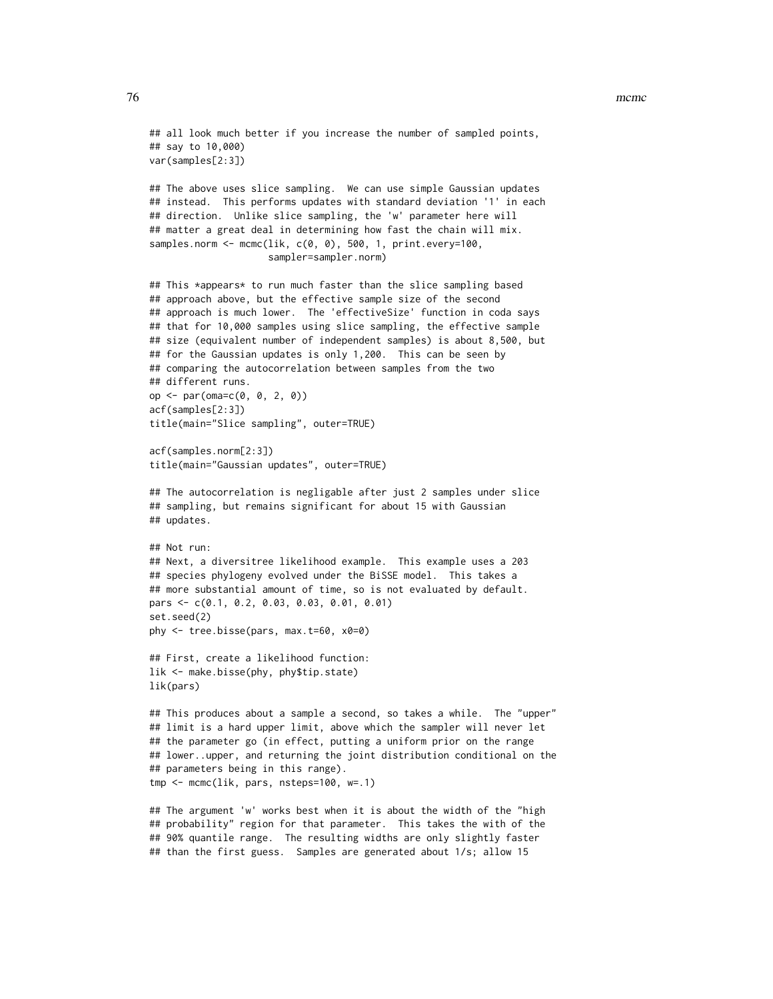#### 76 metal and the state of the state of the state of the state of the state of the state of the state of the state of the state of the state of the state of the state of the state of the state of the state of the state of t

```
## all look much better if you increase the number of sampled points,
## say to 10,000)
var(samples[2:3])
## The above uses slice sampling. We can use simple Gaussian updates
## instead. This performs updates with standard deviation '1' in each
## direction. Unlike slice sampling, the 'w' parameter here will
## matter a great deal in determining how fast the chain will mix.
samples.norm <- mcmc(lik, c(0, 0), 500, 1, print.every=100,
                     sampler=sampler.norm)
## This *appears* to run much faster than the slice sampling based
## approach above, but the effective sample size of the second
## approach is much lower. The 'effectiveSize' function in coda says
## that for 10,000 samples using slice sampling, the effective sample
## size (equivalent number of independent samples) is about 8,500, but
## for the Gaussian updates is only 1,200. This can be seen by
## comparing the autocorrelation between samples from the two
## different runs.
op <- par(oma=c(0, 0, 2, 0))
acf(samples[2:3])
title(main="Slice sampling", outer=TRUE)
acf(samples.norm[2:3])
title(main="Gaussian updates", outer=TRUE)
## The autocorrelation is negligable after just 2 samples under slice
## sampling, but remains significant for about 15 with Gaussian
## updates.
## Not run:
## Next, a diversitree likelihood example. This example uses a 203
## species phylogeny evolved under the BiSSE model. This takes a
## more substantial amount of time, so is not evaluated by default.
pars <- c(0.1, 0.2, 0.03, 0.03, 0.01, 0.01)
set.seed(2)
phy <- tree.bisse(pars, max.t=60, x0=0)
## First, create a likelihood function:
lik <- make.bisse(phy, phy$tip.state)
lik(pars)
## This produces about a sample a second, so takes a while. The "upper"
## limit is a hard upper limit, above which the sampler will never let
## the parameter go (in effect, putting a uniform prior on the range
## lower..upper, and returning the joint distribution conditional on the
## parameters being in this range).
tmp <- mcmc(lik, pars, nsteps=100, w=.1)
## The argument 'w' works best when it is about the width of the "high
## probability" region for that parameter. This takes the with of the
## 90% quantile range. The resulting widths are only slightly faster
## than the first guess. Samples are generated about 1/s; allow 15
```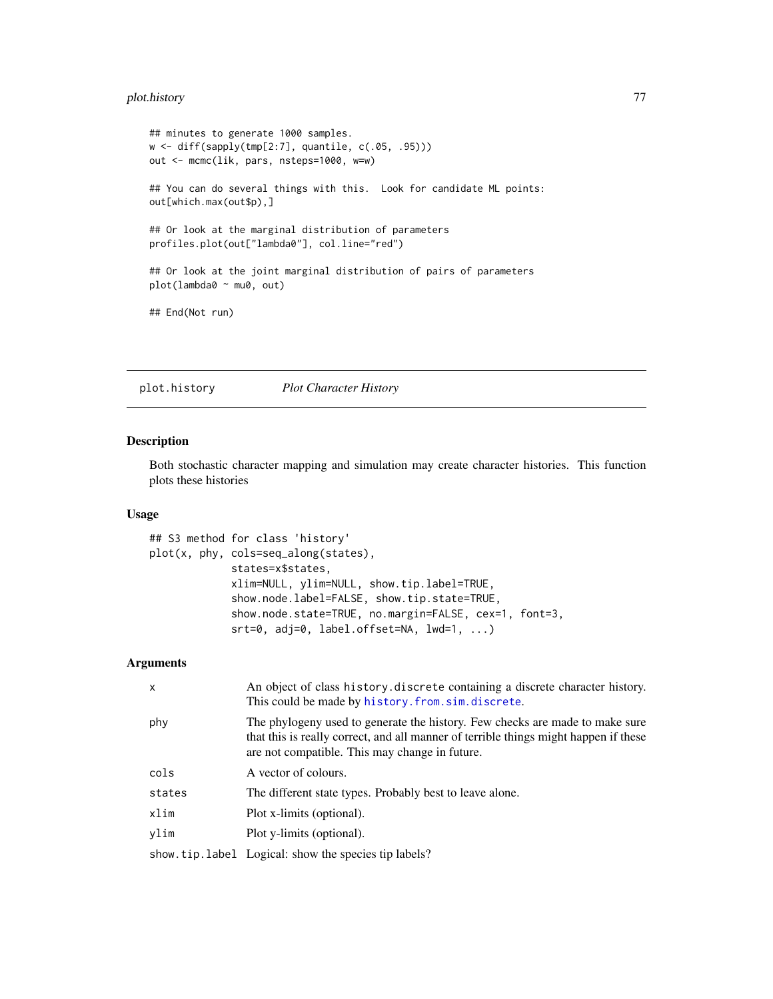# <span id="page-76-0"></span>plot.history 77

```
## minutes to generate 1000 samples.
w <- diff(sapply(tmp[2:7], quantile, c(.05, .95)))
out <- mcmc(lik, pars, nsteps=1000, w=w)
## You can do several things with this. Look for candidate ML points:
out[which.max(out$p),]
## Or look at the marginal distribution of parameters
profiles.plot(out["lambda0"], col.line="red")
## Or look at the joint marginal distribution of pairs of parameters
plot(lambda0 ~ mu0, out)
## End(Not run)
```
plot.history *Plot Character History*

## Description

Both stochastic character mapping and simulation may create character histories. This function plots these histories

## Usage

```
## S3 method for class 'history'
plot(x, phy, cols=seq_along(states),
             states=x$states,
             xlim=NULL, ylim=NULL, show.tip.label=TRUE,
             show.node.label=FALSE, show.tip.state=TRUE,
             show.node.state=TRUE, no.margin=FALSE, cex=1, font=3,
             srt=0, adj=0, label.offset=NA, lwd=1, ...)
```

| $\mathsf{x}$ | An object of class history discrete containing a discrete character history.<br>This could be made by history. from. sim. discrete.                                                                                    |
|--------------|------------------------------------------------------------------------------------------------------------------------------------------------------------------------------------------------------------------------|
| phy          | The phylogeny used to generate the history. Few checks are made to make sure<br>that this is really correct, and all manner of terrible things might happen if these<br>are not compatible. This may change in future. |
| cols         | A vector of colours.                                                                                                                                                                                                   |
| states       | The different state types. Probably best to leave alone.                                                                                                                                                               |
| xlim         | Plot x-limits (optional).                                                                                                                                                                                              |
| vlim         | Plot y-limits (optional).                                                                                                                                                                                              |
|              | show tip. label Logical: show the species tip labels?                                                                                                                                                                  |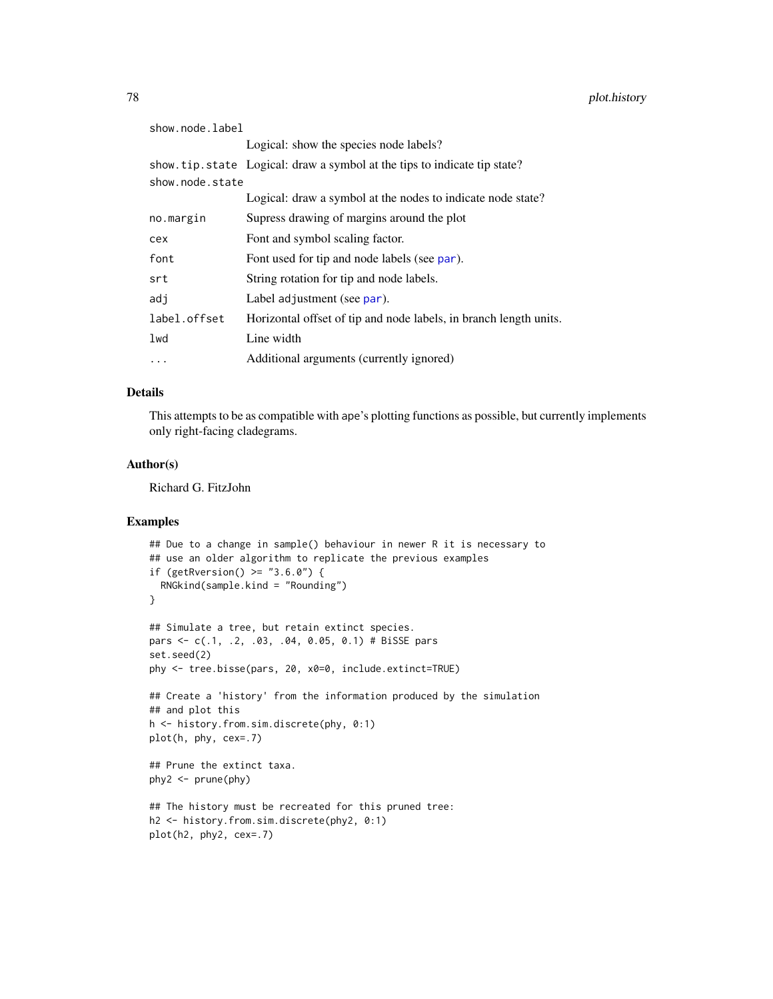<span id="page-77-0"></span>

| show.node.label |                                                                          |
|-----------------|--------------------------------------------------------------------------|
|                 | Logical: show the species node labels?                                   |
|                 | show tip state Logical: draw a symbol at the tips to indicate tip state? |
| show.node.state |                                                                          |
|                 | Logical: draw a symbol at the nodes to indicate node state?              |
| no.margin       | Supress drawing of margins around the plot                               |
| cex             | Font and symbol scaling factor.                                          |
| font            | Font used for tip and node labels (see par).                             |
| srt             | String rotation for tip and node labels.                                 |
| adj             | Label adjustment (see par).                                              |
| label.offset    | Horizontal offset of tip and node labels, in branch length units.        |
| lwd             | Line width                                                               |
| $\cdot$         | Additional arguments (currently ignored)                                 |

#### Details

This attempts to be as compatible with ape's plotting functions as possible, but currently implements only right-facing cladegrams.

# Author(s)

Richard G. FitzJohn

```
## Due to a change in sample() behaviour in newer R it is necessary to
## use an older algorithm to replicate the previous examples
if (getRversion() > = "3.6.0") {
  RNGkind(sample.kind = "Rounding")
}
## Simulate a tree, but retain extinct species.
pars <- c(.1, .2, .03, .04, 0.05, 0.1) # BiSSE pars
set.seed(2)
phy <- tree.bisse(pars, 20, x0=0, include.extinct=TRUE)
## Create a 'history' from the information produced by the simulation
## and plot this
h <- history.from.sim.discrete(phy, 0:1)
plot(h, phy, cex=.7)
## Prune the extinct taxa.
phy2 < -prune(phy)## The history must be recreated for this pruned tree:
h2 <- history.from.sim.discrete(phy2, 0:1)
plot(h2, phy2, cex=.7)
```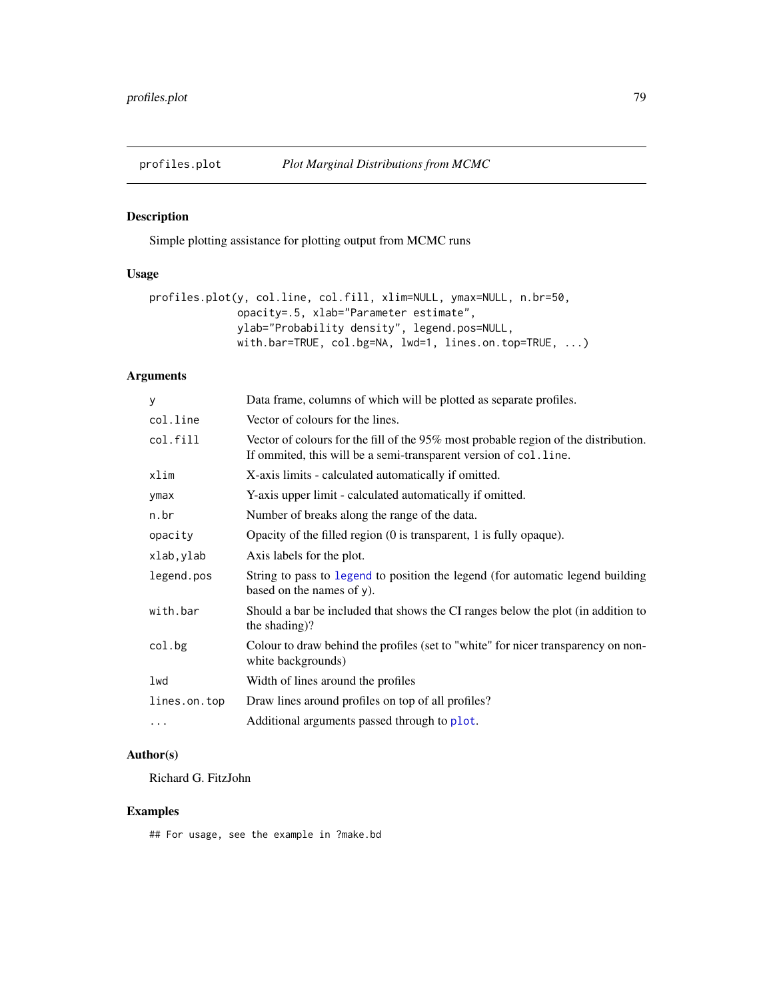<span id="page-78-0"></span>

# Description

Simple plotting assistance for plotting output from MCMC runs

# Usage

```
profiles.plot(y, col.line, col.fill, xlim=NULL, ymax=NULL, n.br=50,
              opacity=.5, xlab="Parameter estimate",
              ylab="Probability density", legend.pos=NULL,
              with.bar=TRUE, col.bg=NA, lwd=1, lines.on.top=TRUE, ...)
```
# Arguments

| y            | Data frame, columns of which will be plotted as separate profiles.                                                                                          |
|--------------|-------------------------------------------------------------------------------------------------------------------------------------------------------------|
| col.line     | Vector of colours for the lines.                                                                                                                            |
| col.fill     | Vector of colours for the fill of the $95\%$ most probable region of the distribution.<br>If ommited, this will be a semi-transparent version of col. line. |
| xlim         | X-axis limits - calculated automatically if omitted.                                                                                                        |
| ymax         | Y-axis upper limit - calculated automatically if omitted.                                                                                                   |
| n.br         | Number of breaks along the range of the data.                                                                                                               |
| opacity      | Opacity of the filled region $(0 \text{ is transparent}, 1 \text{ is fully opaque}).$                                                                       |
| xlab,ylab    | Axis labels for the plot.                                                                                                                                   |
| legend.pos   | String to pass to legend to position the legend (for automatic legend building<br>based on the names of y).                                                 |
| with.bar     | Should a bar be included that shows the CI ranges below the plot (in addition to<br>the shading)?                                                           |
| col.bg       | Colour to draw behind the profiles (set to "white" for nicer transparency on non-<br>white backgrounds)                                                     |
| lwd          | Width of lines around the profiles                                                                                                                          |
| lines.on.top | Draw lines around profiles on top of all profiles?                                                                                                          |
| $\cdots$     | Additional arguments passed through to plot.                                                                                                                |
|              |                                                                                                                                                             |

# Author(s)

Richard G. FitzJohn

# Examples

## For usage, see the example in ?make.bd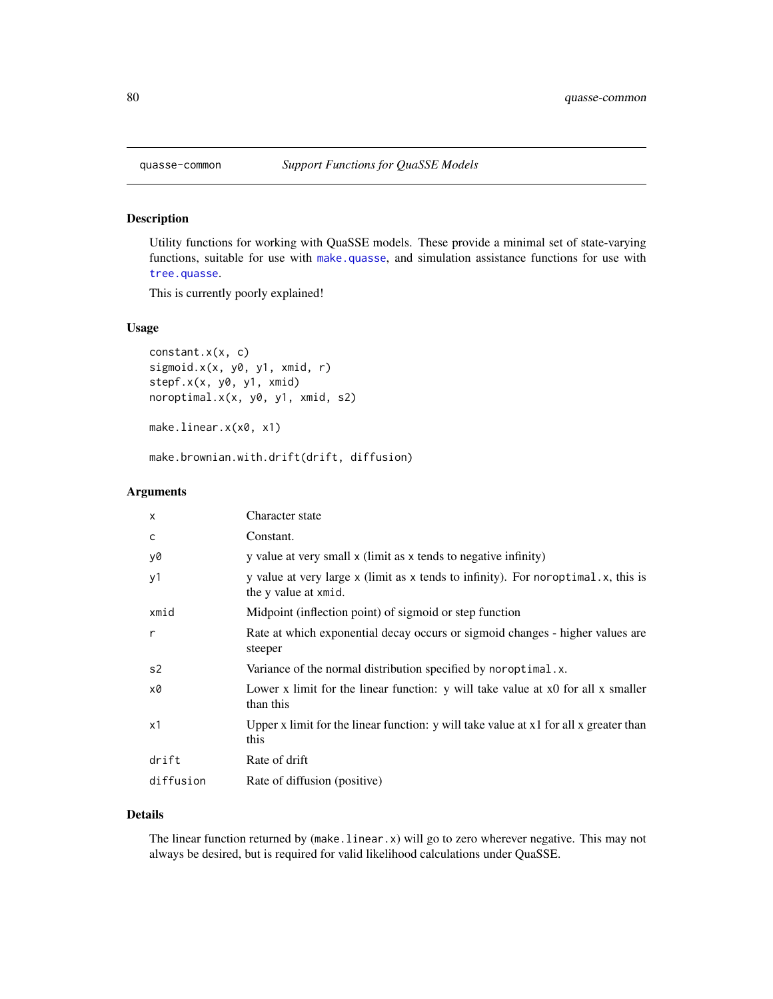<span id="page-79-0"></span>

## Description

Utility functions for working with QuaSSE models. These provide a minimal set of state-varying functions, suitable for use with [make.quasse](#page-68-0), and simulation assistance functions for use with [tree.quasse](#page-82-0).

This is currently poorly explained!

## Usage

constant.x(x, c) sigmoid.x(x, y0, y1, xmid, r) stepf.x(x, y0, y1, xmid) noroptimal.x(x, y0, y1, xmid, s2)

make.linear.x(x0, x1)

make.brownian.with.drift(drift, diffusion)

## Arguments

| $\times$  | Character state                                                                                           |
|-----------|-----------------------------------------------------------------------------------------------------------|
| C         | Constant.                                                                                                 |
| y0        | y value at very small x (limit as x tends to negative infinity)                                           |
| y1        | y value at very large x (limit as x tends to infinity). For noroptimal.x, this is<br>the y value at xmid. |
| xmid      | Midpoint (inflection point) of sigmoid or step function                                                   |
| r         | Rate at which exponential decay occurs or sigmoid changes - higher values are<br>steeper                  |
| s2        | Variance of the normal distribution specified by noroptimal.x.                                            |
| x0        | Lower x limit for the linear function: y will take value at x0 for all x smaller<br>than this             |
| x1        | Upper x limit for the linear function: $y$ will take value at $x1$ for all x greater than<br>this         |
| drift     | Rate of drift                                                                                             |
| diffusion | Rate of diffusion (positive)                                                                              |
|           |                                                                                                           |

## Details

The linear function returned by (make.linear.x) will go to zero wherever negative. This may not always be desired, but is required for valid likelihood calculations under QuaSSE.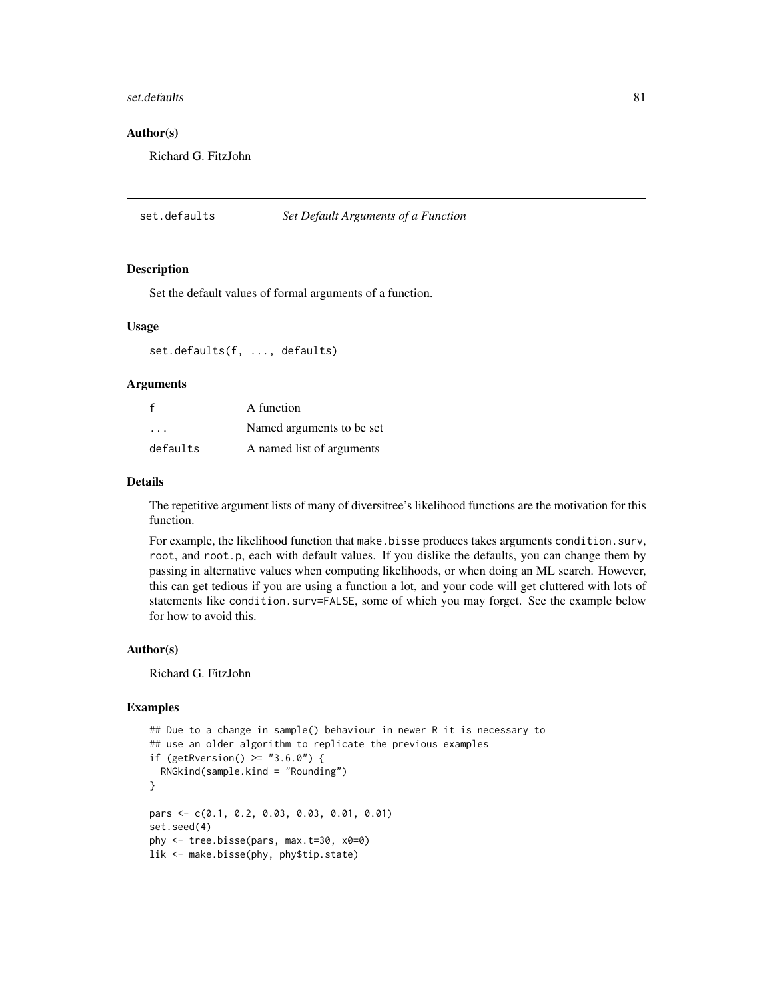#### <span id="page-80-0"></span>set.defaults 81

## Author(s)

Richard G. FitzJohn

set.defaults *Set Default Arguments of a Function*

#### Description

Set the default values of formal arguments of a function.

#### Usage

set.defaults(f, ..., defaults)

#### **Arguments**

| f        | A function                |
|----------|---------------------------|
| .        | Named arguments to be set |
| defaults | A named list of arguments |

#### Details

The repetitive argument lists of many of diversitree's likelihood functions are the motivation for this function.

For example, the likelihood function that make.bisse produces takes arguments condition.surv, root, and root.p, each with default values. If you dislike the defaults, you can change them by passing in alternative values when computing likelihoods, or when doing an ML search. However, this can get tedious if you are using a function a lot, and your code will get cluttered with lots of statements like condition.surv=FALSE, some of which you may forget. See the example below for how to avoid this.

## Author(s)

Richard G. FitzJohn

```
## Due to a change in sample() behaviour in newer R it is necessary to
## use an older algorithm to replicate the previous examples
if (getRversion() >= "3.6.0") {
 RNGkind(sample.kind = "Rounding")
}
pars <- c(0.1, 0.2, 0.03, 0.03, 0.01, 0.01)
set.seed(4)
phy <- tree.bisse(pars, max.t=30, x0=0)
lik <- make.bisse(phy, phy$tip.state)
```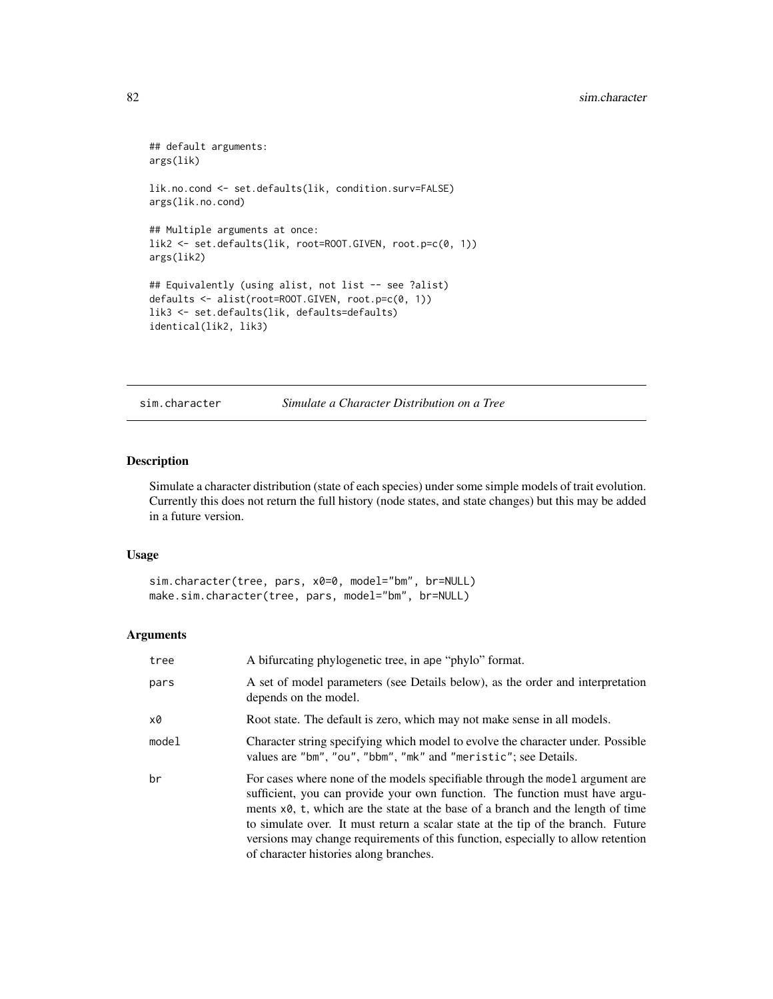```
## default arguments:
args(lik)
lik.no.cond <- set.defaults(lik, condition.surv=FALSE)
args(lik.no.cond)
## Multiple arguments at once:
lik2 <- set.defaults(lik, root=ROOT.GIVEN, root.p=c(0, 1))
args(lik2)
## Equivalently (using alist, not list -- see ?alist)
defaults <- alist(root=ROOT.GIVEN, root.p=c(0, 1))
lik3 <- set.defaults(lik, defaults=defaults)
identical(lik2, lik3)
```
sim.character *Simulate a Character Distribution on a Tree*

## Description

Simulate a character distribution (state of each species) under some simple models of trait evolution. Currently this does not return the full history (node states, and state changes) but this may be added in a future version.

## Usage

sim.character(tree, pars, x0=0, model="bm", br=NULL) make.sim.character(tree, pars, model="bm", br=NULL)

| tree  | A bifurcating phylogenetic tree, in ape "phylo" format.                                                                                                                                                                                                                                                                                                                                                                                                           |
|-------|-------------------------------------------------------------------------------------------------------------------------------------------------------------------------------------------------------------------------------------------------------------------------------------------------------------------------------------------------------------------------------------------------------------------------------------------------------------------|
| pars  | A set of model parameters (see Details below), as the order and interpretation<br>depends on the model.                                                                                                                                                                                                                                                                                                                                                           |
| x0    | Root state. The default is zero, which may not make sense in all models.                                                                                                                                                                                                                                                                                                                                                                                          |
| model | Character string specifying which model to evolve the character under. Possible<br>values are "bm", "ou", "bbm", "mk" and "meristic"; see Details.                                                                                                                                                                                                                                                                                                                |
| br    | For cases where none of the models specifiable through the model argument are<br>sufficient, you can provide your own function. The function must have argu-<br>ments x0, t, which are the state at the base of a branch and the length of time<br>to simulate over. It must return a scalar state at the tip of the branch. Future<br>versions may change requirements of this function, especially to allow retention<br>of character histories along branches. |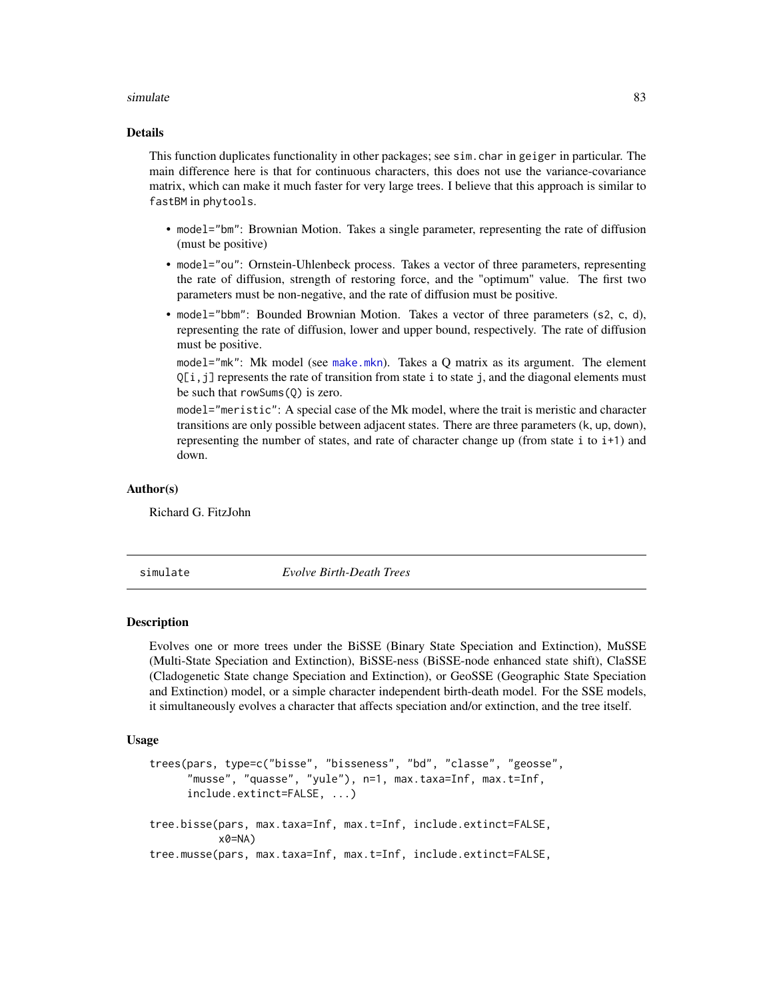#### <span id="page-82-1"></span>simulate 83

#### Details

This function duplicates functionality in other packages; see sim.char in geiger in particular. The main difference here is that for continuous characters, this does not use the variance-covariance matrix, which can make it much faster for very large trees. I believe that this approach is similar to fastBM in phytools.

- model="bm": Brownian Motion. Takes a single parameter, representing the rate of diffusion (must be positive)
- model="ou": Ornstein-Uhlenbeck process. Takes a vector of three parameters, representing the rate of diffusion, strength of restoring force, and the "optimum" value. The first two parameters must be non-negative, and the rate of diffusion must be positive.
- model="bbm": Bounded Brownian Motion. Takes a vector of three parameters (s2, c, d), representing the rate of diffusion, lower and upper bound, respectively. The rate of diffusion must be positive.

model="mk": Mk model (see [make.mkn](#page-51-0)). Takes a Q matrix as its argument. The element  $Q[i,j]$  represents the rate of transition from state i to state j, and the diagonal elements must be such that rowSums(Q) is zero.

model="meristic": A special case of the Mk model, where the trait is meristic and character transitions are only possible between adjacent states. There are three parameters (k, up, down), representing the number of states, and rate of character change up (from state i to i+1) and down.

#### Author(s)

Richard G. FitzJohn

simulate *Evolve Birth-Death Trees*

#### <span id="page-82-0"></span>**Description**

Evolves one or more trees under the BiSSE (Binary State Speciation and Extinction), MuSSE (Multi-State Speciation and Extinction), BiSSE-ness (BiSSE-node enhanced state shift), ClaSSE (Cladogenetic State change Speciation and Extinction), or GeoSSE (Geographic State Speciation and Extinction) model, or a simple character independent birth-death model. For the SSE models, it simultaneously evolves a character that affects speciation and/or extinction, and the tree itself.

## Usage

```
trees(pars, type=c("bisse", "bisseness", "bd", "classe", "geosse",
      "musse", "quasse", "yule"), n=1, max.taxa=Inf, max.t=Inf,
     include.extinct=FALSE, ...)
tree.bisse(pars, max.taxa=Inf, max.t=Inf, include.extinct=FALSE,
           x0=NA)
tree.musse(pars, max.taxa=Inf, max.t=Inf, include.extinct=FALSE,
```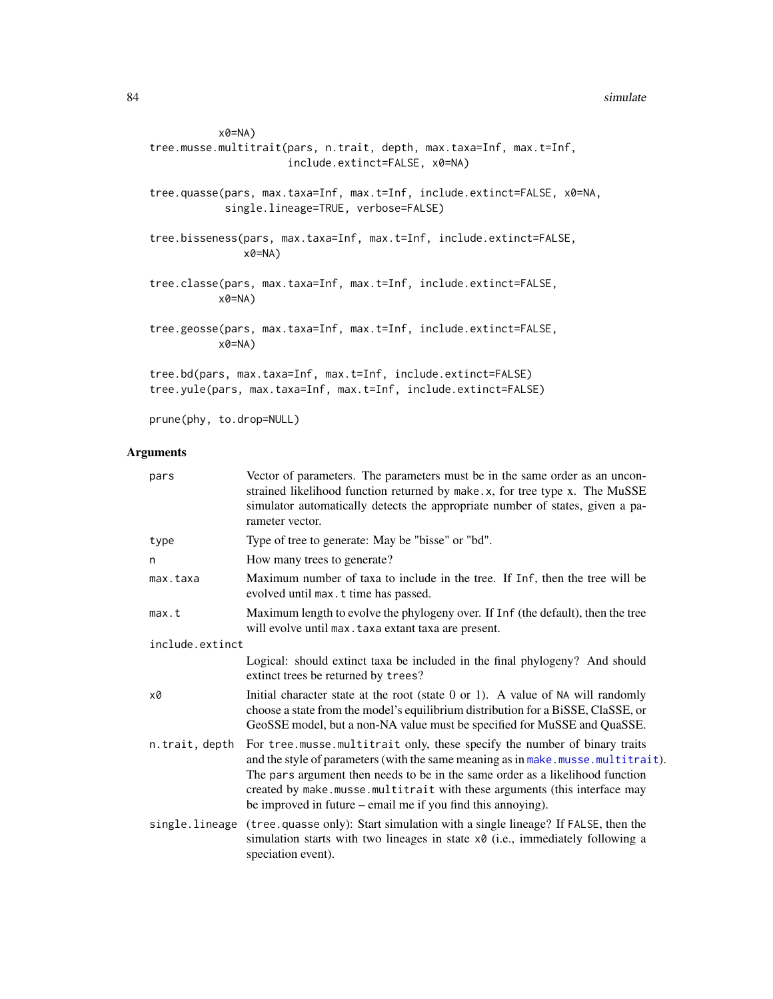```
x0=NA)
tree.musse.multitrait(pars, n.trait, depth, max.taxa=Inf, max.t=Inf,
                      include.extinct=FALSE, x0=NA)
tree.quasse(pars, max.taxa=Inf, max.t=Inf, include.extinct=FALSE, x0=NA,
            single.lineage=TRUE, verbose=FALSE)
tree.bisseness(pars, max.taxa=Inf, max.t=Inf, include.extinct=FALSE,
              x0=NA)
tree.classe(pars, max.taxa=Inf, max.t=Inf, include.extinct=FALSE,
          x0=NA)
tree.geosse(pars, max.taxa=Inf, max.t=Inf, include.extinct=FALSE,
          x0=NA)
tree.bd(pars, max.taxa=Inf, max.t=Inf, include.extinct=FALSE)
tree.yule(pars, max.taxa=Inf, max.t=Inf, include.extinct=FALSE)
```
prune(phy, to.drop=NULL)

| pars            | Vector of parameters. The parameters must be in the same order as an uncon-<br>strained likelihood function returned by make.x, for tree type x. The MuSSE<br>simulator automatically detects the appropriate number of states, given a pa-<br>rameter vector.                                                                                                                                |
|-----------------|-----------------------------------------------------------------------------------------------------------------------------------------------------------------------------------------------------------------------------------------------------------------------------------------------------------------------------------------------------------------------------------------------|
| type            | Type of tree to generate: May be "bisse" or "bd".                                                                                                                                                                                                                                                                                                                                             |
| n               | How many trees to generate?                                                                                                                                                                                                                                                                                                                                                                   |
| max.taxa        | Maximum number of taxa to include in the tree. If Inf, then the tree will be<br>evolved until max. t time has passed.                                                                                                                                                                                                                                                                         |
| max.t           | Maximum length to evolve the phylogeny over. If Inf (the default), then the tree<br>will evolve until max. taxa extant taxa are present.                                                                                                                                                                                                                                                      |
| include.extinct |                                                                                                                                                                                                                                                                                                                                                                                               |
|                 | Logical: should extinct taxa be included in the final phylogeny? And should<br>extinct trees be returned by trees?                                                                                                                                                                                                                                                                            |
| x0              | Initial character state at the root (state $0$ or 1). A value of NA will randomly<br>choose a state from the model's equilibrium distribution for a BiSSE, ClaSSE, or<br>GeoSSE model, but a non-NA value must be specified for MuSSE and QuaSSE.                                                                                                                                             |
| n.trait, depth  | For tree.musse.multitrait only, these specify the number of binary traits<br>and the style of parameters (with the same meaning as in make. musse. multitrait).<br>The pars argument then needs to be in the same order as a likelihood function<br>created by make.musse.multitrait with these arguments (this interface may<br>be improved in future – email me if you find this annoying). |
| single.lineage  | (tree.quasse only): Start simulation with a single lineage? If FALSE, then the<br>simulation starts with two lineages in state x0 (i.e., immediately following a<br>speciation event).                                                                                                                                                                                                        |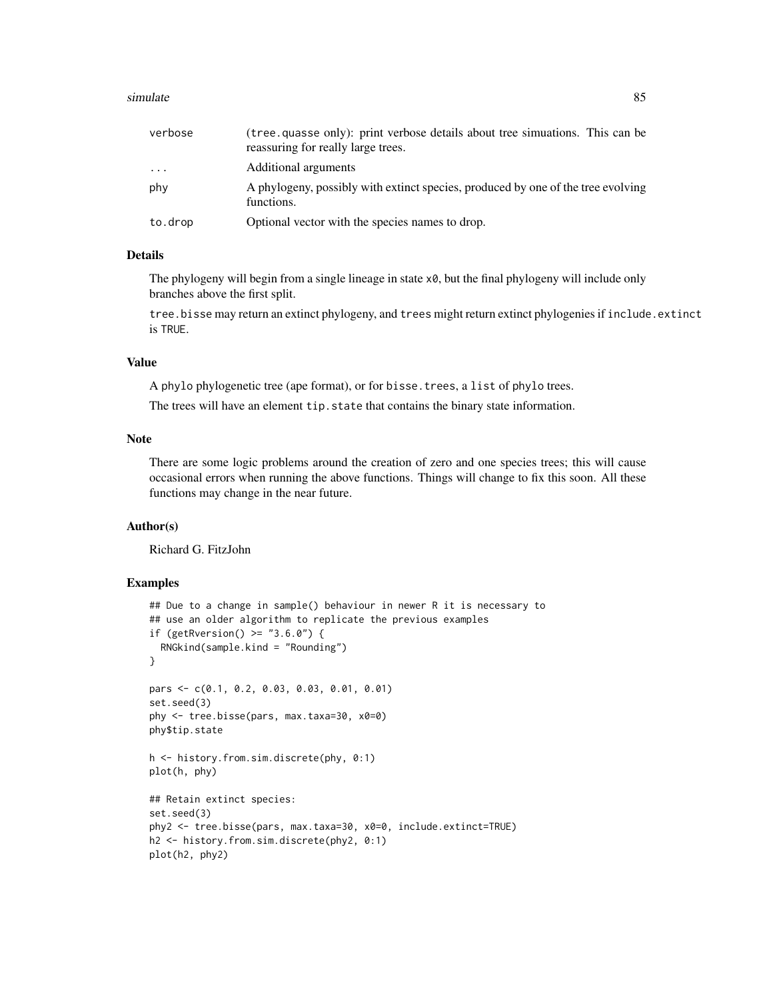#### simulate 85

| verbose    | (tree, quasse only): print verbose details about tree simuations. This can be<br>reassuring for really large trees. |
|------------|---------------------------------------------------------------------------------------------------------------------|
| $\ddots$ . | Additional arguments                                                                                                |
| phy        | A phylogeny, possibly with extinct species, produced by one of the tree evolving<br>functions.                      |
| to.drop    | Optional vector with the species names to drop.                                                                     |

## Details

The phylogeny will begin from a single lineage in state  $x\theta$ , but the final phylogeny will include only branches above the first split.

tree.bisse may return an extinct phylogeny, and trees might return extinct phylogenies if include.extinct is TRUE.

## Value

A phylo phylogenetic tree (ape format), or for bisse.trees, a list of phylo trees.

The trees will have an element tip.state that contains the binary state information.

# Note

There are some logic problems around the creation of zero and one species trees; this will cause occasional errors when running the above functions. Things will change to fix this soon. All these functions may change in the near future.

## Author(s)

Richard G. FitzJohn

```
## Due to a change in sample() behaviour in newer R it is necessary to
## use an older algorithm to replicate the previous examples
if (getRversion() >= "3.6.0") {
  RNGkind(sample.kind = "Rounding")
}
pars <- c(0.1, 0.2, 0.03, 0.03, 0.01, 0.01)
set.seed(3)
phy <- tree.bisse(pars, max.taxa=30, x0=0)
phy$tip.state
h <- history.from.sim.discrete(phy, 0:1)
plot(h, phy)
## Retain extinct species:
set.seed(3)
phy2 <- tree.bisse(pars, max.taxa=30, x0=0, include.extinct=TRUE)
h2 <- history.from.sim.discrete(phy2, 0:1)
plot(h2, phy2)
```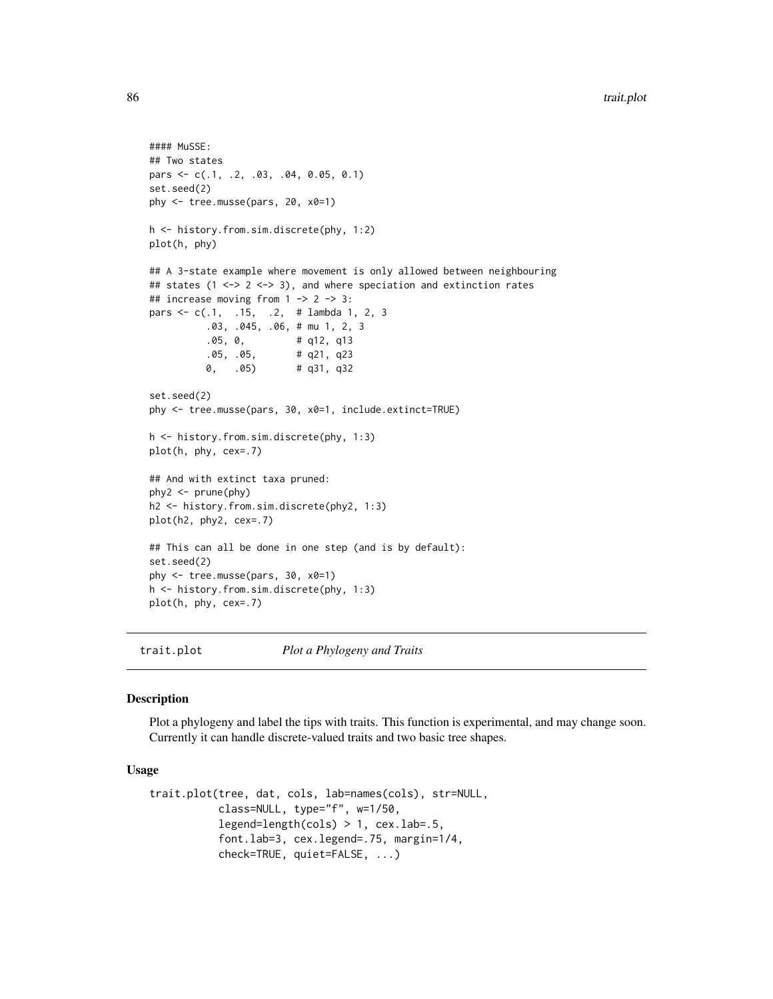```
#### MuSSE:
## Two states
pars <- c(.1, .2, .03, .04, 0.05, 0.1)
set.seed(2)
phy <- tree.musse(pars, 20, x0=1)
h <- history.from.sim.discrete(phy, 1:2)
plot(h, phy)
## A 3-state example where movement is only allowed between neighbouring
## states (1 <-> 2 <-> 3), and where speciation and extinction rates
## increase moving from 1 -> 2 -> 3:
pars <- c(.1, .15, .2, # lambda 1, 2, 3
          .03, .045, .06, # mu 1, 2, 3
          .05, 0, # q12, q13
          .05, .05, # q21, q23
         0, .05) # q31, q32
set.seed(2)
phy <- tree.musse(pars, 30, x0=1, include.extinct=TRUE)
h <- history.from.sim.discrete(phy, 1:3)
plot(h, phy, cex=.7)
## And with extinct taxa pruned:
phy2 <- prune(phy)
h2 <- history.from.sim.discrete(phy2, 1:3)
plot(h2, phy2, cex=.7)
## This can all be done in one step (and is by default):
set.seed(2)
phy <- tree.musse(pars, 30, x0=1)
h <- history.from.sim.discrete(phy, 1:3)
plot(h, phy, cex=.7)
```
trait.plot *Plot a Phylogeny and Traits*

#### **Description**

Plot a phylogeny and label the tips with traits. This function is experimental, and may change soon. Currently it can handle discrete-valued traits and two basic tree shapes.

## Usage

```
trait.plot(tree, dat, cols, lab=names(cols), str=NULL,
           class=NULL, type="f", w=1/50,
           legend=length(cols) > 1, cex.lab=.5,
           font.lab=3, cex.legend=.75, margin=1/4,
           check=TRUE, quiet=FALSE, ...)
```
<span id="page-85-0"></span>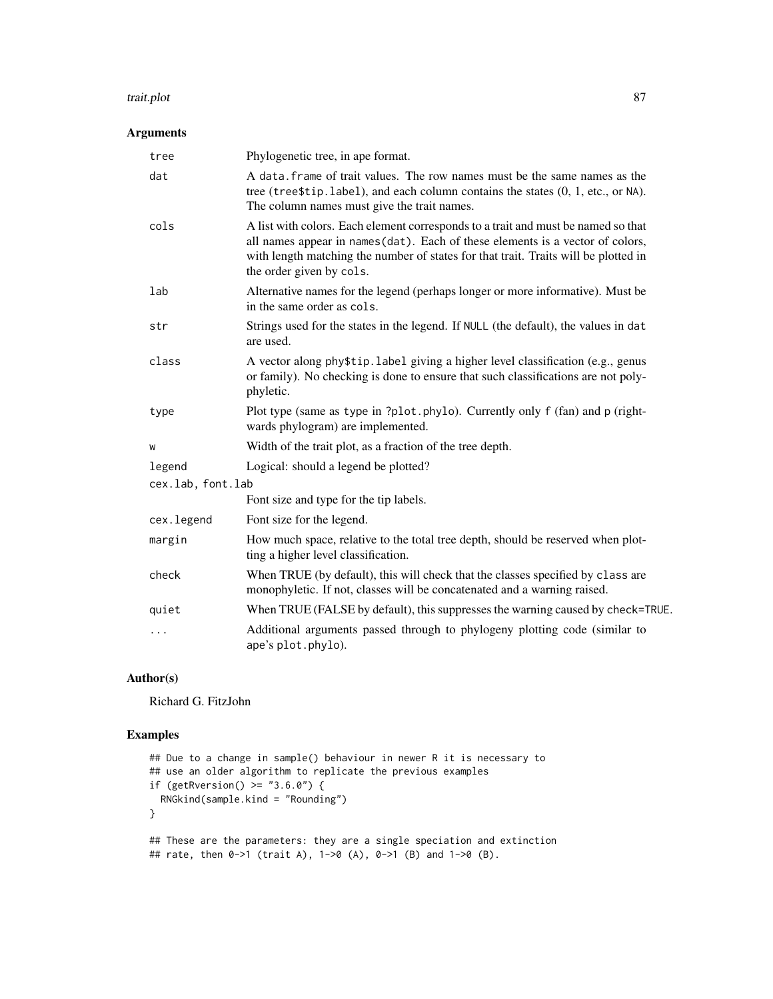#### trait.plot 87

# Arguments

| tree              | Phylogenetic tree, in ape format.                                                                                                                                                                                                                                                      |
|-------------------|----------------------------------------------------------------------------------------------------------------------------------------------------------------------------------------------------------------------------------------------------------------------------------------|
| dat               | A data. frame of trait values. The row names must be the same names as the<br>tree (tree\$tip.label), and each column contains the states (0, 1, etc., or NA).<br>The column names must give the trait names.                                                                          |
| cols              | A list with colors. Each element corresponds to a trait and must be named so that<br>all names appear in names (dat). Each of these elements is a vector of colors,<br>with length matching the number of states for that trait. Traits will be plotted in<br>the order given by cols. |
| lab               | Alternative names for the legend (perhaps longer or more informative). Must be<br>in the same order as cols.                                                                                                                                                                           |
| str               | Strings used for the states in the legend. If NULL (the default), the values in dat<br>are used.                                                                                                                                                                                       |
| class             | A vector along phy\$tip.label giving a higher level classification (e.g., genus<br>or family). No checking is done to ensure that such classifications are not poly-<br>phyletic.                                                                                                      |
| type              | Plot type (same as type in ?plot.phylo). Currently only f (fan) and p (right-<br>wards phylogram) are implemented.                                                                                                                                                                     |
| W                 | Width of the trait plot, as a fraction of the tree depth.                                                                                                                                                                                                                              |
| legend            | Logical: should a legend be plotted?                                                                                                                                                                                                                                                   |
| cex.lab, font.lab |                                                                                                                                                                                                                                                                                        |
|                   | Font size and type for the tip labels.                                                                                                                                                                                                                                                 |
| cex.legend        | Font size for the legend.                                                                                                                                                                                                                                                              |
| margin            | How much space, relative to the total tree depth, should be reserved when plot-<br>ting a higher level classification.                                                                                                                                                                 |
| check             | When TRUE (by default), this will check that the classes specified by class are<br>monophyletic. If not, classes will be concatenated and a warning raised.                                                                                                                            |
| quiet             | When TRUE (FALSE by default), this suppresses the warning caused by check=TRUE.                                                                                                                                                                                                        |
| .                 | Additional arguments passed through to phylogeny plotting code (similar to<br>ape's plot.phylo).                                                                                                                                                                                       |

# Author(s)

Richard G. FitzJohn

```
## Due to a change in sample() behaviour in newer R it is necessary to
## use an older algorithm to replicate the previous examples
if (getRversion() >= "3.6.0") {
 RNGkind(sample.kind = "Rounding")
}
## These are the parameters: they are a single speciation and extinction
## rate, then 0->1 (trait A), 1->0 (A), 0->1 (B) and 1->0 (B).
```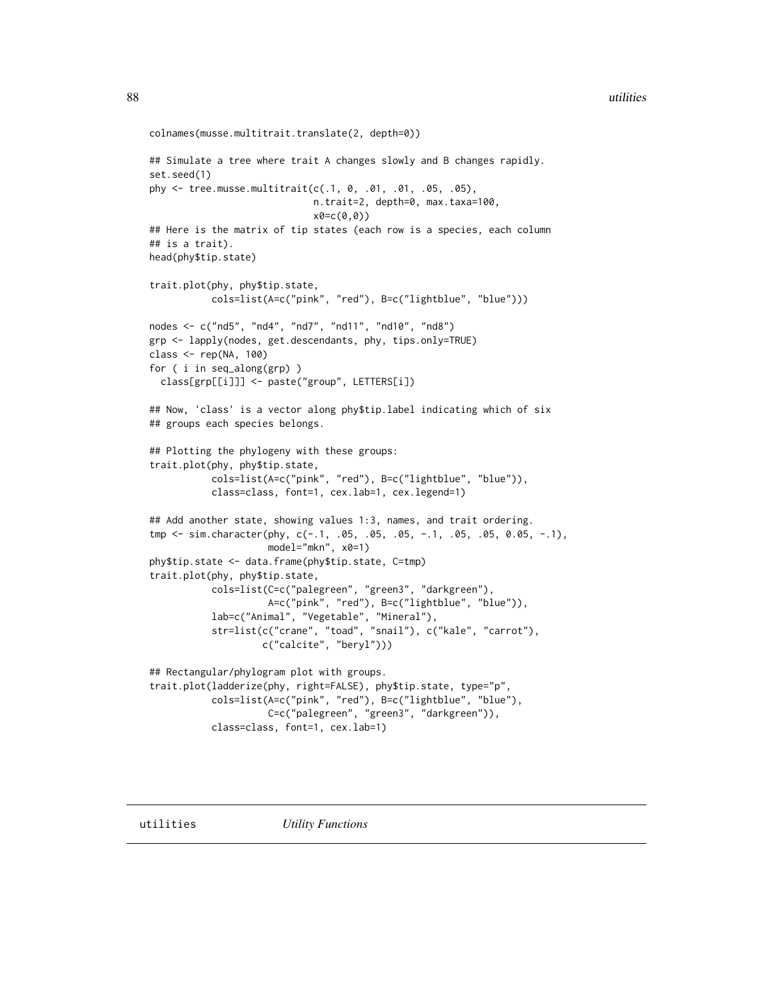```
colnames(musse.multitrait.translate(2, depth=0))
## Simulate a tree where trait A changes slowly and B changes rapidly.
set.seed(1)
phy <- tree.musse.multitrait(c(.1, 0, .01, .01, .05, .05),
                             n.trait=2, depth=0, max.taxa=100,
                             x0=c(0,0))
## Here is the matrix of tip states (each row is a species, each column
## is a trait).
head(phy$tip.state)
trait.plot(phy, phy$tip.state,
           cols=list(A=c("pink", "red"), B=c("lightblue", "blue")))
nodes <- c("nd5", "nd4", "nd7", "nd11", "nd10", "nd8")
grp <- lapply(nodes, get.descendants, phy, tips.only=TRUE)
class <- rep(NA, 100)
for ( i in seq_along(grp) )
  class[grp[[i]]] <- paste("group", LETTERS[i])
## Now, 'class' is a vector along phy$tip.label indicating which of six
## groups each species belongs.
## Plotting the phylogeny with these groups:
trait.plot(phy, phy$tip.state,
           cols=list(A=c("pink", "red"), B=c("lightblue", "blue")),
           class=class, font=1, cex.lab=1, cex.legend=1)
## Add another state, showing values 1:3, names, and trait ordering.
tmp <- sim.character(phy, c(-.1, .05, .05, .05, -.1, .05, .05, 0.05, -.1),
                     model="mkn", x0=1)
phy$tip.state <- data.frame(phy$tip.state, C=tmp)
trait.plot(phy, phy$tip.state,
           cols=list(C=c("palegreen", "green3", "darkgreen"),
                     A=c("pink", "red"), B=c("lightblue", "blue")),
           lab=c("Animal", "Vegetable", "Mineral"),
           str=list(c("crane", "toad", "snail"), c("kale", "carrot"),
                    c("calcite", "beryl")))
## Rectangular/phylogram plot with groups.
trait.plot(ladderize(phy, right=FALSE), phy$tip.state, type="p",
           cols=list(A=c("pink", "red"), B=c("lightblue", "blue"),
                     C=c("palegreen", "green3", "darkgreen")),
           class=class, font=1, cex.lab=1)
```
<span id="page-87-0"></span>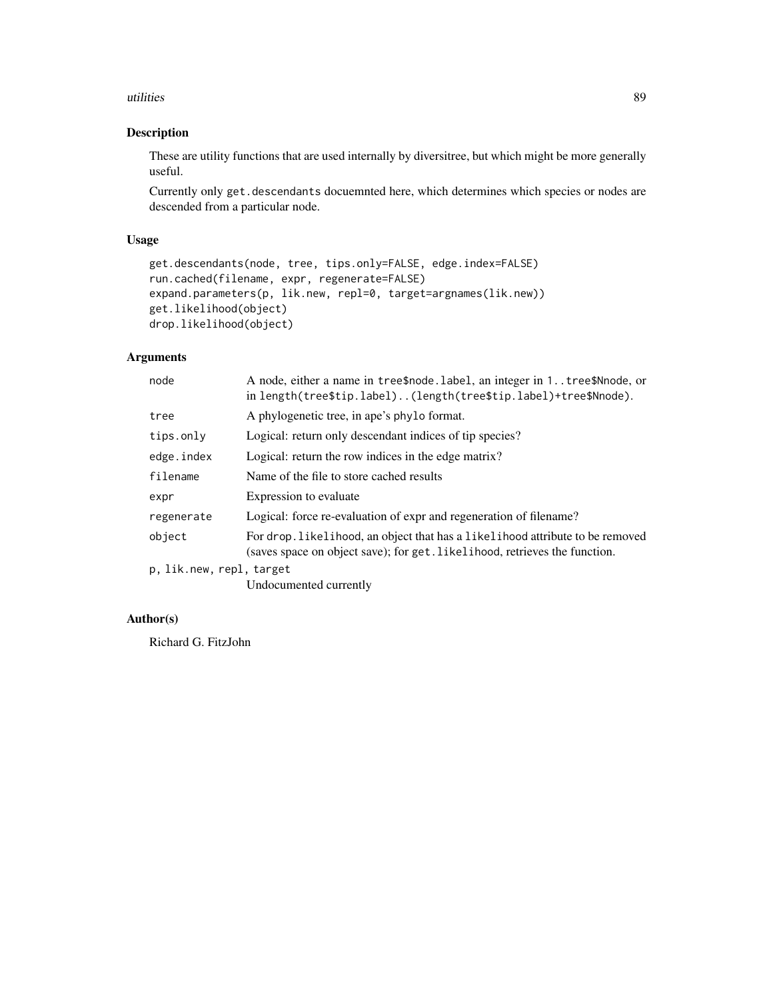#### utilities 89

# Description

These are utility functions that are used internally by diversitree, but which might be more generally useful.

Currently only get.descendants docuemnted here, which determines which species or nodes are descended from a particular node.

### Usage

```
get.descendants(node, tree, tips.only=FALSE, edge.index=FALSE)
run.cached(filename, expr, regenerate=FALSE)
expand.parameters(p, lik.new, repl=0, target=argnames(lik.new))
get.likelihood(object)
drop.likelihood(object)
```
# Arguments

| node                     | A node, either a name in tree\$node. label, an integer in 1tree\$Nnode, or<br>in length(tree\$tip.label)(length(tree\$tip.label)+tree\$Nnode).              |
|--------------------------|-------------------------------------------------------------------------------------------------------------------------------------------------------------|
| tree                     | A phylogenetic tree, in ape's phylo format.                                                                                                                 |
| tips.only                | Logical: return only descendant indices of tip species?                                                                                                     |
| edge.index               | Logical: return the row indices in the edge matrix?                                                                                                         |
| filename                 | Name of the file to store cached results                                                                                                                    |
| expr                     | Expression to evaluate                                                                                                                                      |
| regenerate               | Logical: force re-evaluation of expr and regeneration of filename?                                                                                          |
| object                   | For drop. likelihood, an object that has a likelihood attribute to be removed<br>(saves space on object save); for get. likelihood, retrieves the function. |
| p, lik.new, repl, target |                                                                                                                                                             |
|                          | $\mathbf{r}$ , and $\mathbf{r}$ , and $\mathbf{r}$ , and $\mathbf{r}$                                                                                       |

Undocumented currently

## Author(s)

Richard G. FitzJohn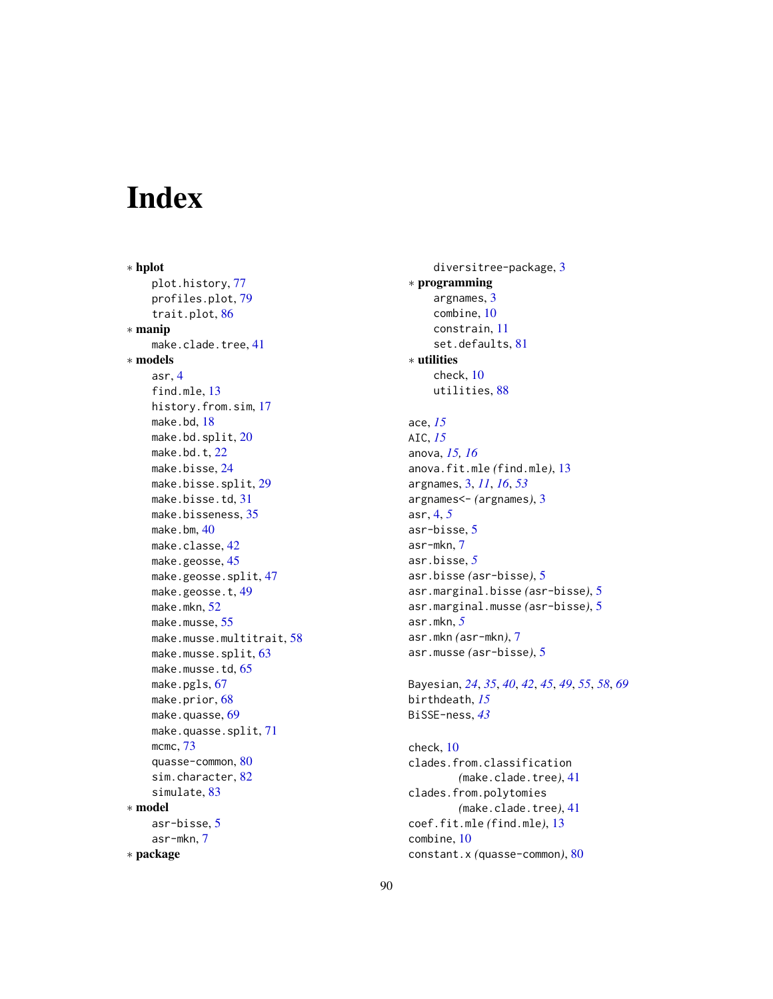# Index

∗ hplot plot.history, [77](#page-76-0) profiles.plot, [79](#page-78-0) trait.plot, [86](#page-85-0) ∗ manip make.clade.tree, [41](#page-40-0) ∗ models asr, [4](#page-3-0) find.mle, [13](#page-12-0) history.from.sim, [17](#page-16-1) make.bd, [18](#page-17-1) make.bd.split, [20](#page-19-0) make.bd.t, [22](#page-21-0) make.bisse, [24](#page-23-1) make.bisse.split, [29](#page-28-0) make.bisse.td, [31](#page-30-0) make.bisseness, [35](#page-34-0) make.bm, [40](#page-39-0) make.classe, [42](#page-41-0) make.geosse, [45](#page-44-1) make.geosse.split, [47](#page-46-0) make.geosse.t, [49](#page-48-0) make.mkn. [52](#page-51-1) make.musse, [55](#page-54-0) make.musse.multitrait, [58](#page-57-1) make.musse.split, [63](#page-62-0) make.musse.td, [65](#page-64-0) make.pgls, [67](#page-66-0) make.prior, [68](#page-67-1) make.quasse, [69](#page-68-1) make.quasse.split, [71](#page-70-0) mcmc, [73](#page-72-0) quasse-common, [80](#page-79-0) sim.character, [82](#page-81-0) simulate, [83](#page-82-1) ∗ model asr-bisse, [5](#page-4-0) asr-mkn, [7](#page-6-0) ∗ package

diversitree-package, [3](#page-2-0) ∗ programming argnames, [3](#page-2-0) combine, [10](#page-9-0) constrain, [11](#page-10-0) set.defaults, [81](#page-80-0) ∗ utilities check, [10](#page-9-0) utilities, [88](#page-87-1) ace, *[15](#page-14-0)* AIC, *[15](#page-14-0)* anova, *[15,](#page-14-0) [16](#page-15-0)* anova.fit.mle *(*find.mle*)*, [13](#page-12-0) argnames, [3,](#page-2-0) *[11](#page-10-0)*, *[16](#page-15-0)*, *[53](#page-52-0)* argnames<- *(*argnames*)*, [3](#page-2-0) asr, [4,](#page-3-0) *[5](#page-4-0)* asr-bisse, [5](#page-4-0) asr-mkn, [7](#page-6-0) asr.bisse, *[5](#page-4-0)* asr.bisse *(*asr-bisse*)*, [5](#page-4-0) asr.marginal.bisse *(*asr-bisse*)*, [5](#page-4-0) asr.marginal.musse *(*asr-bisse*)*, [5](#page-4-0) asr.mkn, *[5](#page-4-0)* asr.mkn *(*asr-mkn*)*, [7](#page-6-0) asr.musse *(*asr-bisse*)*, [5](#page-4-0) Bayesian, *[24](#page-23-1)*, *[35](#page-34-0)*, *[40](#page-39-0)*, *[42](#page-41-0)*, *[45](#page-44-1)*, *[49](#page-48-0)*, *[55](#page-54-0)*, *[58](#page-57-1)*, *[69](#page-68-1)* birthdeath, *[15](#page-14-0)* BiSSE-ness, *[43](#page-42-0)* check, [10](#page-9-0) clades.from.classification *(*make.clade.tree*)*, [41](#page-40-0) clades.from.polytomies *(*make.clade.tree*)*, [41](#page-40-0) coef.fit.mle *(*find.mle*)*, [13](#page-12-0)

combine, [10](#page-9-0)

constant.x *(*quasse-common*)*, [80](#page-79-0)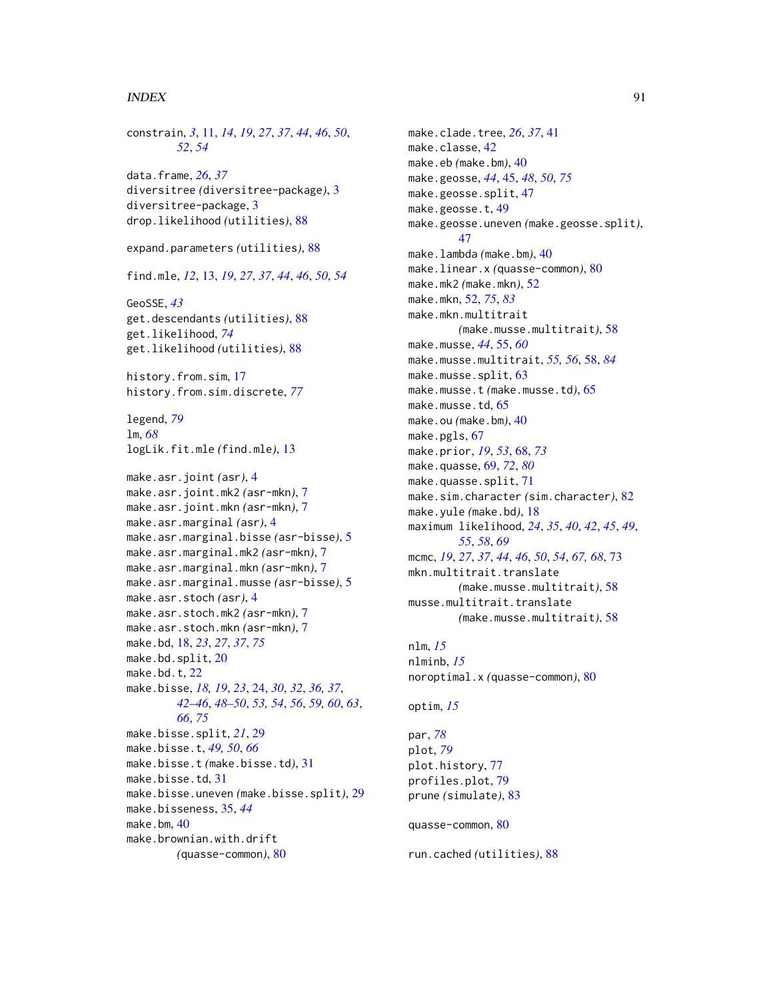#### INDEX  $91$

```
constrain, 3, 11, 14, 19, 27, 37, 44, 46, 50,
        52, 54
data.frame, 26, 37
diversitree (diversitree-package), 3
diversitree-package, 3
drop.likelihood (utilities), 88
expand.parameters (utilities), 88
find.mle, 12, 13, 19, 27, 37, 44, 46, 50, 54
GeoSSE, 43
get.descendants (utilities), 88
get.likelihood, 74
get.likelihood (utilities), 88
history.from.sim, 17
history.from.sim.discrete, 77
legend, 79
lm, 68
logLik.fit.mle (find.mle), 13
make.asr.joint (asr), 4
make.asr.joint.mk2 (asr-mkn), 7
make.asr.joint.mkn (asr-mkn), 7
make.asr.marginal (asr), 4
make.asr.marginal.bisse (asr-bisse), 5
make.asr.marginal.mk2 (asr-mkn), 7
make.asr.marginal.mkn (asr-mkn), 7
make.asr.marginal.musse (asr-bisse), 5
make.asr.stoch (asr), 4
make.asr.stoch.mk2 (asr-mkn), 7
make.asr.stoch.mkn (asr-mkn), 7
make.bd, 18, 23, 27, 37, 75
make.bd.split, 20
22
make.bisse, 18, 19, 23, 24, 30, 32, 36, 37,
        42–46, 48–50, 53, 54, 56, 59, 60, 63,
        66, 75
make.bisse.split, 21, 29
make.bisse.t, 49, 50, 66
make.bisse.t (make.bisse.td), 31
make.bisse.td, 31
make.bisse.uneven (make.bisse.split), 29
make.bisseness, 35, 44
make.bm, 40
make.brownian.with.drift
        (quasse-common), 80
```
make.clade.tree, *[26](#page-25-0)*, *[37](#page-36-0)*, [41](#page-40-0) make.classe, [42](#page-41-0) make.eb *(*make.bm*)*, [40](#page-39-0) make.geosse, *[44](#page-43-0)*, [45,](#page-44-1) *[48](#page-47-0)*, *[50](#page-49-0)*, *[75](#page-74-0)* make.geosse.split, [47](#page-46-0) make.geosse.t, [49](#page-48-0) make.geosse.uneven *(*make.geosse.split*)*, [47](#page-46-0) make.lambda *(*make.bm*)*, [40](#page-39-0) make.linear.x *(*quasse-common*)*, [80](#page-79-0) make.mk2 *(*make.mkn*)*, [52](#page-51-1) make.mkn, [52,](#page-51-1) *[75](#page-74-0)*, *[83](#page-82-1)* make.mkn.multitrait *(*make.musse.multitrait*)*, [58](#page-57-1) make.musse, *[44](#page-43-0)*, [55,](#page-54-0) *[60](#page-59-0)* make.musse.multitrait, *[55,](#page-54-0) [56](#page-55-0)*, [58,](#page-57-1) *[84](#page-83-0)* make.musse.split, [63](#page-62-0) make.musse.t *(*make.musse.td*)*, [65](#page-64-0) make.musse.td, [65](#page-64-0) make.ou *(*make.bm*)*, [40](#page-39-0) make.pgls, [67](#page-66-0) make.prior, *[19](#page-18-0)*, *[53](#page-52-0)*, [68,](#page-67-1) *[73](#page-72-0)* make.quasse, [69,](#page-68-1) *[72](#page-71-0)*, *[80](#page-79-0)* make.quasse.split, [71](#page-70-0) make.sim.character *(*sim.character*)*, [82](#page-81-0) make.yule *(*make.bd*)*, [18](#page-17-1) maximum likelihood, *[24](#page-23-1)*, *[35](#page-34-0)*, *[40](#page-39-0)*, *[42](#page-41-0)*, *[45](#page-44-1)*, *[49](#page-48-0)*, *[55](#page-54-0)*, *[58](#page-57-1)*, *[69](#page-68-1)* mcmc, *[19](#page-18-0)*, *[27](#page-26-0)*, *[37](#page-36-0)*, *[44](#page-43-0)*, *[46](#page-45-0)*, *[50](#page-49-0)*, *[54](#page-53-0)*, *[67,](#page-66-0) [68](#page-67-1)*, [73](#page-72-0) mkn.multitrait.translate *(*make.musse.multitrait*)*, [58](#page-57-1) musse.multitrait.translate *(*make.musse.multitrait*)*, [58](#page-57-1)

nlm, *[15](#page-14-0)* nlminb, *[15](#page-14-0)* noroptimal.x *(*quasse-common*)*, [80](#page-79-0)

```
optim, 15
```
par, *[78](#page-77-0)* plot, *[79](#page-78-0)* plot.history, [77](#page-76-0) profiles.plot, [79](#page-78-0) prune *(*simulate*)*, [83](#page-82-1)

```
quasse-common, 80
```

```
run.cached (utilities), 88
```